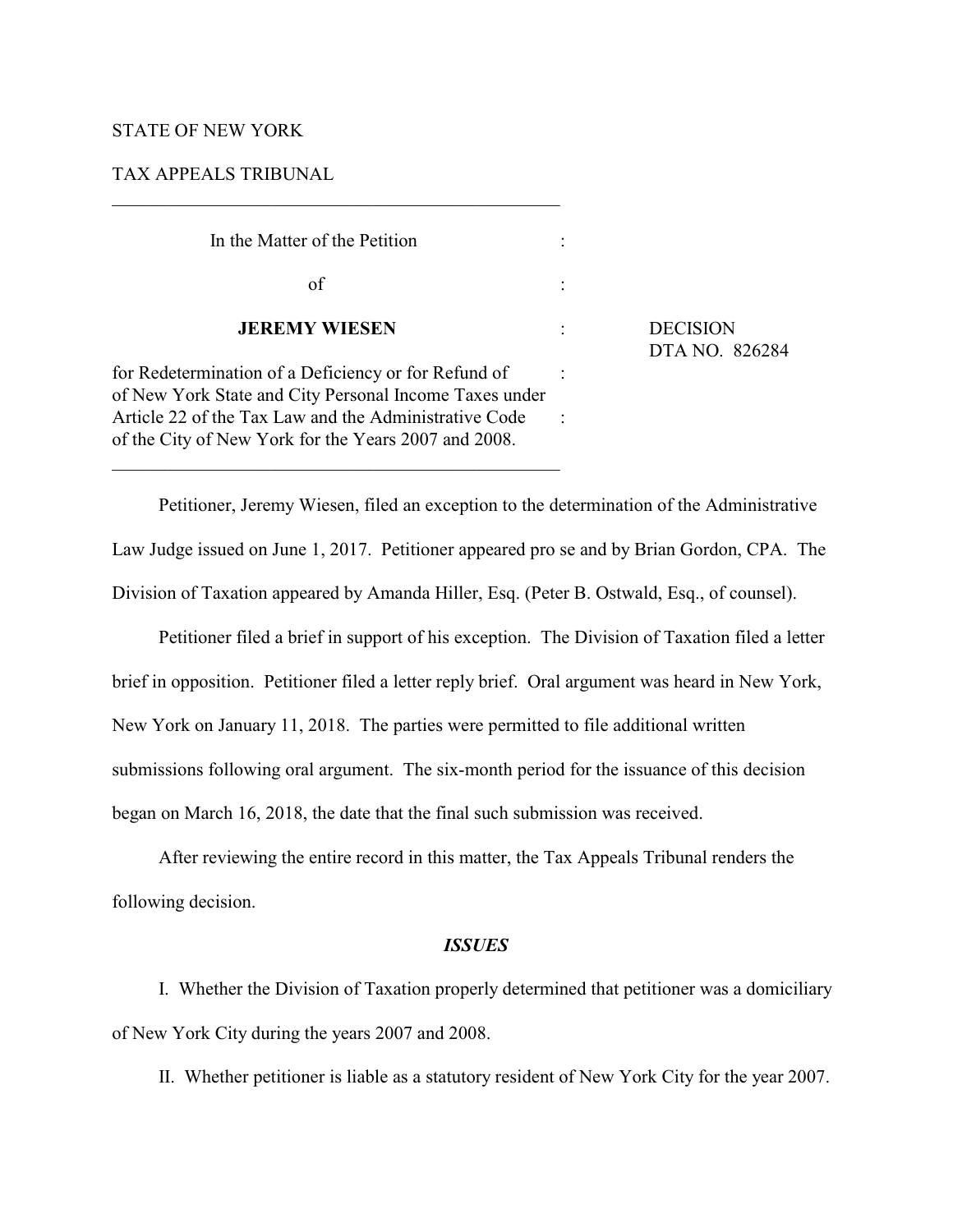# STATE OF NEW YORK

# TAX APPEALS TRIBUNAL

| In the Matter of the Petition                                                                                                                                                                                                   |                                   |
|---------------------------------------------------------------------------------------------------------------------------------------------------------------------------------------------------------------------------------|-----------------------------------|
| of                                                                                                                                                                                                                              |                                   |
| <b>JEREMY WIESEN</b>                                                                                                                                                                                                            | <b>DECISION</b><br>DTA NO. 826284 |
| for Redetermination of a Deficiency or for Refund of<br>of New York State and City Personal Income Taxes under<br>Article 22 of the Tax Law and the Administrative Code<br>of the City of New York for the Years 2007 and 2008. |                                   |

\_\_\_\_\_\_\_\_\_\_\_\_\_\_\_\_\_\_\_\_\_\_\_\_\_\_\_\_\_\_\_\_\_\_\_\_\_\_\_\_\_\_\_\_\_\_\_\_

Petitioner, Jeremy Wiesen, filed an exception to the determination of the Administrative Law Judge issued on June 1, 2017. Petitioner appeared pro se and by Brian Gordon, CPA. The Division of Taxation appeared by Amanda Hiller, Esq. (Peter B. Ostwald, Esq., of counsel).

Petitioner filed a brief in support of his exception. The Division of Taxation filed a letter brief in opposition. Petitioner filed a letter reply brief. Oral argument was heard in New York, New York on January 11, 2018. The parties were permitted to file additional written submissions following oral argument. The six-month period for the issuance of this decision began on March 16, 2018, the date that the final such submission was received.

After reviewing the entire record in this matter, the Tax Appeals Tribunal renders the following decision.

### *ISSUES*

I. Whether the Division of Taxation properly determined that petitioner was a domiciliary of New York City during the years 2007 and 2008.

II. Whether petitioner is liable as a statutory resident of New York City for the year 2007.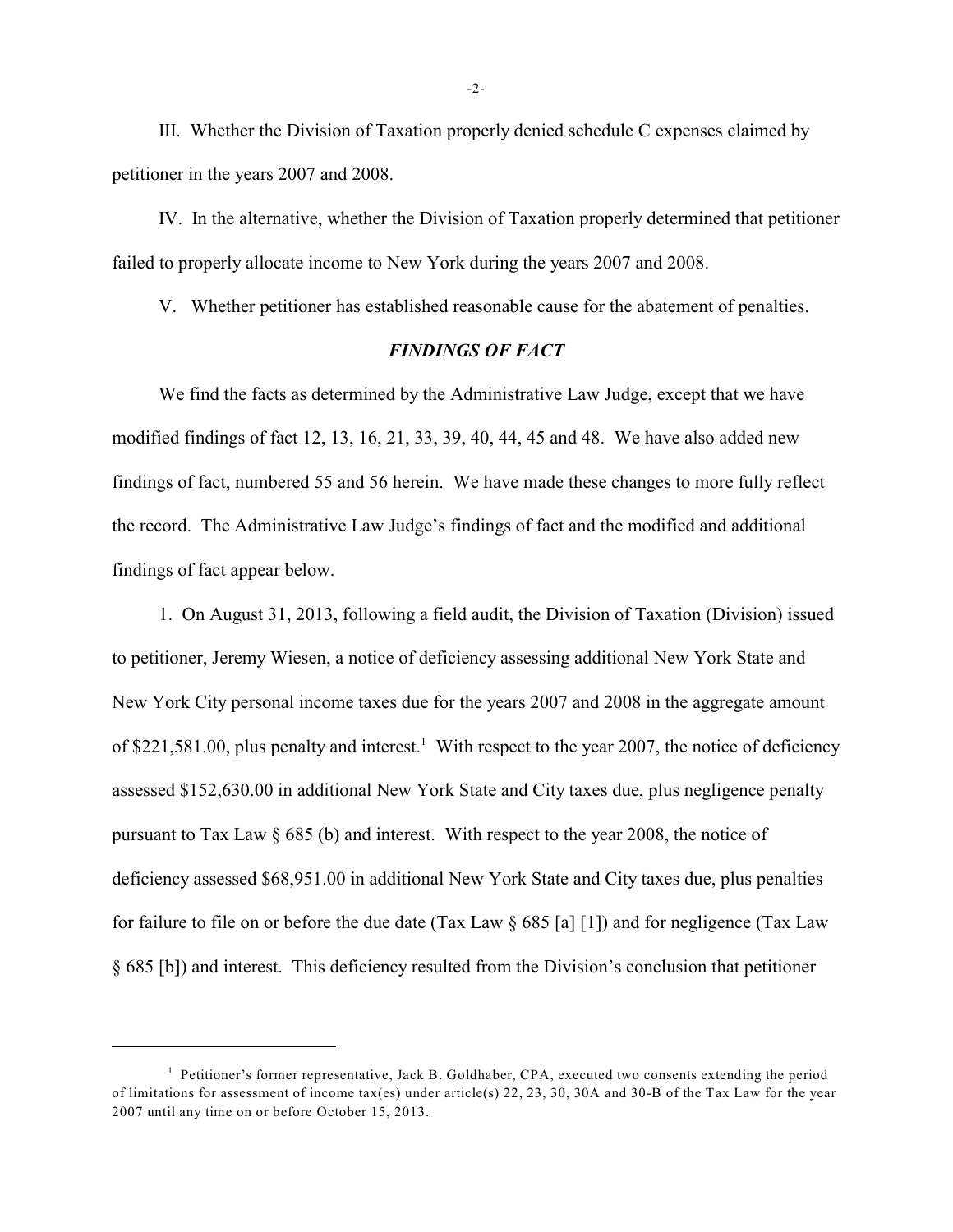III. Whether the Division of Taxation properly denied schedule C expenses claimed by petitioner in the years 2007 and 2008.

IV. In the alternative, whether the Division of Taxation properly determined that petitioner failed to properly allocate income to New York during the years 2007 and 2008.

V. Whether petitioner has established reasonable cause for the abatement of penalties.

# *FINDINGS OF FACT*

We find the facts as determined by the Administrative Law Judge, except that we have modified findings of fact 12, 13, 16, 21, 33, 39, 40, 44, 45 and 48. We have also added new findings of fact, numbered 55 and 56 herein. We have made these changes to more fully reflect the record. The Administrative Law Judge's findings of fact and the modified and additional findings of fact appear below.

1. On August 31, 2013, following a field audit, the Division of Taxation (Division) issued to petitioner, Jeremy Wiesen, a notice of deficiency assessing additional New York State and New York City personal income taxes due for the years 2007 and 2008 in the aggregate amount of \$221,581.00, plus penalty and interest.<sup>1</sup> With respect to the year 2007, the notice of deficiency assessed \$152,630.00 in additional New York State and City taxes due, plus negligence penalty pursuant to Tax Law § 685 (b) and interest. With respect to the year 2008, the notice of deficiency assessed \$68,951.00 in additional New York State and City taxes due, plus penalties for failure to file on or before the due date (Tax Law  $\S 685$  [a] [1]) and for negligence (Tax Law § 685 [b]) and interest. This deficiency resulted from the Division's conclusion that petitioner

-2-

 $<sup>1</sup>$  Petitioner's former representative, Jack B. Goldhaber, CPA, executed two consents extending the period</sup> of limitations for assessment of income tax(es) under article(s) 22, 23, 30, 30A and 30-B of the Tax Law for the year 2007 until any time on or before October 15, 2013.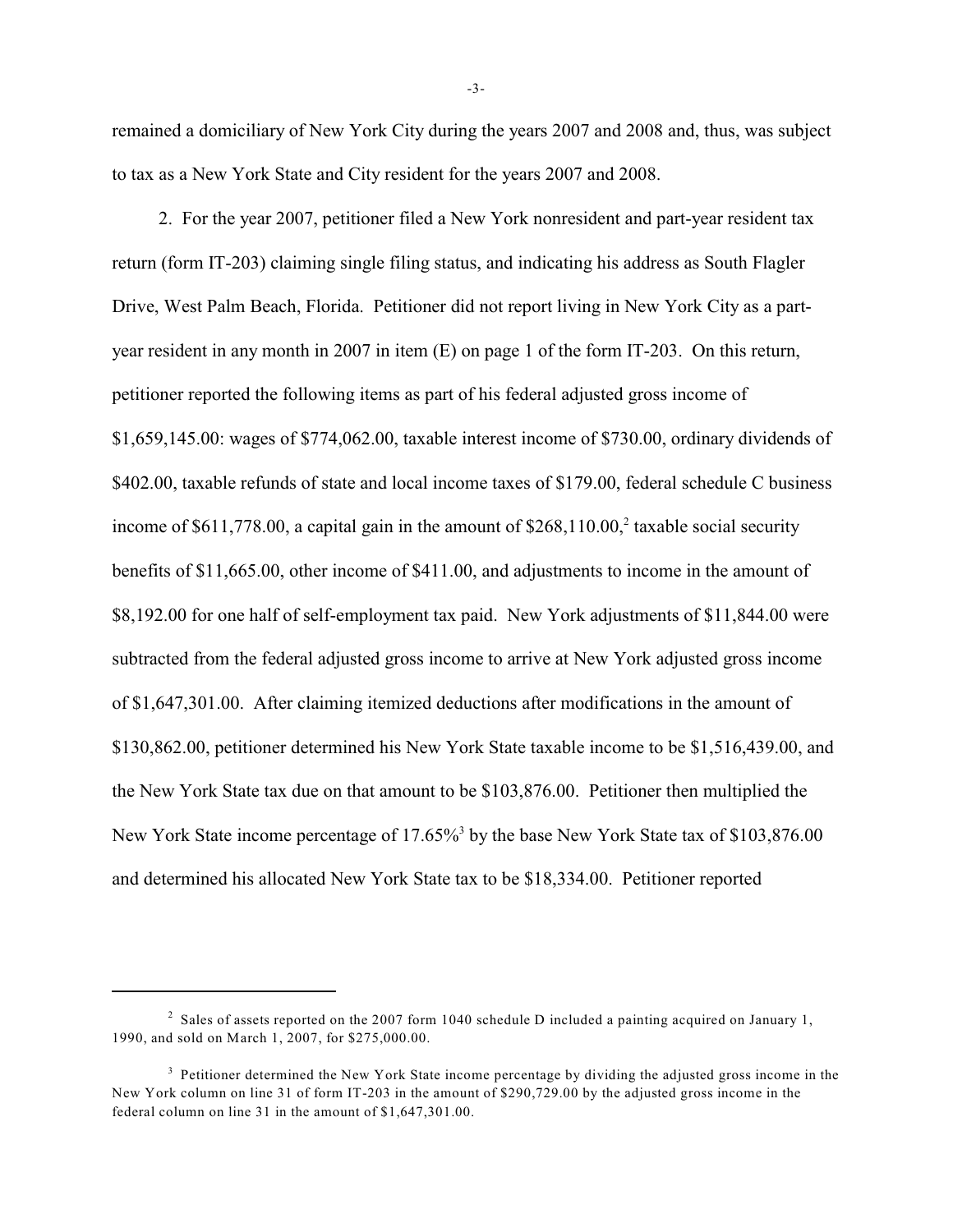remained a domiciliary of New York City during the years 2007 and 2008 and, thus, was subject to tax as a New York State and City resident for the years 2007 and 2008.

2. For the year 2007, petitioner filed a New York nonresident and part-year resident tax return (form IT-203) claiming single filing status, and indicating his address as South Flagler Drive, West Palm Beach, Florida. Petitioner did not report living in New York City as a partyear resident in any month in 2007 in item (E) on page 1 of the form IT-203. On this return, petitioner reported the following items as part of his federal adjusted gross income of \$1,659,145.00: wages of \$774,062.00, taxable interest income of \$730.00, ordinary dividends of \$402.00, taxable refunds of state and local income taxes of \$179.00, federal schedule C business income of  $$611,778.00$ , a capital gain in the amount of  $$268,110.00$ , taxable social security benefits of \$11,665.00, other income of \$411.00, and adjustments to income in the amount of \$8,192.00 for one half of self-employment tax paid. New York adjustments of \$11,844.00 were subtracted from the federal adjusted gross income to arrive at New York adjusted gross income of \$1,647,301.00. After claiming itemized deductions after modifications in the amount of \$130,862.00, petitioner determined his New York State taxable income to be \$1,516,439.00, and the New York State tax due on that amount to be \$103,876.00. Petitioner then multiplied the New York State income percentage of 17.65%<sup>3</sup> by the base New York State tax of \$103,876.00 and determined his allocated New York State tax to be \$18,334.00. Petitioner reported

-3-

 $2$  Sales of assets reported on the 2007 form 1040 schedule D included a painting acquired on January 1, 1990, and sold on March 1, 2007, for \$275,000.00.

<sup>&</sup>lt;sup>3</sup> Petitioner determined the New York State income percentage by dividing the adjusted gross income in the New York column on line 31 of form IT-203 in the amount of \$290,729.00 by the adjusted gross income in the federal column on line 31 in the amount of \$1,647,301.00.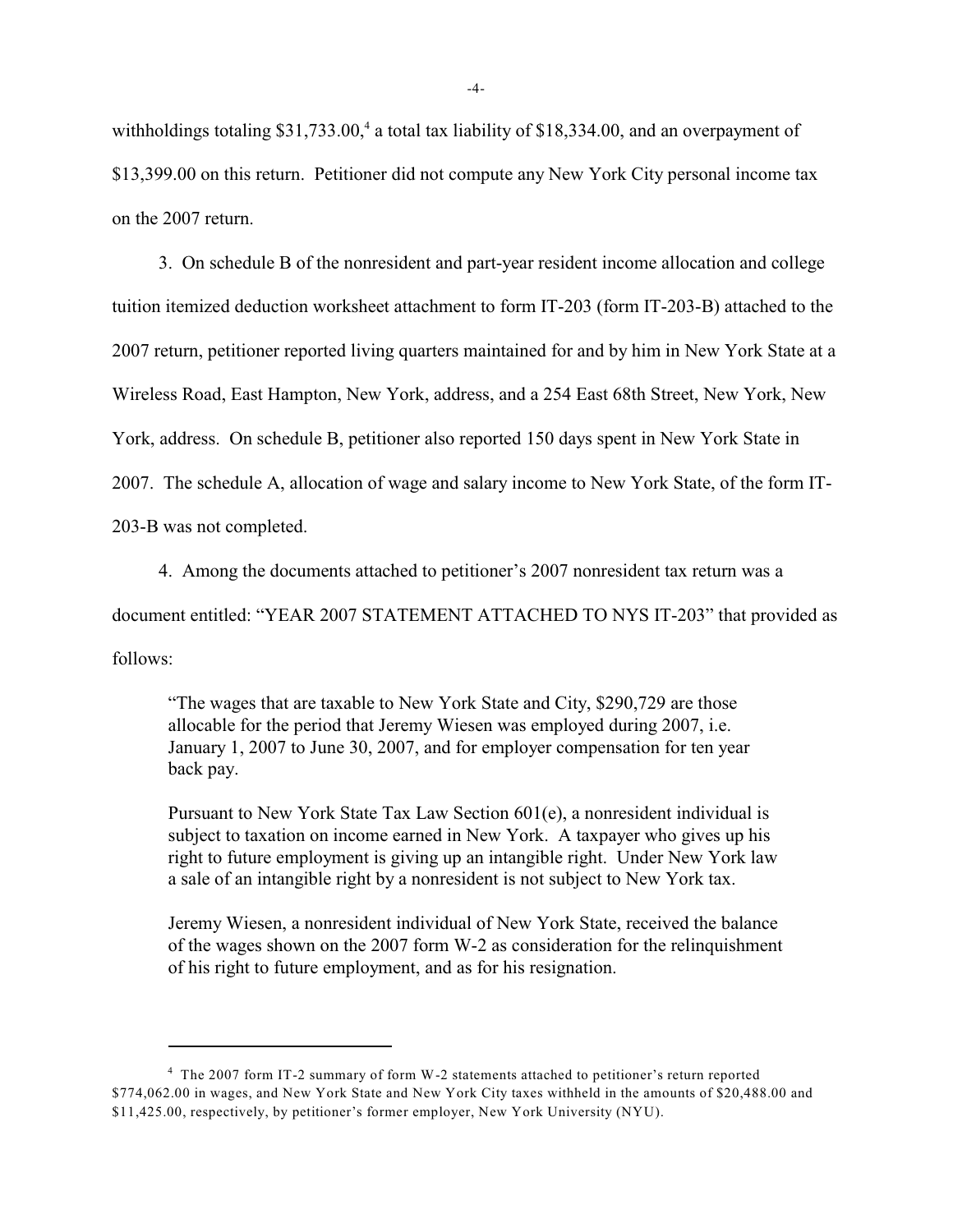withholdings totaling  $$31,733.00$ , a total tax liability of  $$18,334.00$ , and an overpayment of \$13,399.00 on this return. Petitioner did not compute any New York City personal income tax on the 2007 return.

3. On schedule B of the nonresident and part-year resident income allocation and college tuition itemized deduction worksheet attachment to form IT-203 (form IT-203-B) attached to the 2007 return, petitioner reported living quarters maintained for and by him in New York State at a Wireless Road, East Hampton, New York, address, and a 254 East 68th Street, New York, New York, address. On schedule B, petitioner also reported 150 days spent in New York State in 2007. The schedule A, allocation of wage and salary income to New York State, of the form IT-203-B was not completed.

4. Among the documents attached to petitioner's 2007 nonresident tax return was a document entitled: "YEAR 2007 STATEMENT ATTACHED TO NYS IT-203" that provided as follows:

"The wages that are taxable to New York State and City, \$290,729 are those allocable for the period that Jeremy Wiesen was employed during 2007, i.e. January 1, 2007 to June 30, 2007, and for employer compensation for ten year back pay.

Pursuant to New York State Tax Law Section 601(e), a nonresident individual is subject to taxation on income earned in New York. A taxpayer who gives up his right to future employment is giving up an intangible right. Under New York law a sale of an intangible right by a nonresident is not subject to New York tax.

Jeremy Wiesen, a nonresident individual of New York State, received the balance of the wages shown on the 2007 form W-2 as consideration for the relinquishment of his right to future employment, and as for his resignation.

<sup>&</sup>lt;sup>4</sup> The 2007 form IT-2 summary of form W-2 statements attached to petitioner's return reported \$774,062.00 in wages, and New York State and New York City taxes withheld in the amounts of \$20,488.00 and \$11,425.00, respectively, by petitioner's former employer, New York University (NYU).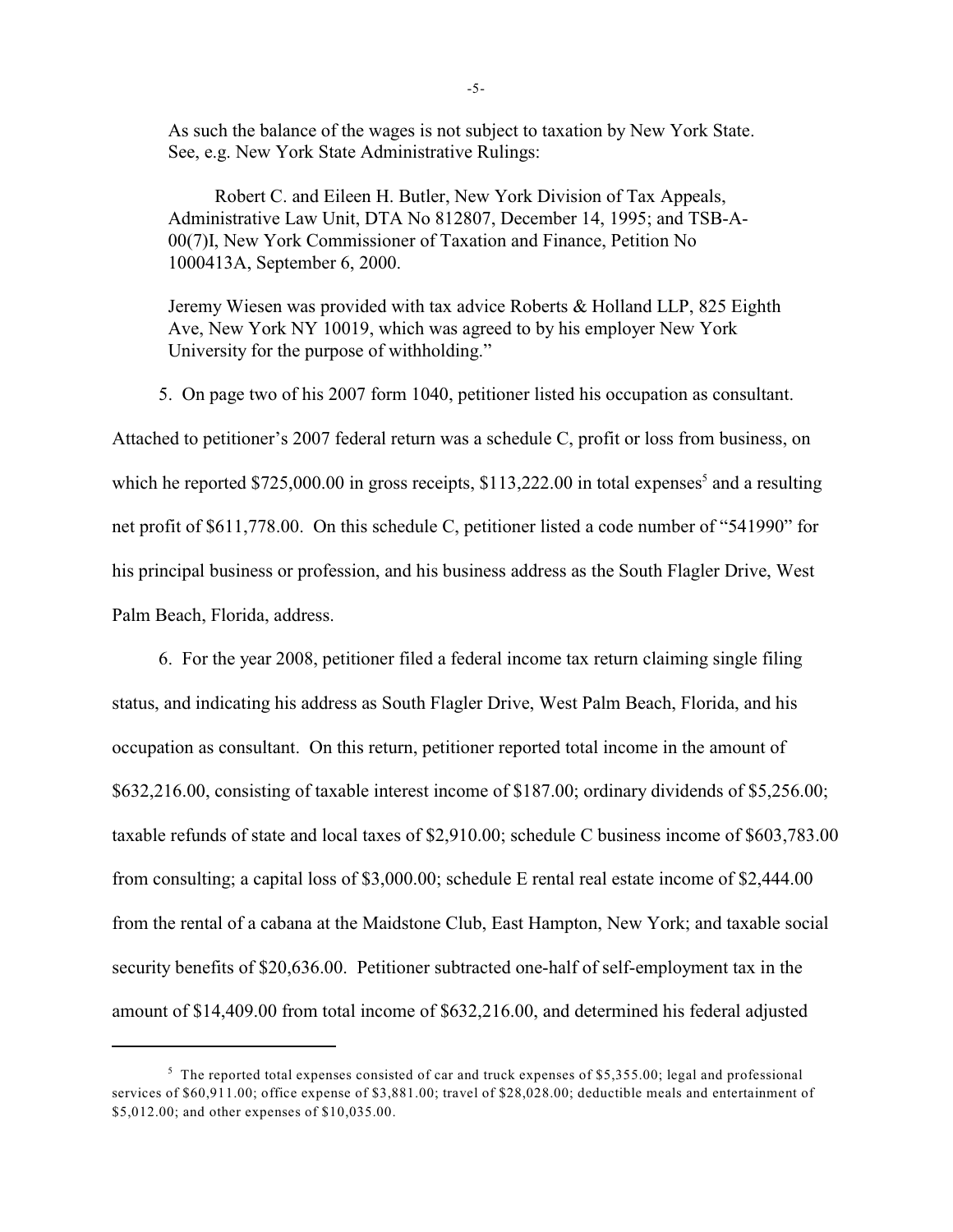As such the balance of the wages is not subject to taxation by New York State. See, e.g. New York State Administrative Rulings:

Robert C. and Eileen H. Butler, New York Division of Tax Appeals, Administrative Law Unit, DTA No 812807, December 14, 1995; and TSB-A-00(7)I, New York Commissioner of Taxation and Finance, Petition No 1000413A, September 6, 2000.

Jeremy Wiesen was provided with tax advice Roberts & Holland LLP, 825 Eighth Ave, New York NY 10019, which was agreed to by his employer New York University for the purpose of withholding."

5. On page two of his 2007 form 1040, petitioner listed his occupation as consultant.

Attached to petitioner's 2007 federal return was a schedule C, profit or loss from business, on which he reported  $$725,000.00$  in gross receipts,  $$113,222.00$  in total expenses<sup>5</sup> and a resulting net profit of \$611,778.00. On this schedule C, petitioner listed a code number of "541990" for his principal business or profession, and his business address as the South Flagler Drive, West Palm Beach, Florida, address.

6. For the year 2008, petitioner filed a federal income tax return claiming single filing status, and indicating his address as South Flagler Drive, West Palm Beach, Florida, and his occupation as consultant. On this return, petitioner reported total income in the amount of \$632,216.00, consisting of taxable interest income of \$187.00; ordinary dividends of \$5,256.00; taxable refunds of state and local taxes of \$2,910.00; schedule C business income of \$603,783.00 from consulting; a capital loss of \$3,000.00; schedule E rental real estate income of \$2,444.00 from the rental of a cabana at the Maidstone Club, East Hampton, New York; and taxable social security benefits of \$20,636.00. Petitioner subtracted one-half of self-employment tax in the amount of \$14,409.00 from total income of \$632,216.00, and determined his federal adjusted

 $\frac{5}{5}$  The reported total expenses consisted of car and truck expenses of \$5,355.00; legal and professional services of \$60,911.00; office expense of \$3,881.00; travel of \$28,028.00; deductible meals and entertainment of \$5,012.00; and other expenses of \$10,035.00.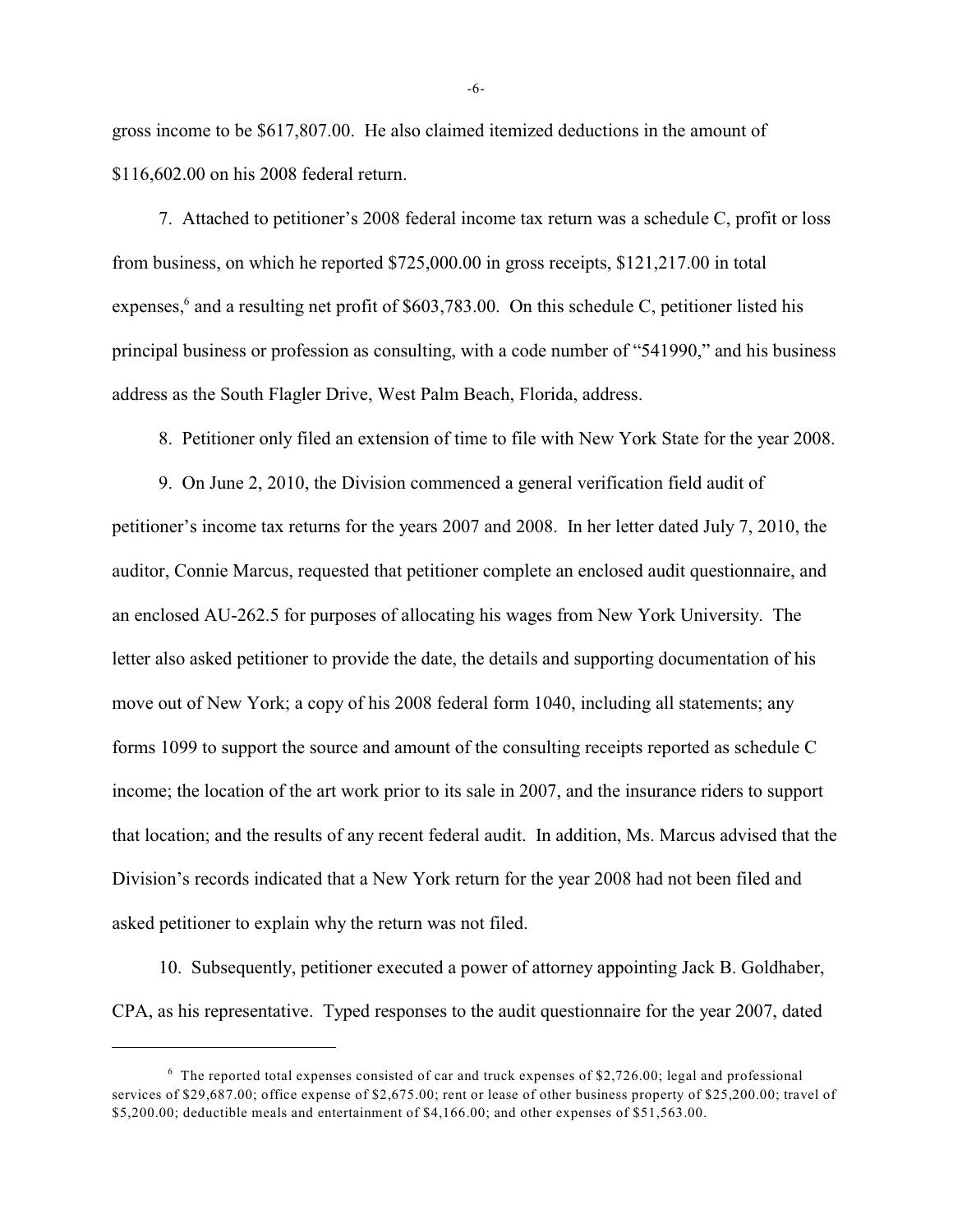gross income to be \$617,807.00. He also claimed itemized deductions in the amount of \$116,602.00 on his 2008 federal return.

7. Attached to petitioner's 2008 federal income tax return was a schedule C, profit or loss from business, on which he reported \$725,000.00 in gross receipts, \$121,217.00 in total expenses, $6$  and a resulting net profit of \$603,783.00. On this schedule C, petitioner listed his principal business or profession as consulting, with a code number of "541990," and his business address as the South Flagler Drive, West Palm Beach, Florida, address.

8. Petitioner only filed an extension of time to file with New York State for the year 2008.

9. On June 2, 2010, the Division commenced a general verification field audit of petitioner's income tax returns for the years 2007 and 2008. In her letter dated July 7, 2010, the auditor, Connie Marcus, requested that petitioner complete an enclosed audit questionnaire, and an enclosed AU-262.5 for purposes of allocating his wages from New York University. The letter also asked petitioner to provide the date, the details and supporting documentation of his move out of New York; a copy of his 2008 federal form 1040, including all statements; any forms 1099 to support the source and amount of the consulting receipts reported as schedule C income; the location of the art work prior to its sale in 2007, and the insurance riders to support that location; and the results of any recent federal audit. In addition, Ms. Marcus advised that the Division's records indicated that a New York return for the year 2008 had not been filed and asked petitioner to explain why the return was not filed.

10. Subsequently, petitioner executed a power of attorney appointing Jack B. Goldhaber, CPA, as his representative. Typed responses to the audit questionnaire for the year 2007, dated

-6-

 $6$  The reported total expenses consisted of car and truck expenses of \$2,726.00; legal and professional services of \$29,687.00; office expense of \$2,675.00; rent or lease of other business property of \$25,200.00; travel of \$5,200.00; deductible meals and entertainment of \$4,166.00; and other expenses of \$51,563.00.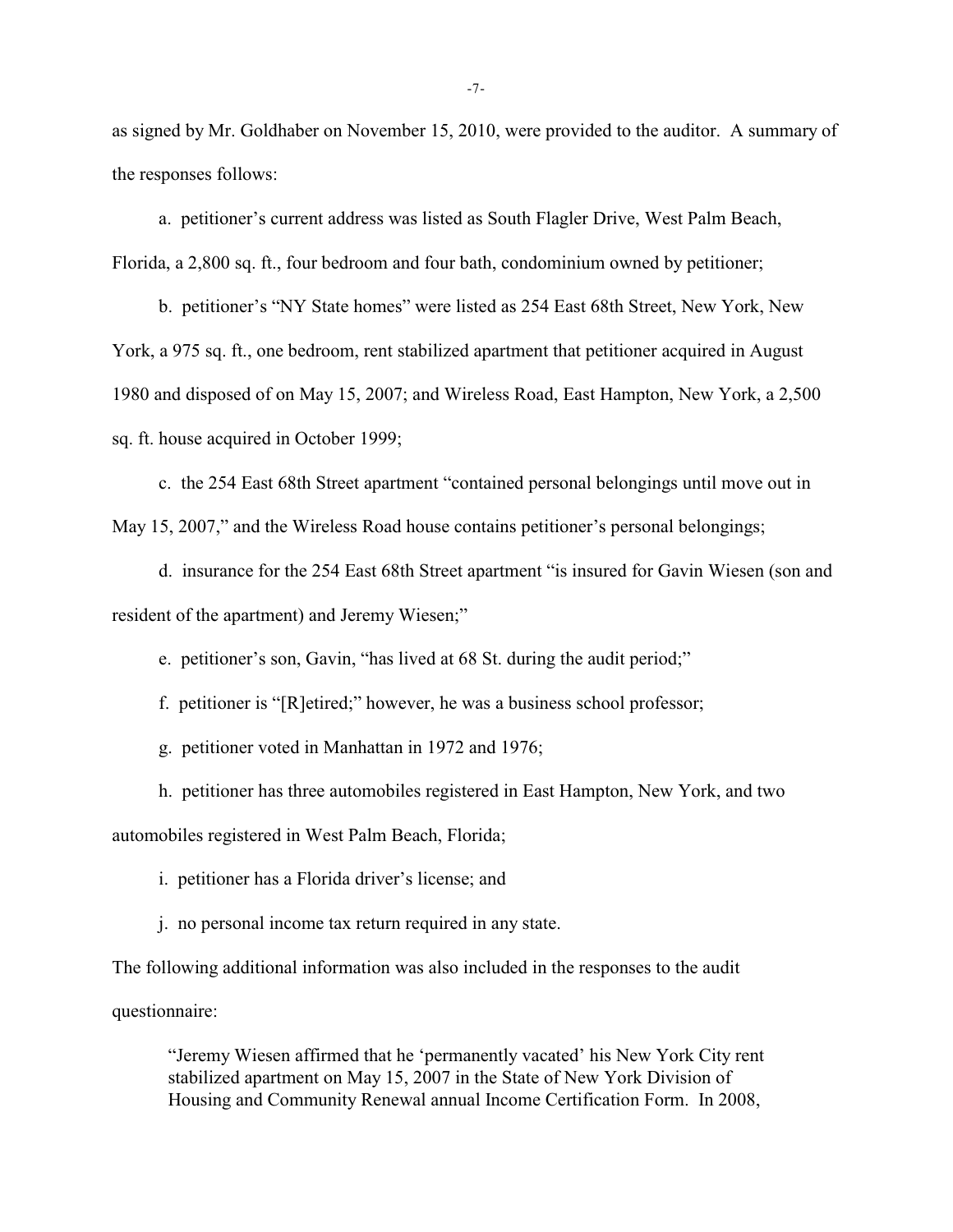as signed by Mr. Goldhaber on November 15, 2010, were provided to the auditor. A summary of the responses follows:

a. petitioner's current address was listed as South Flagler Drive, West Palm Beach, Florida, a 2,800 sq. ft., four bedroom and four bath, condominium owned by petitioner;

b. petitioner's "NY State homes" were listed as 254 East 68th Street, New York, New York, a 975 sq. ft., one bedroom, rent stabilized apartment that petitioner acquired in August 1980 and disposed of on May 15, 2007; and Wireless Road, East Hampton, New York, a 2,500 sq. ft. house acquired in October 1999;

c. the 254 East 68th Street apartment "contained personal belongings until move out in May 15, 2007," and the Wireless Road house contains petitioner's personal belongings;

d. insurance for the 254 East 68th Street apartment "is insured for Gavin Wiesen (son and resident of the apartment) and Jeremy Wiesen;"

e. petitioner's son, Gavin, "has lived at 68 St. during the audit period;"

f. petitioner is "[R]etired;" however, he was a business school professor;

g. petitioner voted in Manhattan in 1972 and 1976;

h. petitioner has three automobiles registered in East Hampton, New York, and two automobiles registered in West Palm Beach, Florida;

i. petitioner has a Florida driver's license; and

j. no personal income tax return required in any state.

The following additional information was also included in the responses to the audit questionnaire:

"Jeremy Wiesen affirmed that he 'permanently vacated' his New York City rent stabilized apartment on May 15, 2007 in the State of New York Division of Housing and Community Renewal annual Income Certification Form. In 2008,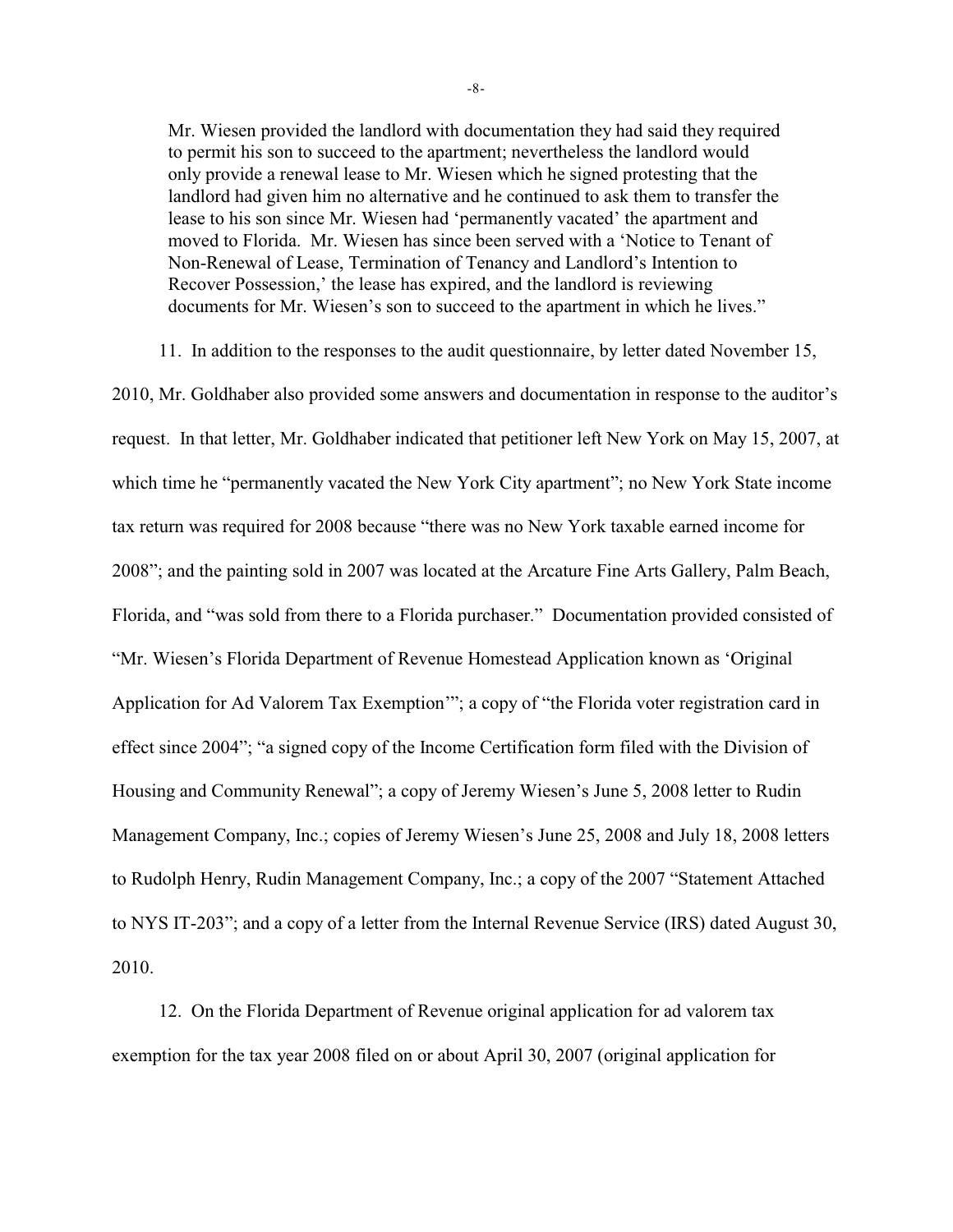Mr. Wiesen provided the landlord with documentation they had said they required to permit his son to succeed to the apartment; nevertheless the landlord would only provide a renewal lease to Mr. Wiesen which he signed protesting that the landlord had given him no alternative and he continued to ask them to transfer the lease to his son since Mr. Wiesen had 'permanently vacated' the apartment and moved to Florida. Mr. Wiesen has since been served with a 'Notice to Tenant of Non-Renewal of Lease, Termination of Tenancy and Landlord's Intention to Recover Possession,' the lease has expired, and the landlord is reviewing documents for Mr. Wiesen's son to succeed to the apartment in which he lives."

11. In addition to the responses to the audit questionnaire, by letter dated November 15,

2010, Mr. Goldhaber also provided some answers and documentation in response to the auditor's request. In that letter, Mr. Goldhaber indicated that petitioner left New York on May 15, 2007, at which time he "permanently vacated the New York City apartment"; no New York State income tax return was required for 2008 because "there was no New York taxable earned income for 2008"; and the painting sold in 2007 was located at the Arcature Fine Arts Gallery, Palm Beach, Florida, and "was sold from there to a Florida purchaser." Documentation provided consisted of "Mr. Wiesen's Florida Department of Revenue Homestead Application known as 'Original Application for Ad Valorem Tax Exemption'"; a copy of "the Florida voter registration card in effect since 2004"; "a signed copy of the Income Certification form filed with the Division of Housing and Community Renewal"; a copy of Jeremy Wiesen's June 5, 2008 letter to Rudin Management Company, Inc.; copies of Jeremy Wiesen's June 25, 2008 and July 18, 2008 letters to Rudolph Henry, Rudin Management Company, Inc.; a copy of the 2007 "Statement Attached to NYS IT-203"; and a copy of a letter from the Internal Revenue Service (IRS) dated August 30, 2010.

12. On the Florida Department of Revenue original application for ad valorem tax exemption for the tax year 2008 filed on or about April 30, 2007 (original application for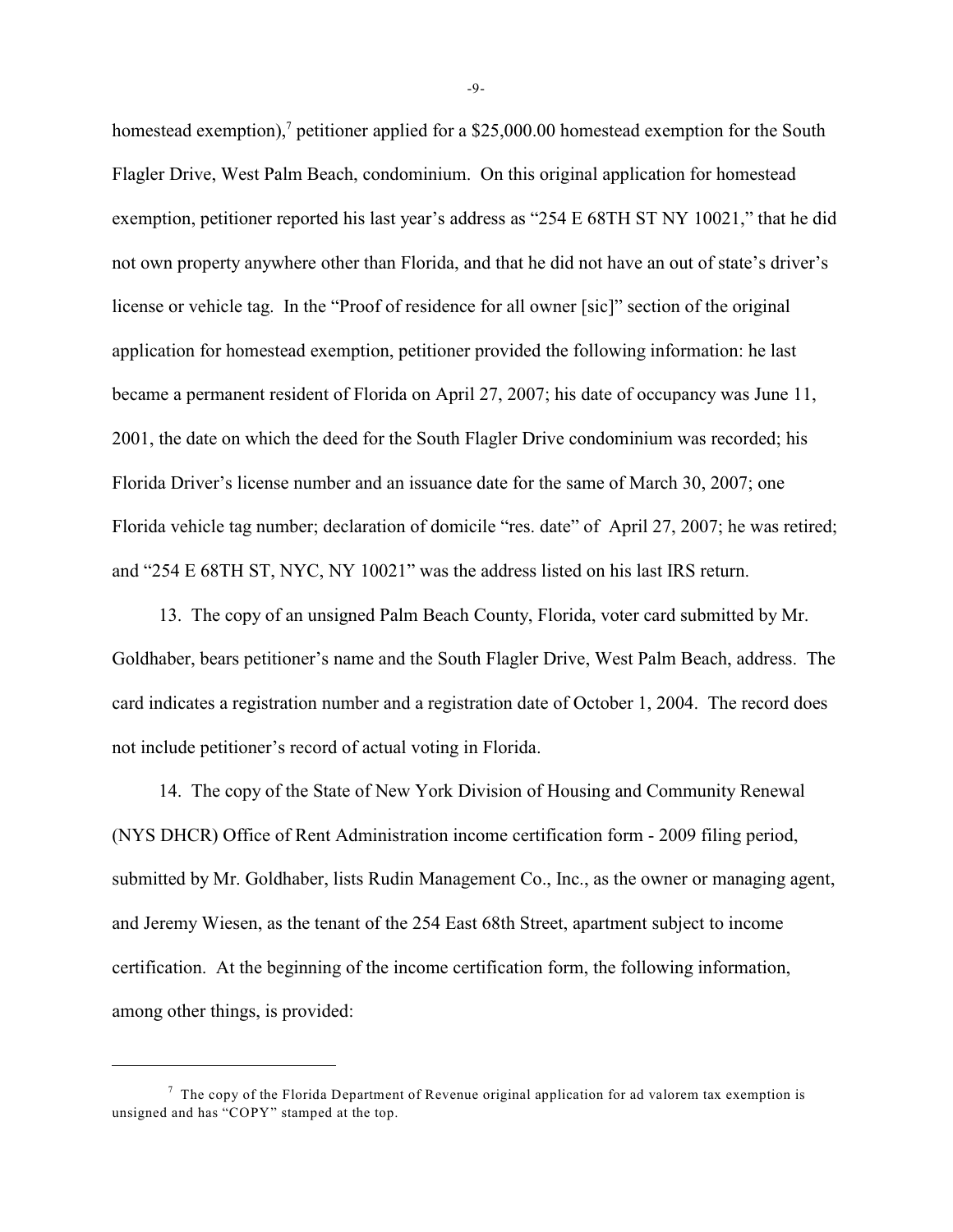homestead exemption),<sup>7</sup> petitioner applied for a \$25,000.00 homestead exemption for the South Flagler Drive, West Palm Beach, condominium. On this original application for homestead exemption, petitioner reported his last year's address as "254 E 68TH ST NY 10021," that he did not own property anywhere other than Florida, and that he did not have an out of state's driver's license or vehicle tag. In the "Proof of residence for all owner [sic]" section of the original application for homestead exemption, petitioner provided the following information: he last became a permanent resident of Florida on April 27, 2007; his date of occupancy was June 11, 2001, the date on which the deed for the South Flagler Drive condominium was recorded; his Florida Driver's license number and an issuance date for the same of March 30, 2007; one Florida vehicle tag number; declaration of domicile "res. date" of April 27, 2007; he was retired; and "254 E 68TH ST, NYC, NY 10021" was the address listed on his last IRS return.

13. The copy of an unsigned Palm Beach County, Florida, voter card submitted by Mr. Goldhaber, bears petitioner's name and the South Flagler Drive, West Palm Beach, address. The card indicates a registration number and a registration date of October 1, 2004. The record does not include petitioner's record of actual voting in Florida.

14. The copy of the State of New York Division of Housing and Community Renewal (NYS DHCR) Office of Rent Administration income certification form - 2009 filing period, submitted by Mr. Goldhaber, lists Rudin Management Co., Inc., as the owner or managing agent, and Jeremy Wiesen, as the tenant of the 254 East 68th Street, apartment subject to income certification. At the beginning of the income certification form, the following information, among other things, is provided:

-9-

 $\frac{7}{7}$  The copy of the Florida Department of Revenue original application for ad valorem tax exemption is unsigned and has "COPY" stamped at the top.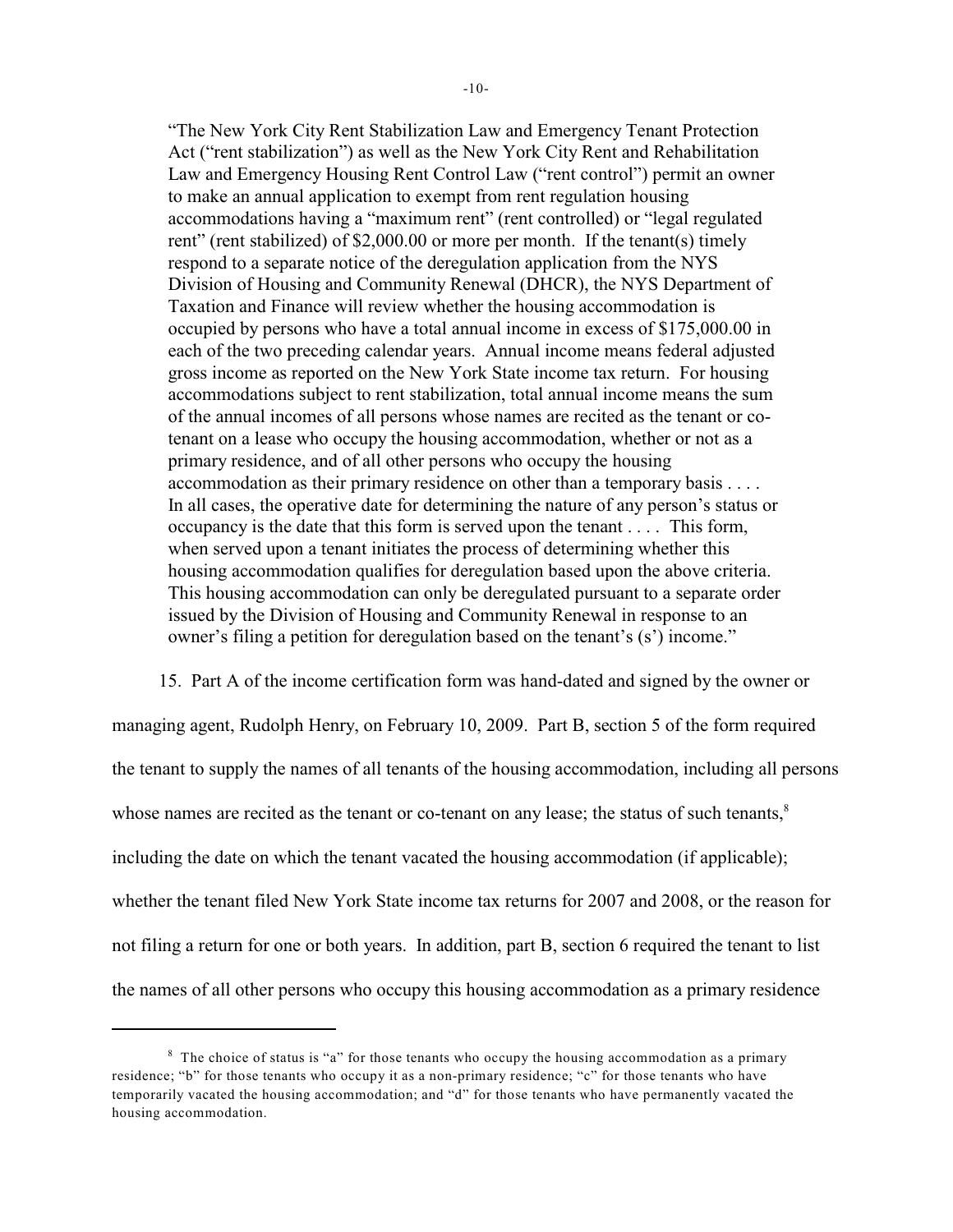"The New York City Rent Stabilization Law and Emergency Tenant Protection Act ("rent stabilization") as well as the New York City Rent and Rehabilitation Law and Emergency Housing Rent Control Law ("rent control") permit an owner to make an annual application to exempt from rent regulation housing accommodations having a "maximum rent" (rent controlled) or "legal regulated rent" (rent stabilized) of \$2,000.00 or more per month. If the tenant(s) timely respond to a separate notice of the deregulation application from the NYS Division of Housing and Community Renewal (DHCR), the NYS Department of Taxation and Finance will review whether the housing accommodation is occupied by persons who have a total annual income in excess of \$175,000.00 in each of the two preceding calendar years. Annual income means federal adjusted gross income as reported on the New York State income tax return. For housing accommodations subject to rent stabilization, total annual income means the sum of the annual incomes of all persons whose names are recited as the tenant or cotenant on a lease who occupy the housing accommodation, whether or not as a primary residence, and of all other persons who occupy the housing accommodation as their primary residence on other than a temporary basis . . . . In all cases, the operative date for determining the nature of any person's status or occupancy is the date that this form is served upon the tenant . . . . This form, when served upon a tenant initiates the process of determining whether this housing accommodation qualifies for deregulation based upon the above criteria. This housing accommodation can only be deregulated pursuant to a separate order issued by the Division of Housing and Community Renewal in response to an owner's filing a petition for deregulation based on the tenant's (s') income."

15. Part A of the income certification form was hand-dated and signed by the owner or managing agent, Rudolph Henry, on February 10, 2009. Part B, section 5 of the form required the tenant to supply the names of all tenants of the housing accommodation, including all persons whose names are recited as the tenant or co-tenant on any lease; the status of such tenants,<sup>8</sup> including the date on which the tenant vacated the housing accommodation (if applicable); whether the tenant filed New York State income tax returns for 2007 and 2008, or the reason for not filing a return for one or both years. In addition, part B, section 6 required the tenant to list the names of all other persons who occupy this housing accommodation as a primary residence

 $8\text{ The choice of status is "a" for those tenants who occupy the housing accommodation as a primary.}$ residence; "b" for those tenants who occupy it as a non-primary residence; "c" for those tenants who have temporarily vacated the housing accommodation; and "d" for those tenants who have permanently vacated the housing accommodation.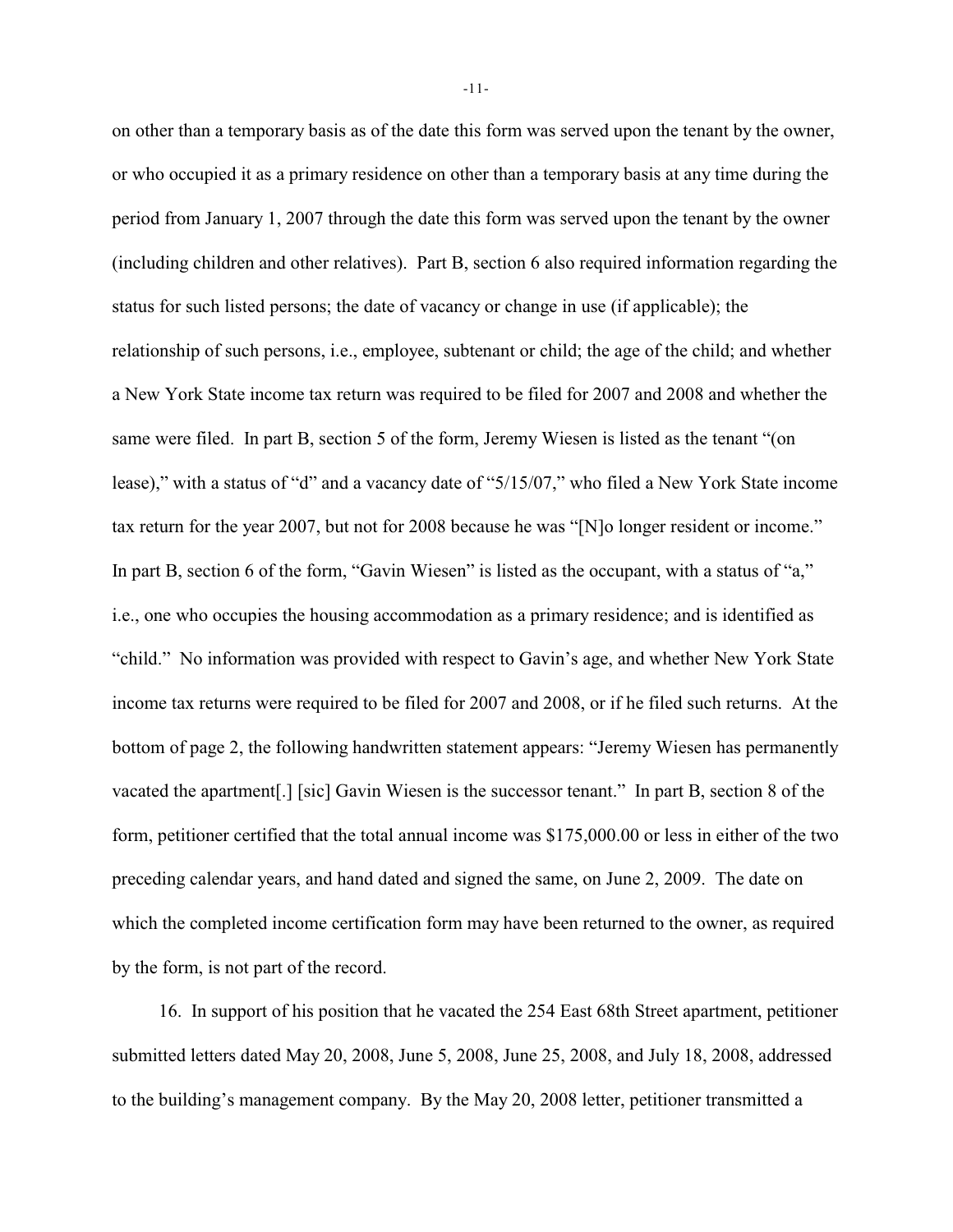on other than a temporary basis as of the date this form was served upon the tenant by the owner, or who occupied it as a primary residence on other than a temporary basis at any time during the period from January 1, 2007 through the date this form was served upon the tenant by the owner (including children and other relatives). Part B, section 6 also required information regarding the status for such listed persons; the date of vacancy or change in use (if applicable); the relationship of such persons, i.e., employee, subtenant or child; the age of the child; and whether a New York State income tax return was required to be filed for 2007 and 2008 and whether the same were filed. In part B, section 5 of the form, Jeremy Wiesen is listed as the tenant "(on lease)," with a status of "d" and a vacancy date of "5/15/07," who filed a New York State income tax return for the year 2007, but not for 2008 because he was "[N]o longer resident or income." In part B, section 6 of the form, "Gavin Wiesen" is listed as the occupant, with a status of "a," i.e., one who occupies the housing accommodation as a primary residence; and is identified as "child." No information was provided with respect to Gavin's age, and whether New York State income tax returns were required to be filed for 2007 and 2008, or if he filed such returns. At the bottom of page 2, the following handwritten statement appears: "Jeremy Wiesen has permanently vacated the apartment[.] [sic] Gavin Wiesen is the successor tenant." In part B, section 8 of the form, petitioner certified that the total annual income was \$175,000.00 or less in either of the two preceding calendar years, and hand dated and signed the same, on June 2, 2009. The date on which the completed income certification form may have been returned to the owner, as required by the form, is not part of the record.

16. In support of his position that he vacated the 254 East 68th Street apartment, petitioner submitted letters dated May 20, 2008, June 5, 2008, June 25, 2008, and July 18, 2008, addressed to the building's management company. By the May 20, 2008 letter, petitioner transmitted a

-11-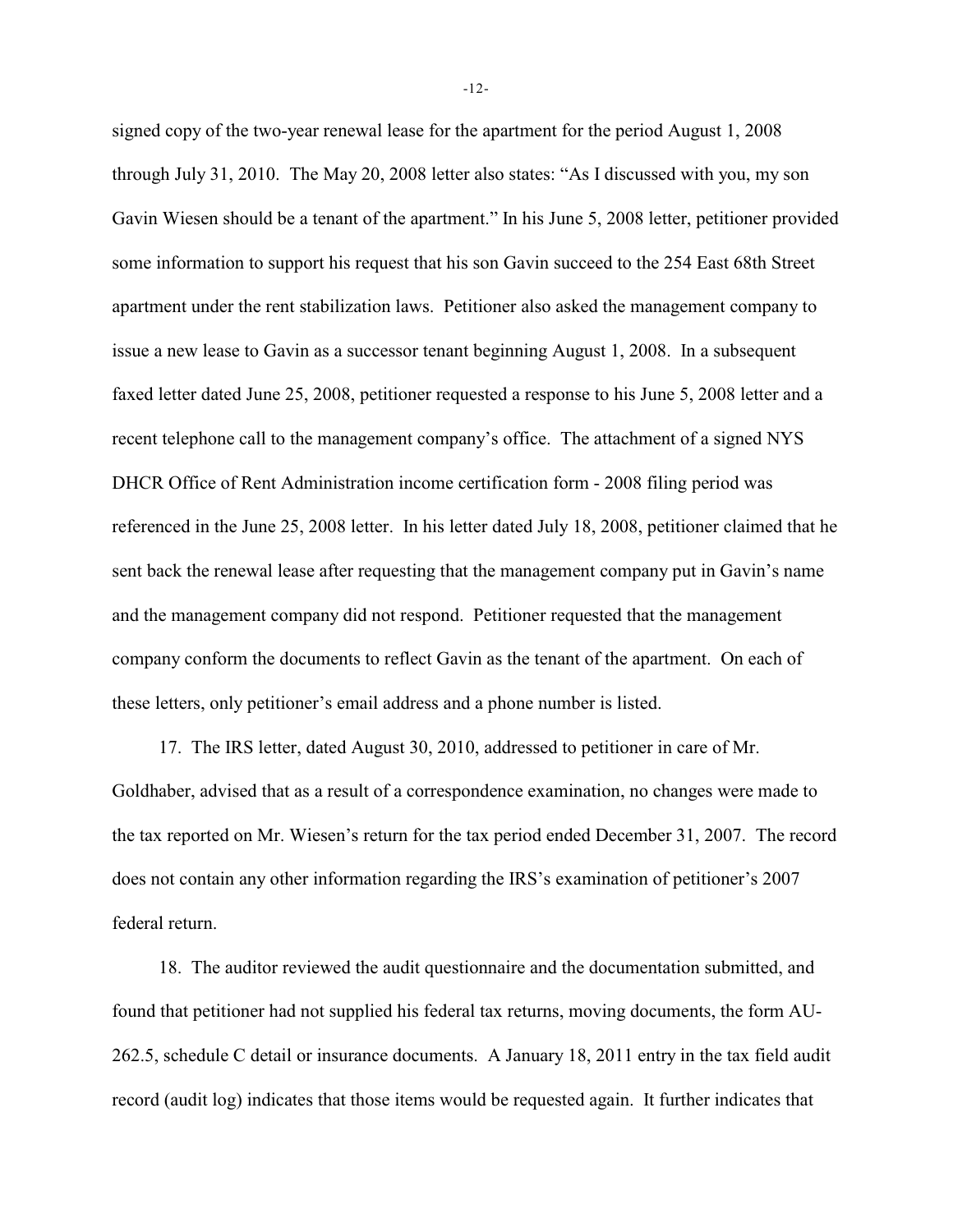signed copy of the two-year renewal lease for the apartment for the period August 1, 2008 through July 31, 2010. The May 20, 2008 letter also states: "As I discussed with you, my son Gavin Wiesen should be a tenant of the apartment." In his June 5, 2008 letter, petitioner provided some information to support his request that his son Gavin succeed to the 254 East 68th Street apartment under the rent stabilization laws. Petitioner also asked the management company to issue a new lease to Gavin as a successor tenant beginning August 1, 2008. In a subsequent faxed letter dated June 25, 2008, petitioner requested a response to his June 5, 2008 letter and a recent telephone call to the management company's office. The attachment of a signed NYS DHCR Office of Rent Administration income certification form - 2008 filing period was referenced in the June 25, 2008 letter. In his letter dated July 18, 2008, petitioner claimed that he sent back the renewal lease after requesting that the management company put in Gavin's name and the management company did not respond. Petitioner requested that the management company conform the documents to reflect Gavin as the tenant of the apartment. On each of these letters, only petitioner's email address and a phone number is listed.

17. The IRS letter, dated August 30, 2010, addressed to petitioner in care of Mr. Goldhaber, advised that as a result of a correspondence examination, no changes were made to the tax reported on Mr. Wiesen's return for the tax period ended December 31, 2007. The record does not contain any other information regarding the IRS's examination of petitioner's 2007 federal return.

18. The auditor reviewed the audit questionnaire and the documentation submitted, and found that petitioner had not supplied his federal tax returns, moving documents, the form AU-262.5, schedule C detail or insurance documents. A January 18, 2011 entry in the tax field audit record (audit log) indicates that those items would be requested again. It further indicates that

-12-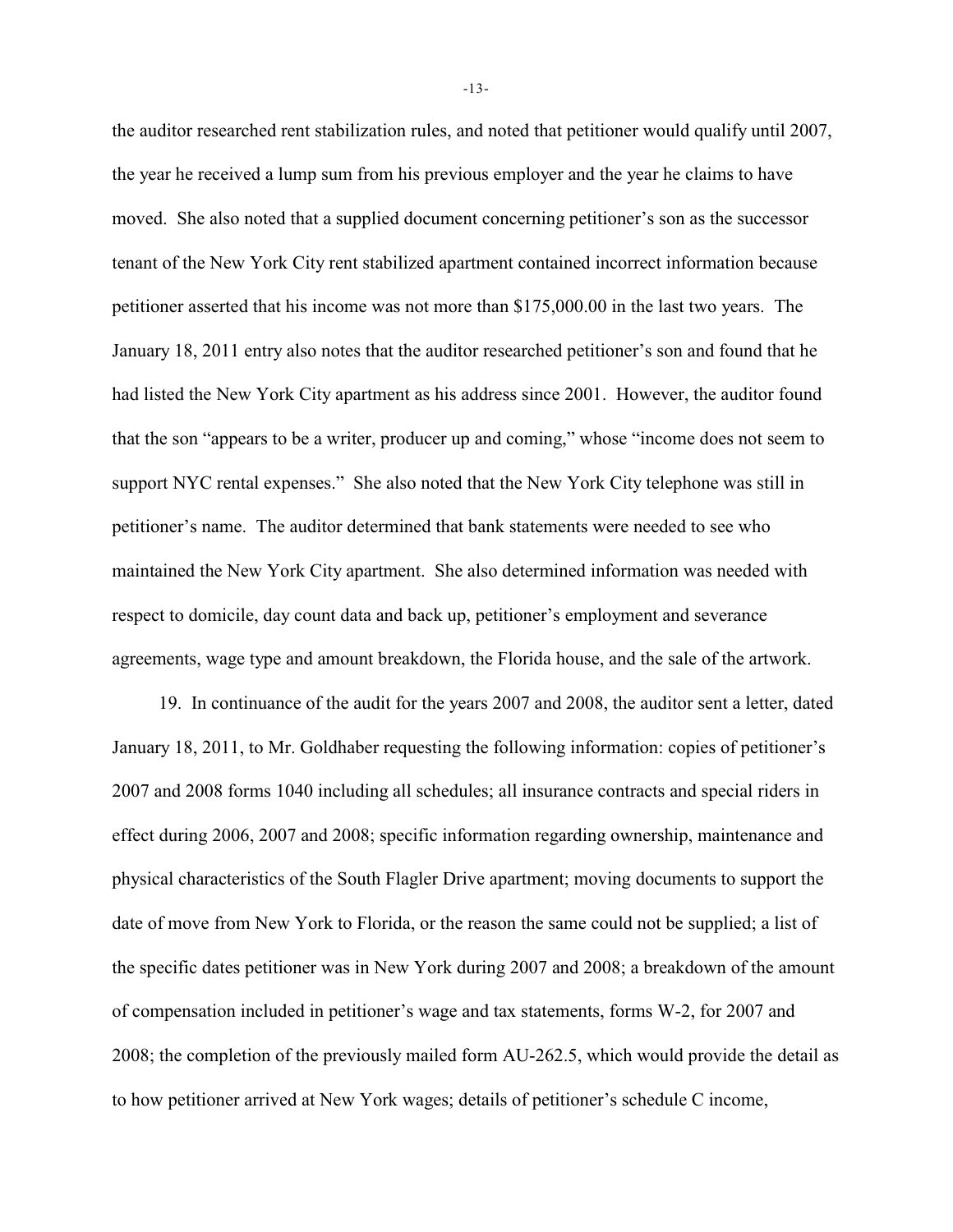the auditor researched rent stabilization rules, and noted that petitioner would qualify until 2007, the year he received a lump sum from his previous employer and the year he claims to have moved. She also noted that a supplied document concerning petitioner's son as the successor tenant of the New York City rent stabilized apartment contained incorrect information because petitioner asserted that his income was not more than \$175,000.00 in the last two years. The January 18, 2011 entry also notes that the auditor researched petitioner's son and found that he had listed the New York City apartment as his address since 2001. However, the auditor found that the son "appears to be a writer, producer up and coming," whose "income does not seem to support NYC rental expenses." She also noted that the New York City telephone was still in petitioner's name. The auditor determined that bank statements were needed to see who maintained the New York City apartment. She also determined information was needed with respect to domicile, day count data and back up, petitioner's employment and severance agreements, wage type and amount breakdown, the Florida house, and the sale of the artwork.

19. In continuance of the audit for the years 2007 and 2008, the auditor sent a letter, dated January 18, 2011, to Mr. Goldhaber requesting the following information: copies of petitioner's 2007 and 2008 forms 1040 including all schedules; all insurance contracts and special riders in effect during 2006, 2007 and 2008; specific information regarding ownership, maintenance and physical characteristics of the South Flagler Drive apartment; moving documents to support the date of move from New York to Florida, or the reason the same could not be supplied; a list of the specific dates petitioner was in New York during 2007 and 2008; a breakdown of the amount of compensation included in petitioner's wage and tax statements, forms W-2, for 2007 and 2008; the completion of the previously mailed form AU-262.5, which would provide the detail as to how petitioner arrived at New York wages; details of petitioner's schedule C income,

-13-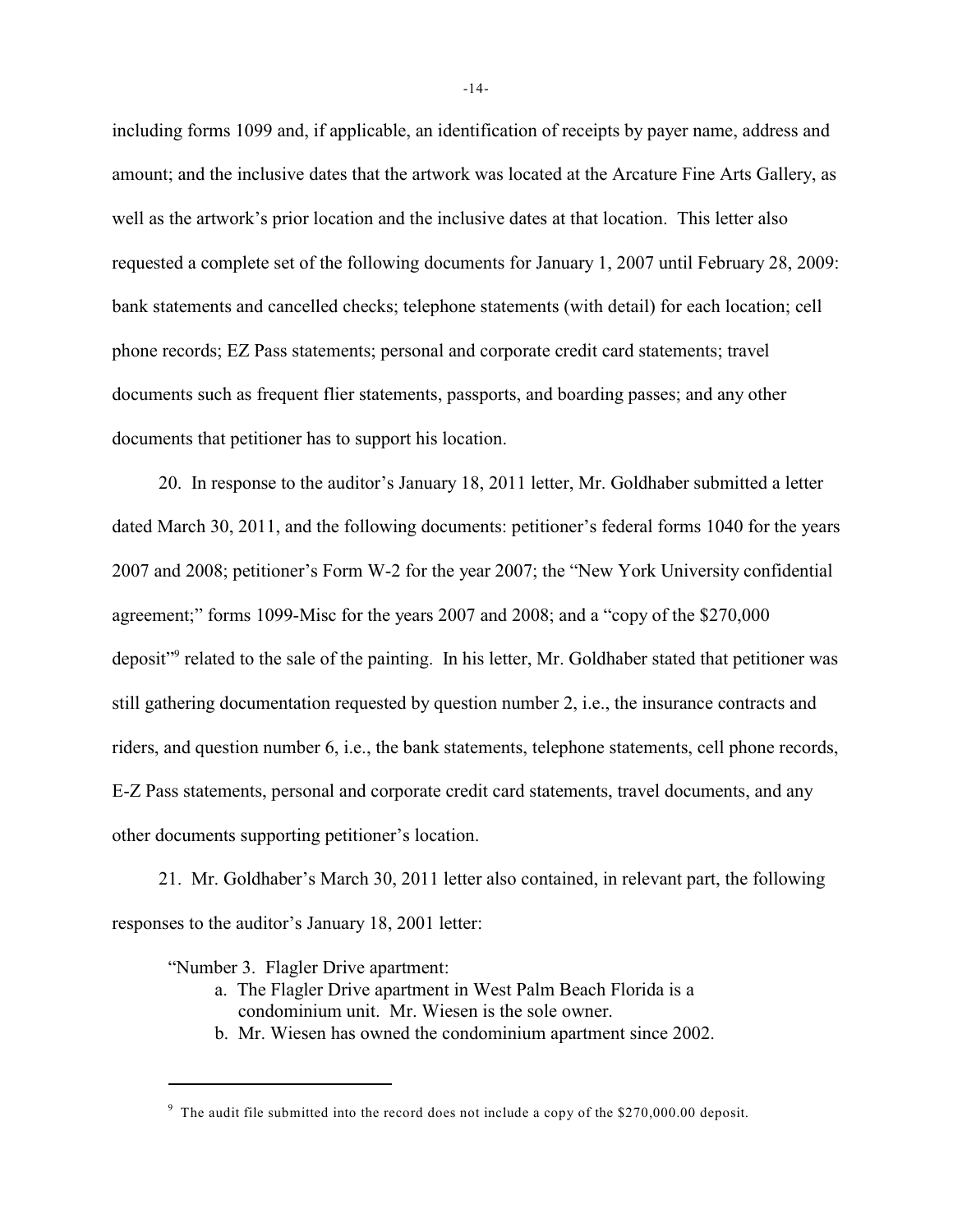including forms 1099 and, if applicable, an identification of receipts by payer name, address and amount; and the inclusive dates that the artwork was located at the Arcature Fine Arts Gallery, as well as the artwork's prior location and the inclusive dates at that location. This letter also requested a complete set of the following documents for January 1, 2007 until February 28, 2009: bank statements and cancelled checks; telephone statements (with detail) for each location; cell phone records; EZ Pass statements; personal and corporate credit card statements; travel documents such as frequent flier statements, passports, and boarding passes; and any other documents that petitioner has to support his location.

20. In response to the auditor's January 18, 2011 letter, Mr. Goldhaber submitted a letter dated March 30, 2011, and the following documents: petitioner's federal forms 1040 for the years 2007 and 2008; petitioner's Form W-2 for the year 2007; the "New York University confidential agreement;" forms 1099-Misc for the years 2007 and 2008; and a "copy of the \$270,000 deposit"<sup>9</sup> related to the sale of the painting. In his letter, Mr. Goldhaber stated that petitioner was still gathering documentation requested by question number 2, i.e., the insurance contracts and riders, and question number 6, i.e., the bank statements, telephone statements, cell phone records, E-Z Pass statements, personal and corporate credit card statements, travel documents, and any other documents supporting petitioner's location.

21. Mr. Goldhaber's March 30, 2011 letter also contained, in relevant part, the following responses to the auditor's January 18, 2001 letter:

"Number 3. Flagler Drive apartment:

- a. The Flagler Drive apartment in West Palm Beach Florida is a condominium unit. Mr. Wiesen is the sole owner.
- b. Mr. Wiesen has owned the condominium apartment since 2002.

<sup>&</sup>lt;sup>9</sup> The audit file submitted into the record does not include a copy of the \$270,000.00 deposit.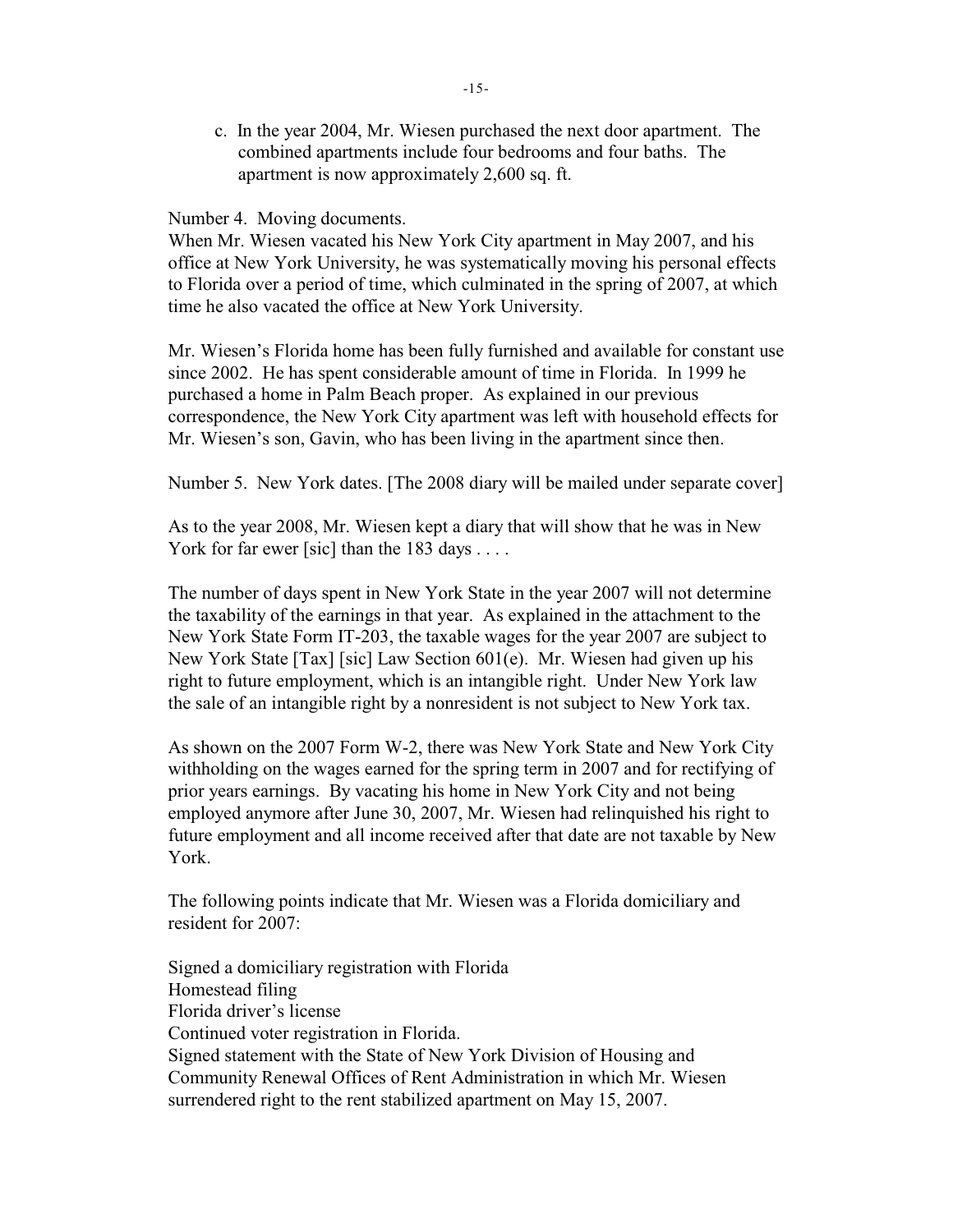c. In the year 2004, Mr. Wiesen purchased the next door apartment. The combined apartments include four bedrooms and four baths. The apartment is now approximately 2,600 sq. ft.

## Number 4. Moving documents.

When Mr. Wiesen vacated his New York City apartment in May 2007, and his office at New York University, he was systematically moving his personal effects to Florida over a period of time, which culminated in the spring of 2007, at which time he also vacated the office at New York University.

Mr. Wiesen's Florida home has been fully furnished and available for constant use since 2002. He has spent considerable amount of time in Florida. In 1999 he purchased a home in Palm Beach proper. As explained in our previous correspondence, the New York City apartment was left with household effects for Mr. Wiesen's son, Gavin, who has been living in the apartment since then.

Number 5. New York dates. [The 2008 diary will be mailed under separate cover]

As to the year 2008, Mr. Wiesen kept a diary that will show that he was in New York for far ewer [sic] than the 183 days . . . .

The number of days spent in New York State in the year 2007 will not determine the taxability of the earnings in that year. As explained in the attachment to the New York State Form IT-203, the taxable wages for the year 2007 are subject to New York State [Tax] [sic] Law Section 601(e). Mr. Wiesen had given up his right to future employment, which is an intangible right. Under New York law the sale of an intangible right by a nonresident is not subject to New York tax.

As shown on the 2007 Form W-2, there was New York State and New York City withholding on the wages earned for the spring term in 2007 and for rectifying of prior years earnings. By vacating his home in New York City and not being employed anymore after June 30, 2007, Mr. Wiesen had relinquished his right to future employment and all income received after that date are not taxable by New York.

The following points indicate that Mr. Wiesen was a Florida domiciliary and resident for 2007:

Signed a domiciliary registration with Florida Homestead filing Florida driver's license Continued voter registration in Florida. Signed statement with the State of New York Division of Housing and Community Renewal Offices of Rent Administration in which Mr. Wiesen surrendered right to the rent stabilized apartment on May 15, 2007.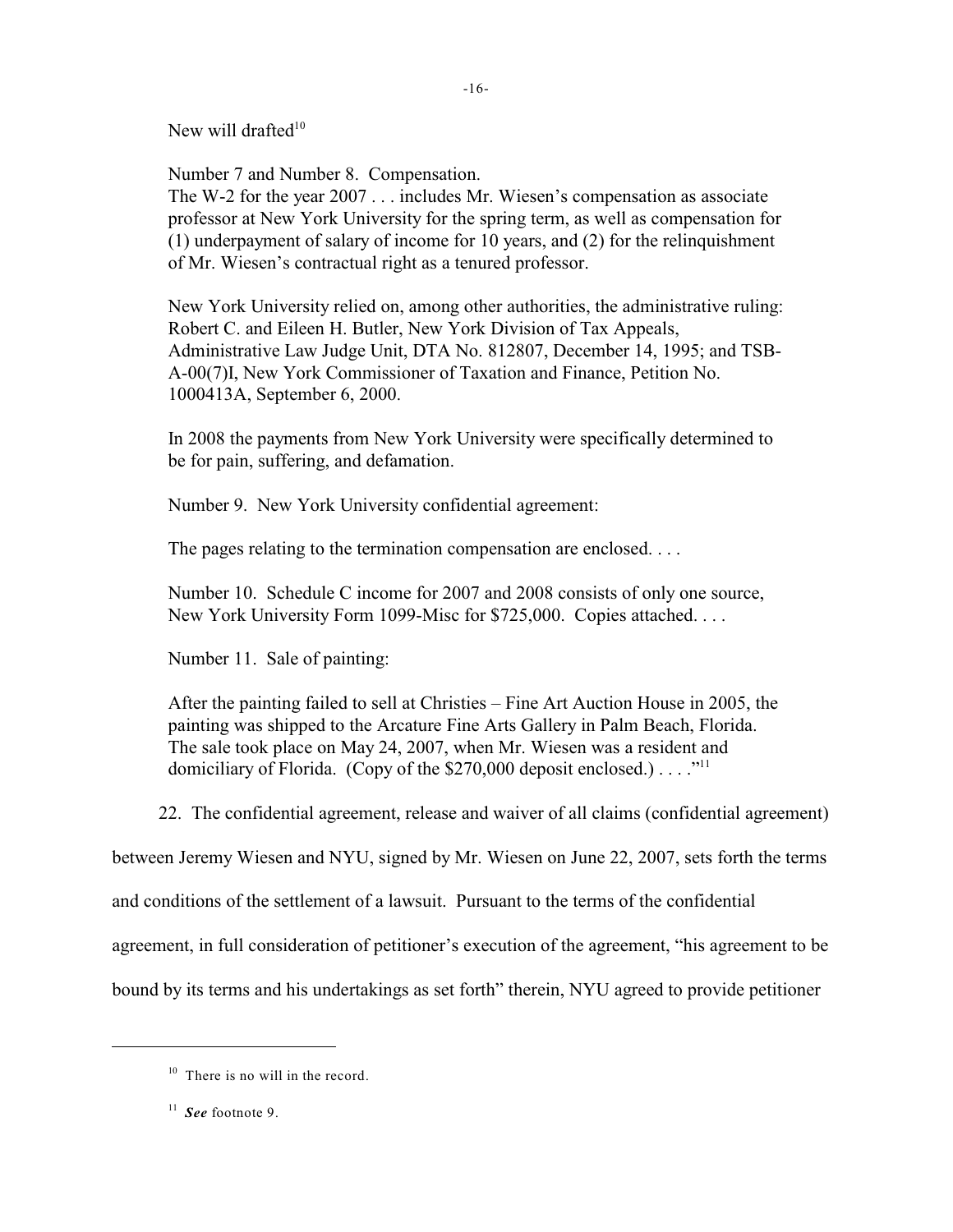New will drafted $10$ 

Number 7 and Number 8. Compensation.

The W-2 for the year 2007 . . . includes Mr. Wiesen's compensation as associate professor at New York University for the spring term, as well as compensation for (1) underpayment of salary of income for 10 years, and (2) for the relinquishment of Mr. Wiesen's contractual right as a tenured professor.

-16-

New York University relied on, among other authorities, the administrative ruling: Robert C. and Eileen H. Butler, New York Division of Tax Appeals, Administrative Law Judge Unit, DTA No. 812807, December 14, 1995; and TSB-A-00(7)I, New York Commissioner of Taxation and Finance, Petition No. 1000413A, September 6, 2000.

In 2008 the payments from New York University were specifically determined to be for pain, suffering, and defamation.

Number 9. New York University confidential agreement:

The pages relating to the termination compensation are enclosed....

Number 10. Schedule C income for 2007 and 2008 consists of only one source, New York University Form 1099-Misc for \$725,000. Copies attached. . . .

Number 11. Sale of painting:

After the painting failed to sell at Christies – Fine Art Auction House in 2005, the painting was shipped to the Arcature Fine Arts Gallery in Palm Beach, Florida. The sale took place on May 24, 2007, when Mr. Wiesen was a resident and domiciliary of Florida. (Copy of the \$270,000 deposit enclosed.)  $\dots$ ."<sup>11</sup>

22. The confidential agreement, release and waiver of all claims (confidential agreement)

between Jeremy Wiesen and NYU, signed by Mr. Wiesen on June 22, 2007, sets forth the terms

and conditions of the settlement of a lawsuit. Pursuant to the terms of the confidential

agreement, in full consideration of petitioner's execution of the agreement, "his agreement to be

bound by its terms and his undertakings as set forth" therein, NYU agreed to provide petitioner

 $10$  There is no will in the record.

 $\frac{11}{2}$  See footnote 9.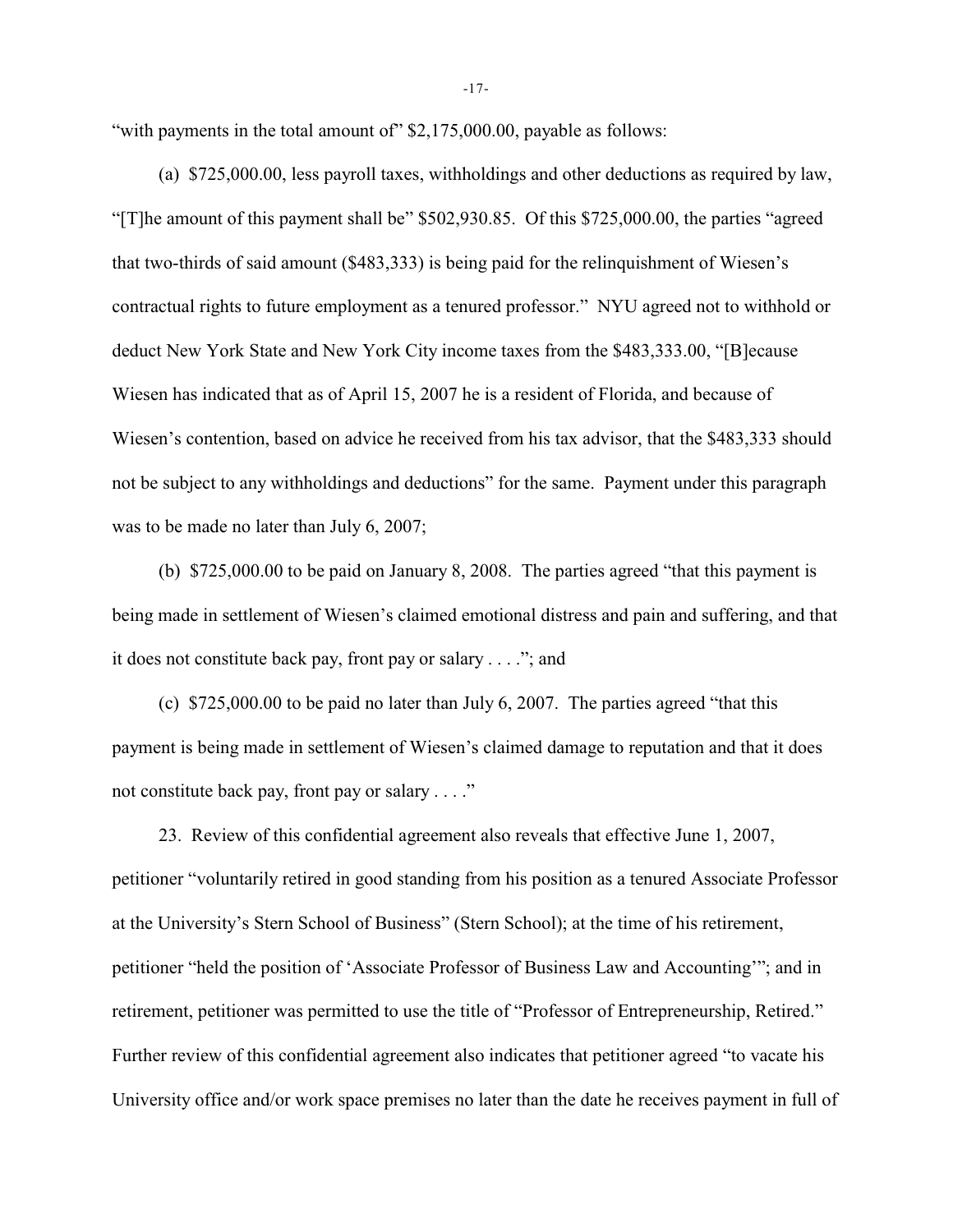"with payments in the total amount of" \$2,175,000.00, payable as follows:

(a) \$725,000.00, less payroll taxes, withholdings and other deductions as required by law, "[T]he amount of this payment shall be" \$502,930.85. Of this \$725,000.00, the parties "agreed that two-thirds of said amount (\$483,333) is being paid for the relinquishment of Wiesen's contractual rights to future employment as a tenured professor." NYU agreed not to withhold or deduct New York State and New York City income taxes from the \$483,333.00, "[B]ecause Wiesen has indicated that as of April 15, 2007 he is a resident of Florida, and because of Wiesen's contention, based on advice he received from his tax advisor, that the \$483,333 should not be subject to any withholdings and deductions" for the same. Payment under this paragraph was to be made no later than July 6, 2007;

(b) \$725,000.00 to be paid on January 8, 2008. The parties agreed "that this payment is being made in settlement of Wiesen's claimed emotional distress and pain and suffering, and that it does not constitute back pay, front pay or salary . . . ."; and

(c) \$725,000.00 to be paid no later than July 6, 2007. The parties agreed "that this payment is being made in settlement of Wiesen's claimed damage to reputation and that it does not constitute back pay, front pay or salary . . . ."

23. Review of this confidential agreement also reveals that effective June 1, 2007, petitioner "voluntarily retired in good standing from his position as a tenured Associate Professor at the University's Stern School of Business" (Stern School); at the time of his retirement, petitioner "held the position of 'Associate Professor of Business Law and Accounting'"; and in retirement, petitioner was permitted to use the title of "Professor of Entrepreneurship, Retired." Further review of this confidential agreement also indicates that petitioner agreed "to vacate his University office and/or work space premises no later than the date he receives payment in full of

-17-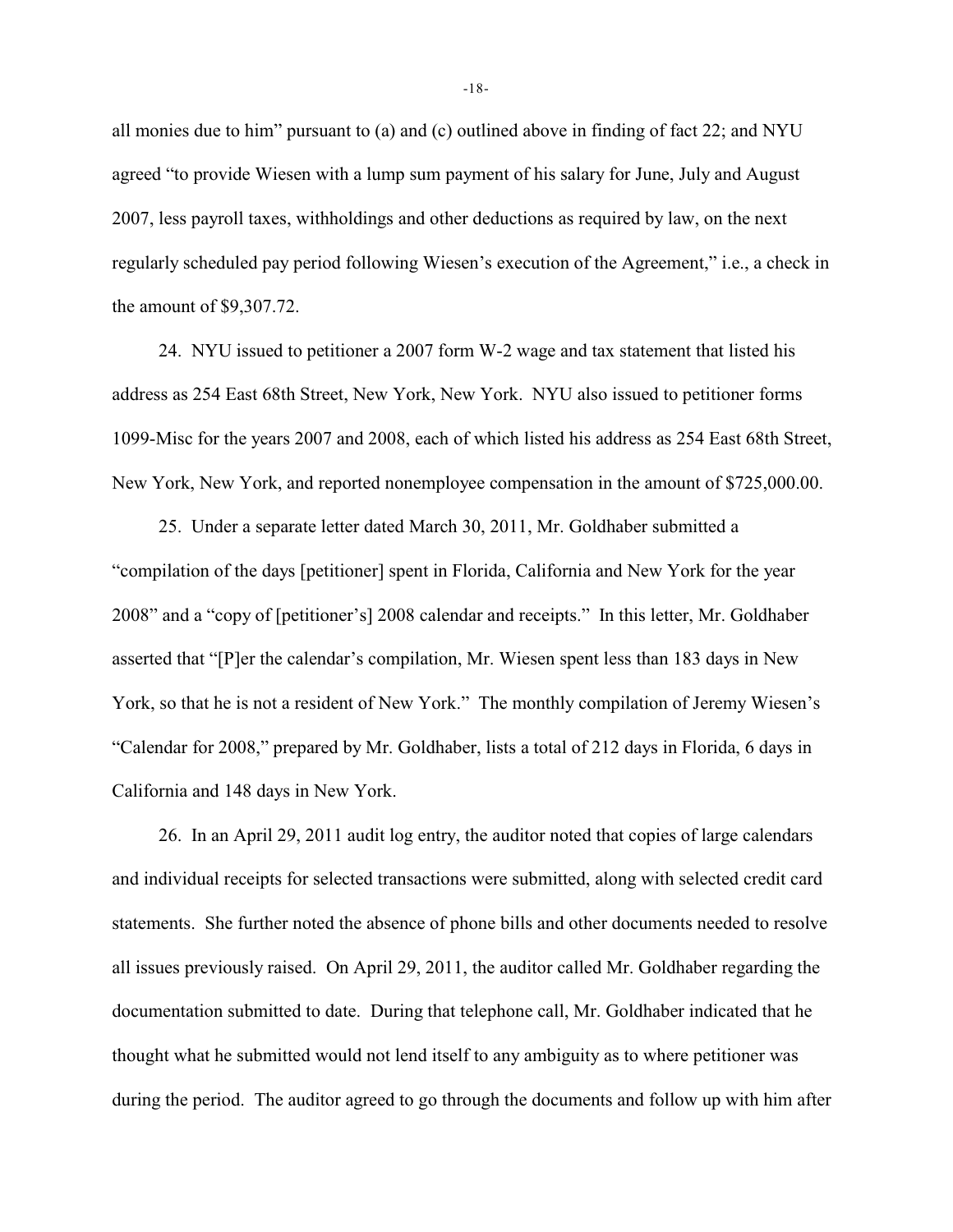all monies due to him" pursuant to (a) and (c) outlined above in finding of fact 22; and NYU agreed "to provide Wiesen with a lump sum payment of his salary for June, July and August 2007, less payroll taxes, withholdings and other deductions as required by law, on the next regularly scheduled pay period following Wiesen's execution of the Agreement," i.e., a check in the amount of \$9,307.72.

24. NYU issued to petitioner a 2007 form W-2 wage and tax statement that listed his address as 254 East 68th Street, New York, New York. NYU also issued to petitioner forms 1099-Misc for the years 2007 and 2008, each of which listed his address as 254 East 68th Street, New York, New York, and reported nonemployee compensation in the amount of \$725,000.00.

25. Under a separate letter dated March 30, 2011, Mr. Goldhaber submitted a "compilation of the days [petitioner] spent in Florida, California and New York for the year 2008" and a "copy of [petitioner's] 2008 calendar and receipts." In this letter, Mr. Goldhaber asserted that "[P]er the calendar's compilation, Mr. Wiesen spent less than 183 days in New York, so that he is not a resident of New York." The monthly compilation of Jeremy Wiesen's "Calendar for 2008," prepared by Mr. Goldhaber, lists a total of 212 days in Florida, 6 days in California and 148 days in New York.

26. In an April 29, 2011 audit log entry, the auditor noted that copies of large calendars and individual receipts for selected transactions were submitted, along with selected credit card statements. She further noted the absence of phone bills and other documents needed to resolve all issues previously raised. On April 29, 2011, the auditor called Mr. Goldhaber regarding the documentation submitted to date. During that telephone call, Mr. Goldhaber indicated that he thought what he submitted would not lend itself to any ambiguity as to where petitioner was during the period. The auditor agreed to go through the documents and follow up with him after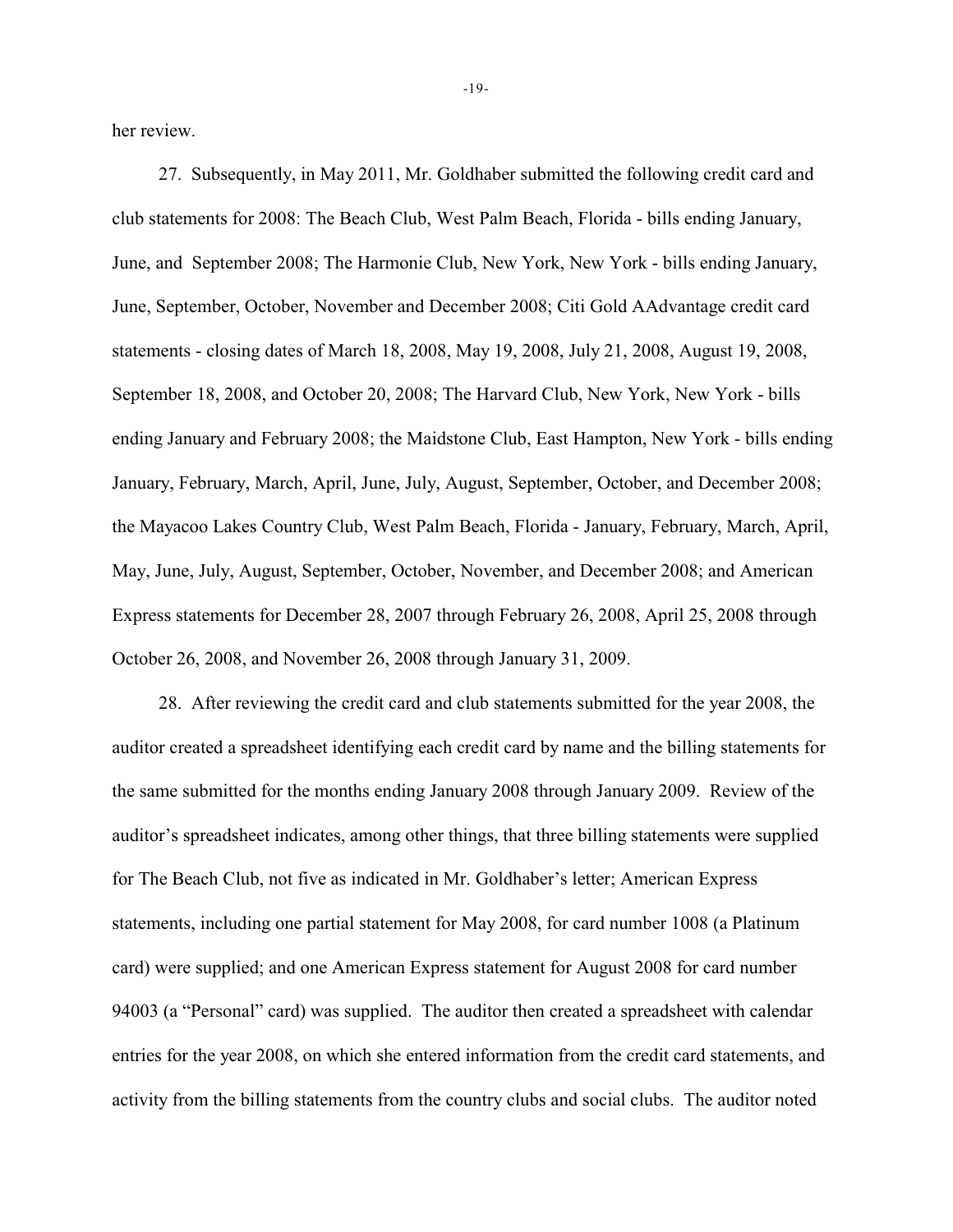her review.

27. Subsequently, in May 2011, Mr. Goldhaber submitted the following credit card and club statements for 2008: The Beach Club, West Palm Beach, Florida - bills ending January, June, and September 2008; The Harmonie Club, New York, New York - bills ending January, June, September, October, November and December 2008; Citi Gold AAdvantage credit card statements - closing dates of March 18, 2008, May 19, 2008, July 21, 2008, August 19, 2008, September 18, 2008, and October 20, 2008; The Harvard Club, New York, New York - bills ending January and February 2008; the Maidstone Club, East Hampton, New York - bills ending January, February, March, April, June, July, August, September, October, and December 2008; the Mayacoo Lakes Country Club, West Palm Beach, Florida - January, February, March, April, May, June, July, August, September, October, November, and December 2008; and American Express statements for December 28, 2007 through February 26, 2008, April 25, 2008 through October 26, 2008, and November 26, 2008 through January 31, 2009.

28. After reviewing the credit card and club statements submitted for the year 2008, the auditor created a spreadsheet identifying each credit card by name and the billing statements for the same submitted for the months ending January 2008 through January 2009. Review of the auditor's spreadsheet indicates, among other things, that three billing statements were supplied for The Beach Club, not five as indicated in Mr. Goldhaber's letter; American Express statements, including one partial statement for May 2008, for card number 1008 (a Platinum card) were supplied; and one American Express statement for August 2008 for card number 94003 (a "Personal" card) was supplied. The auditor then created a spreadsheet with calendar entries for the year 2008, on which she entered information from the credit card statements, and activity from the billing statements from the country clubs and social clubs. The auditor noted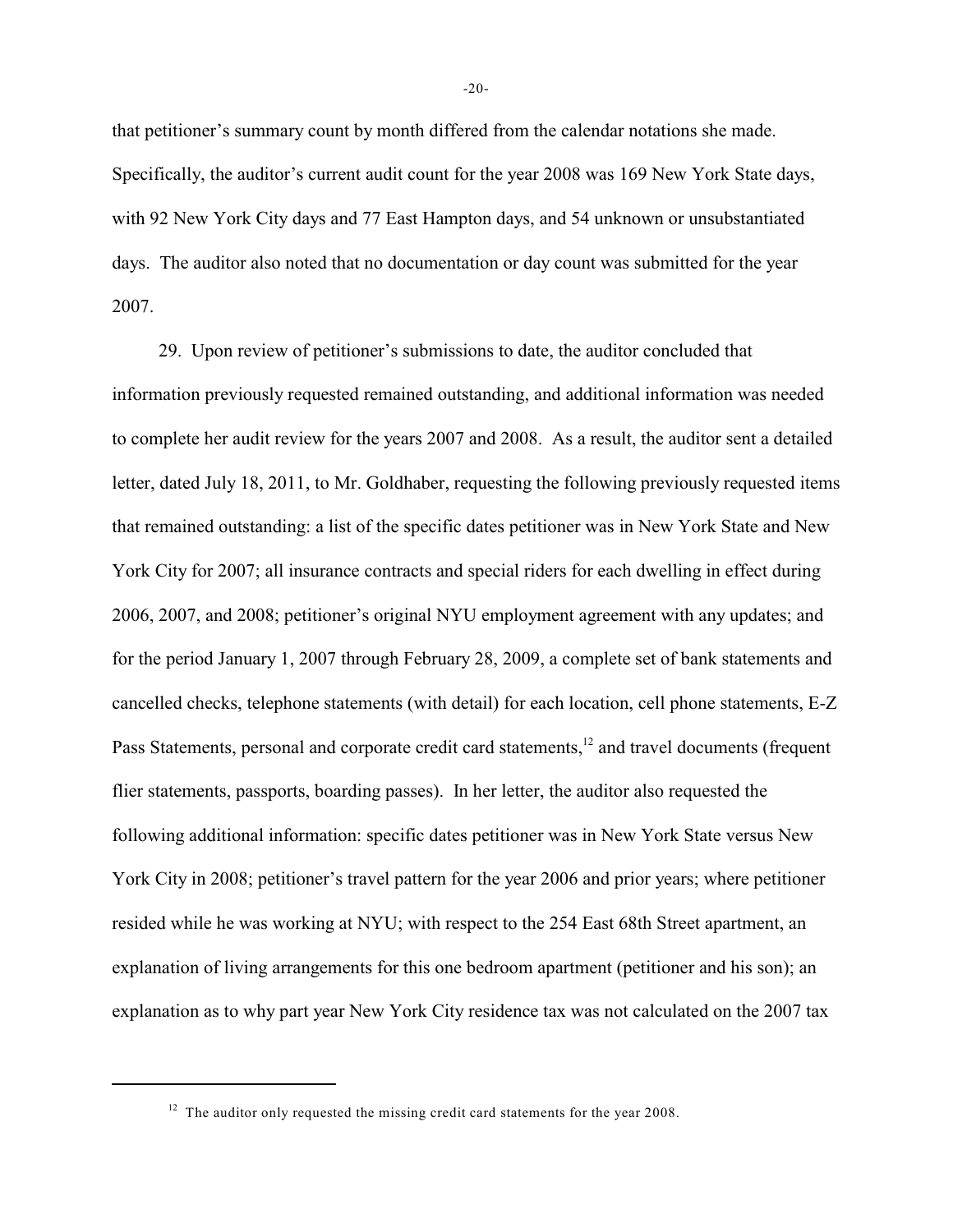that petitioner's summary count by month differed from the calendar notations she made. Specifically, the auditor's current audit count for the year 2008 was 169 New York State days, with 92 New York City days and 77 East Hampton days, and 54 unknown or unsubstantiated days. The auditor also noted that no documentation or day count was submitted for the year 2007.

29. Upon review of petitioner's submissions to date, the auditor concluded that information previously requested remained outstanding, and additional information was needed to complete her audit review for the years 2007 and 2008. As a result, the auditor sent a detailed letter, dated July 18, 2011, to Mr. Goldhaber, requesting the following previously requested items that remained outstanding: a list of the specific dates petitioner was in New York State and New York City for 2007; all insurance contracts and special riders for each dwelling in effect during 2006, 2007, and 2008; petitioner's original NYU employment agreement with any updates; and for the period January 1, 2007 through February 28, 2009, a complete set of bank statements and cancelled checks, telephone statements (with detail) for each location, cell phone statements, E-Z Pass Statements, personal and corporate credit card statements,<sup>12</sup> and travel documents (frequent flier statements, passports, boarding passes). In her letter, the auditor also requested the following additional information: specific dates petitioner was in New York State versus New York City in 2008; petitioner's travel pattern for the year 2006 and prior years; where petitioner resided while he was working at NYU; with respect to the 254 East 68th Street apartment, an explanation of living arrangements for this one bedroom apartment (petitioner and his son); an explanation as to why part year New York City residence tax was not calculated on the 2007 tax

 $12$  The auditor only requested the missing credit card statements for the year 2008.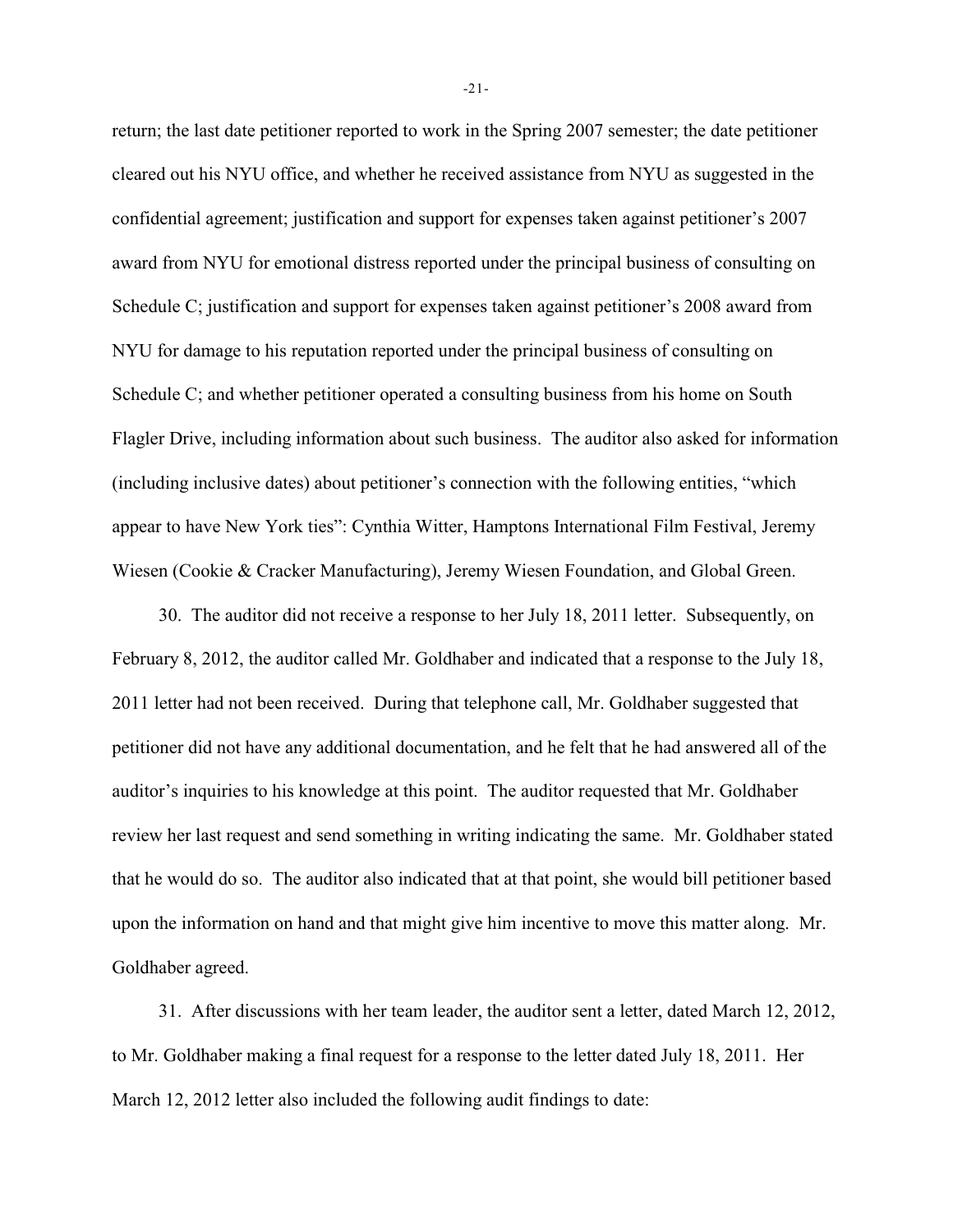return; the last date petitioner reported to work in the Spring 2007 semester; the date petitioner cleared out his NYU office, and whether he received assistance from NYU as suggested in the confidential agreement; justification and support for expenses taken against petitioner's 2007 award from NYU for emotional distress reported under the principal business of consulting on Schedule C; justification and support for expenses taken against petitioner's 2008 award from NYU for damage to his reputation reported under the principal business of consulting on Schedule C; and whether petitioner operated a consulting business from his home on South Flagler Drive, including information about such business. The auditor also asked for information (including inclusive dates) about petitioner's connection with the following entities, "which appear to have New York ties": Cynthia Witter, Hamptons International Film Festival, Jeremy Wiesen (Cookie & Cracker Manufacturing), Jeremy Wiesen Foundation, and Global Green.

30. The auditor did not receive a response to her July 18, 2011 letter. Subsequently, on February 8, 2012, the auditor called Mr. Goldhaber and indicated that a response to the July 18, 2011 letter had not been received. During that telephone call, Mr. Goldhaber suggested that petitioner did not have any additional documentation, and he felt that he had answered all of the auditor's inquiries to his knowledge at this point. The auditor requested that Mr. Goldhaber review her last request and send something in writing indicating the same. Mr. Goldhaber stated that he would do so. The auditor also indicated that at that point, she would bill petitioner based upon the information on hand and that might give him incentive to move this matter along. Mr. Goldhaber agreed.

31. After discussions with her team leader, the auditor sent a letter, dated March 12, 2012, to Mr. Goldhaber making a final request for a response to the letter dated July 18, 2011. Her March 12, 2012 letter also included the following audit findings to date:

-21-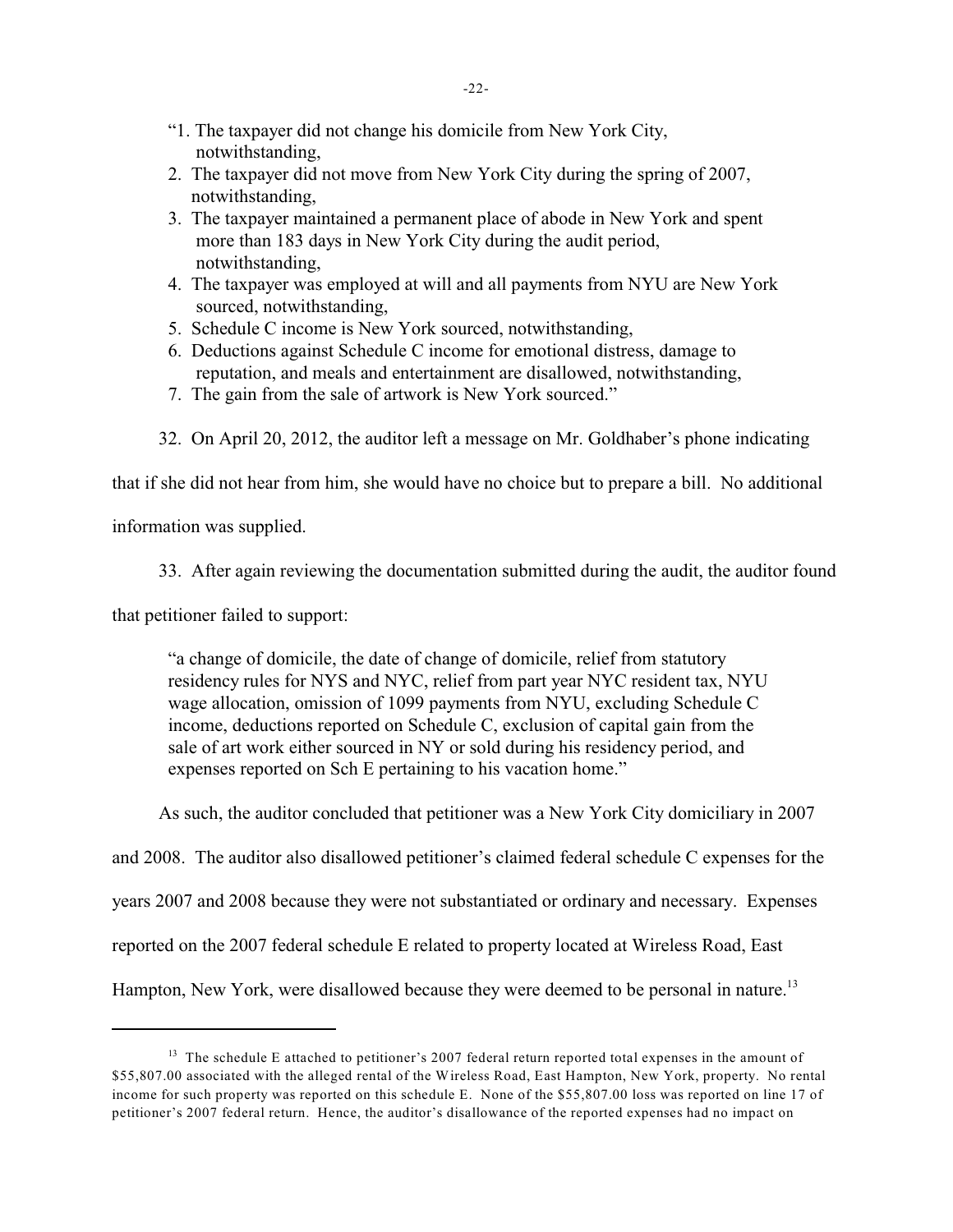- "1. The taxpayer did not change his domicile from New York City, notwithstanding,
- 2. The taxpayer did not move from New York City during the spring of 2007, notwithstanding,
- 3. The taxpayer maintained a permanent place of abode in New York and spent more than 183 days in New York City during the audit period, notwithstanding,
- 4. The taxpayer was employed at will and all payments from NYU are New York sourced, notwithstanding,
- 5. Schedule C income is New York sourced, notwithstanding,
- 6. Deductions against Schedule C income for emotional distress, damage to reputation, and meals and entertainment are disallowed, notwithstanding,
- 7. The gain from the sale of artwork is New York sourced."
- 32. On April 20, 2012, the auditor left a message on Mr. Goldhaber's phone indicating

that if she did not hear from him, she would have no choice but to prepare a bill. No additional

information was supplied.

33. After again reviewing the documentation submitted during the audit, the auditor found

that petitioner failed to support:

"a change of domicile, the date of change of domicile, relief from statutory residency rules for NYS and NYC, relief from part year NYC resident tax, NYU wage allocation, omission of 1099 payments from NYU, excluding Schedule C income, deductions reported on Schedule C, exclusion of capital gain from the sale of art work either sourced in NY or sold during his residency period, and expenses reported on Sch E pertaining to his vacation home."

As such, the auditor concluded that petitioner was a New York City domiciliary in 2007

and 2008. The auditor also disallowed petitioner's claimed federal schedule C expenses for the

years 2007 and 2008 because they were not substantiated or ordinary and necessary. Expenses

reported on the 2007 federal schedule E related to property located at Wireless Road, East

Hampton, New York, were disallowed because they were deemed to be personal in nature.<sup>13</sup>

 $13$  The schedule E attached to petitioner's 2007 federal return reported total expenses in the amount of \$55,807.00 associated with the alleged rental of the Wireless Road, East Hampton, New York, property. No rental income for such property was reported on this schedule E. None of the \$55,807.00 loss was reported on line 17 of petitioner's 2007 federal return. Hence, the auditor's disallowance of the reported expenses had no impact on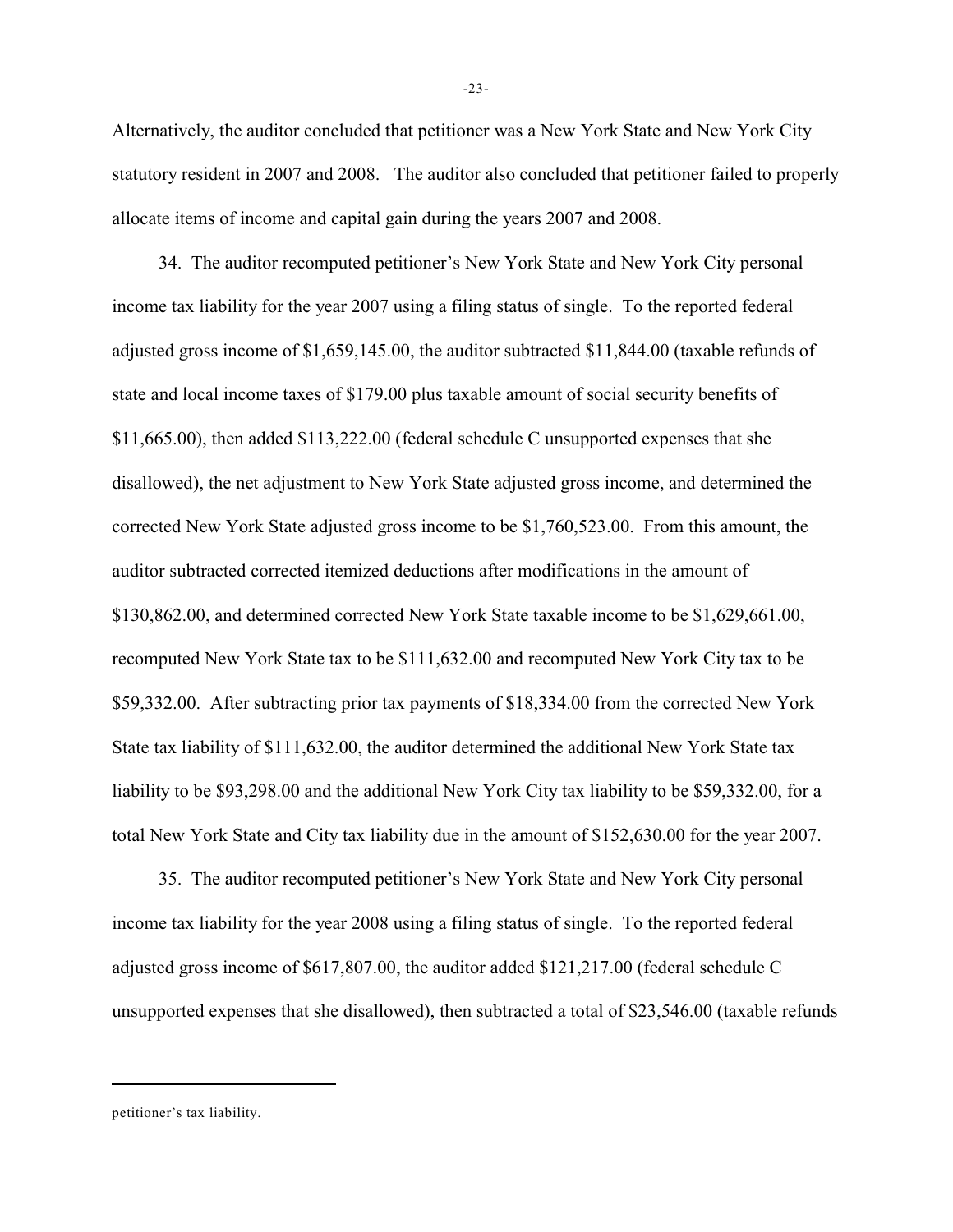Alternatively, the auditor concluded that petitioner was a New York State and New York City statutory resident in 2007 and 2008. The auditor also concluded that petitioner failed to properly allocate items of income and capital gain during the years 2007 and 2008.

34. The auditor recomputed petitioner's New York State and New York City personal income tax liability for the year 2007 using a filing status of single. To the reported federal adjusted gross income of \$1,659,145.00, the auditor subtracted \$11,844.00 (taxable refunds of state and local income taxes of \$179.00 plus taxable amount of social security benefits of \$11,665.00), then added \$113,222.00 (federal schedule C unsupported expenses that she disallowed), the net adjustment to New York State adjusted gross income, and determined the corrected New York State adjusted gross income to be \$1,760,523.00. From this amount, the auditor subtracted corrected itemized deductions after modifications in the amount of \$130,862.00, and determined corrected New York State taxable income to be \$1,629,661.00, recomputed New York State tax to be \$111,632.00 and recomputed New York City tax to be \$59,332.00. After subtracting prior tax payments of \$18,334.00 from the corrected New York State tax liability of \$111,632.00, the auditor determined the additional New York State tax liability to be \$93,298.00 and the additional New York City tax liability to be \$59,332.00, for a total New York State and City tax liability due in the amount of \$152,630.00 for the year 2007.

35. The auditor recomputed petitioner's New York State and New York City personal income tax liability for the year 2008 using a filing status of single. To the reported federal adjusted gross income of \$617,807.00, the auditor added \$121,217.00 (federal schedule C unsupported expenses that she disallowed), then subtracted a total of \$23,546.00 (taxable refunds

-23-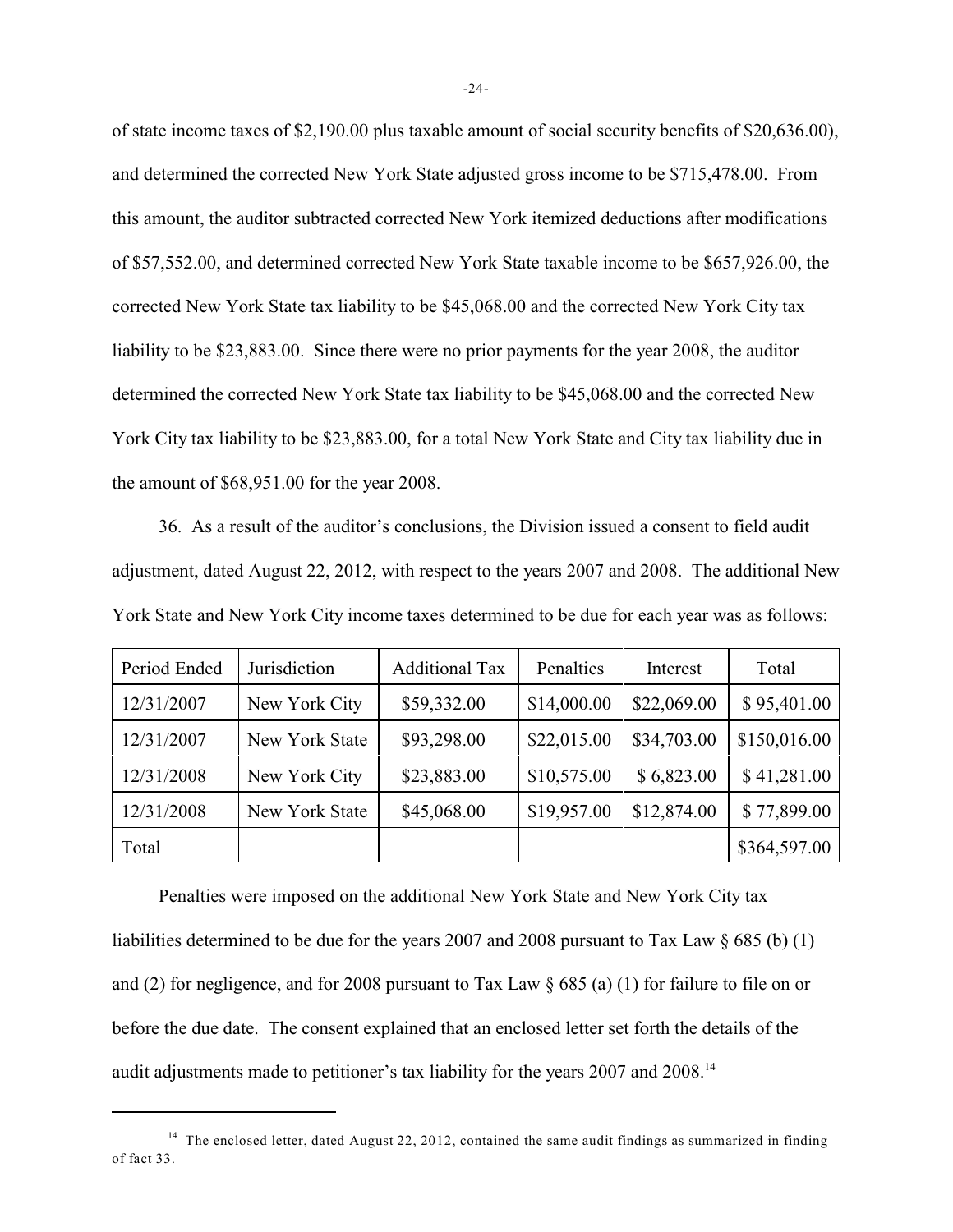of state income taxes of \$2,190.00 plus taxable amount of social security benefits of \$20,636.00), and determined the corrected New York State adjusted gross income to be \$715,478.00. From this amount, the auditor subtracted corrected New York itemized deductions after modifications of \$57,552.00, and determined corrected New York State taxable income to be \$657,926.00, the corrected New York State tax liability to be \$45,068.00 and the corrected New York City tax liability to be \$23,883.00. Since there were no prior payments for the year 2008, the auditor determined the corrected New York State tax liability to be \$45,068.00 and the corrected New York City tax liability to be \$23,883.00, for a total New York State and City tax liability due in the amount of \$68,951.00 for the year 2008.

36. As a result of the auditor's conclusions, the Division issued a consent to field audit adjustment, dated August 22, 2012, with respect to the years 2007 and 2008. The additional New York State and New York City income taxes determined to be due for each year was as follows:

| Period Ended | Jurisdiction   | <b>Additional Tax</b> | Penalties   | Interest    | Total        |
|--------------|----------------|-----------------------|-------------|-------------|--------------|
| 12/31/2007   | New York City  | \$59,332.00           | \$14,000.00 | \$22,069.00 | \$95,401.00  |
| 12/31/2007   | New York State | \$93,298.00           | \$22,015.00 | \$34,703.00 | \$150,016.00 |
| 12/31/2008   | New York City  | \$23,883.00           | \$10,575.00 | \$6,823.00  | \$41,281.00  |
| 12/31/2008   | New York State | \$45,068.00           | \$19,957.00 | \$12,874.00 | \$77,899.00  |
| Total        |                |                       |             |             | \$364,597.00 |

Penalties were imposed on the additional New York State and New York City tax liabilities determined to be due for the years 2007 and 2008 pursuant to Tax Law § 685 (b) (1) and (2) for negligence, and for 2008 pursuant to Tax Law § 685 (a) (1) for failure to file on or before the due date. The consent explained that an enclosed letter set forth the details of the audit adjustments made to petitioner's tax liability for the years 2007 and 2008.<sup>14</sup>

<sup>&</sup>lt;sup>14</sup> The enclosed letter, dated August 22, 2012, contained the same audit findings as summarized in finding of fact 33.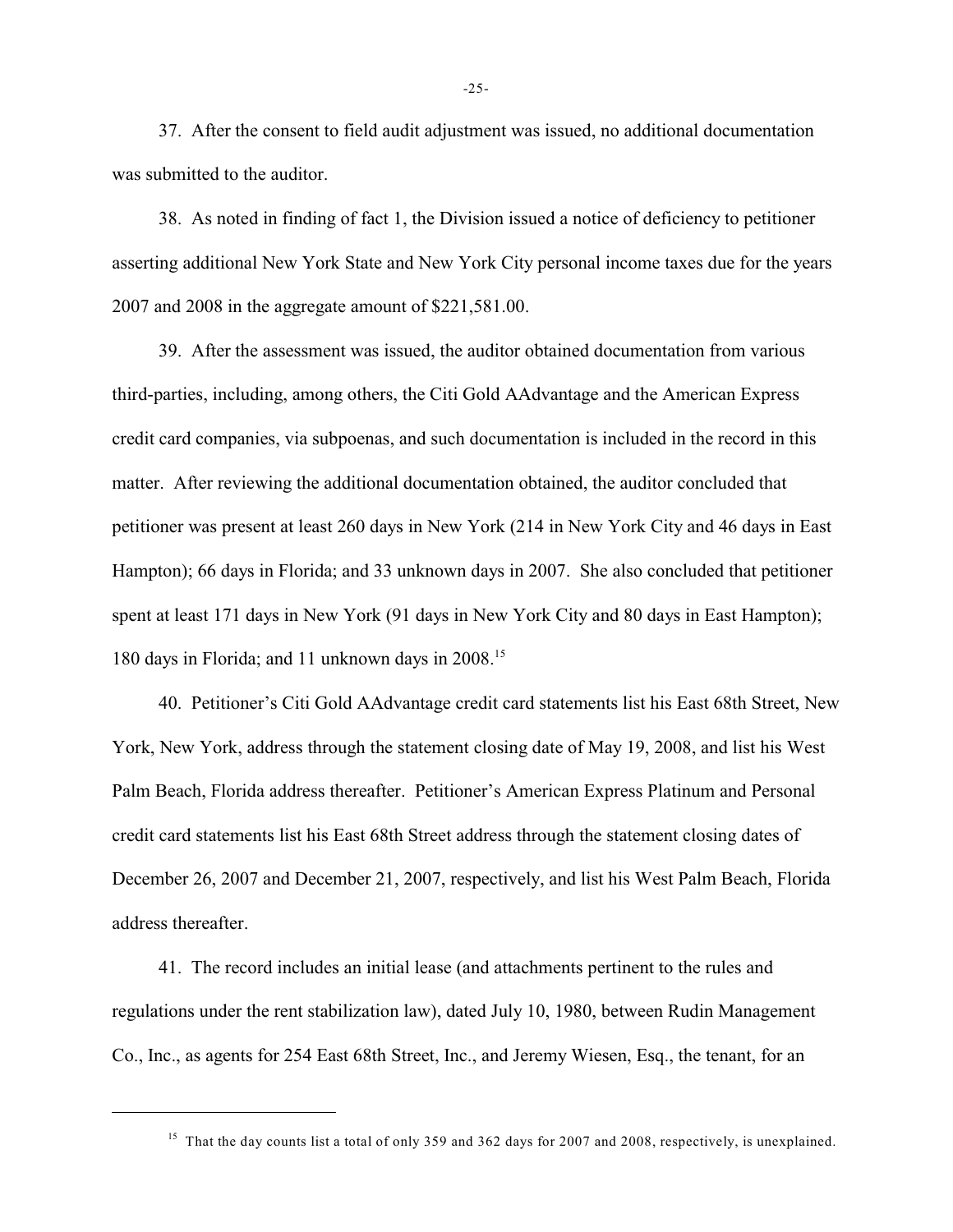37. After the consent to field audit adjustment was issued, no additional documentation was submitted to the auditor.

38. As noted in finding of fact 1, the Division issued a notice of deficiency to petitioner asserting additional New York State and New York City personal income taxes due for the years 2007 and 2008 in the aggregate amount of \$221,581.00.

39. After the assessment was issued, the auditor obtained documentation from various third-parties, including, among others, the Citi Gold AAdvantage and the American Express credit card companies, via subpoenas, and such documentation is included in the record in this matter. After reviewing the additional documentation obtained, the auditor concluded that petitioner was present at least 260 days in New York (214 in New York City and 46 days in East Hampton); 66 days in Florida; and 33 unknown days in 2007. She also concluded that petitioner spent at least 171 days in New York (91 days in New York City and 80 days in East Hampton); 180 days in Florida; and 11 unknown days in 2008. 15

40. Petitioner's Citi Gold AAdvantage credit card statements list his East 68th Street, New York, New York, address through the statement closing date of May 19, 2008, and list his West Palm Beach, Florida address thereafter. Petitioner's American Express Platinum and Personal credit card statements list his East 68th Street address through the statement closing dates of December 26, 2007 and December 21, 2007, respectively, and list his West Palm Beach, Florida address thereafter.

41. The record includes an initial lease (and attachments pertinent to the rules and regulations under the rent stabilization law), dated July 10, 1980, between Rudin Management Co., Inc., as agents for 254 East 68th Street, Inc., and Jeremy Wiesen, Esq., the tenant, for an

-25-

<sup>&</sup>lt;sup>15</sup> That the day counts list a total of only 359 and 362 days for 2007 and 2008, respectively, is unexplained.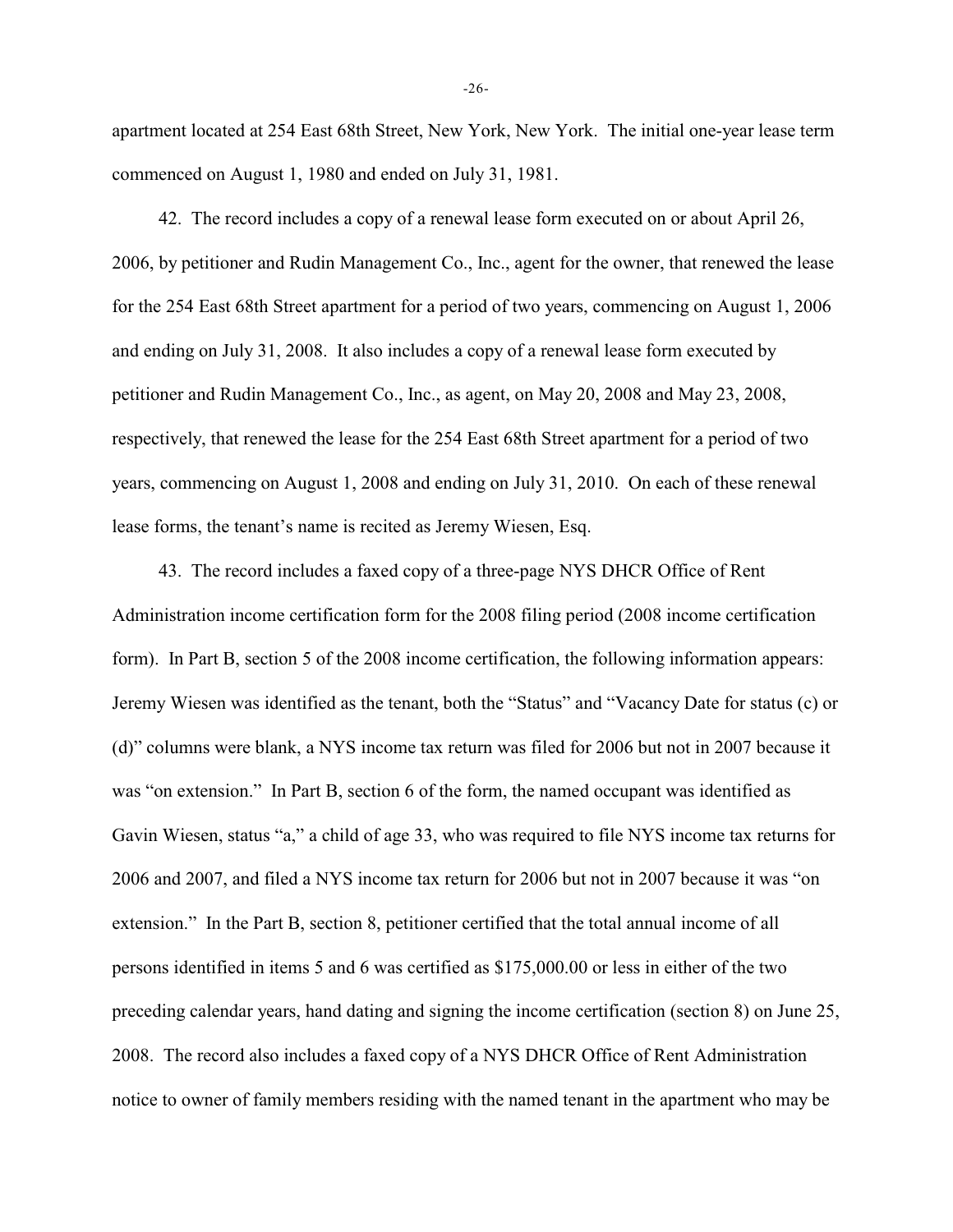apartment located at 254 East 68th Street, New York, New York. The initial one-year lease term commenced on August 1, 1980 and ended on July 31, 1981.

42. The record includes a copy of a renewal lease form executed on or about April 26, 2006, by petitioner and Rudin Management Co., Inc., agent for the owner, that renewed the lease for the 254 East 68th Street apartment for a period of two years, commencing on August 1, 2006 and ending on July 31, 2008. It also includes a copy of a renewal lease form executed by petitioner and Rudin Management Co., Inc., as agent, on May 20, 2008 and May 23, 2008, respectively, that renewed the lease for the 254 East 68th Street apartment for a period of two years, commencing on August 1, 2008 and ending on July 31, 2010. On each of these renewal lease forms, the tenant's name is recited as Jeremy Wiesen, Esq.

43. The record includes a faxed copy of a three-page NYS DHCR Office of Rent Administration income certification form for the 2008 filing period (2008 income certification form). In Part B, section 5 of the 2008 income certification, the following information appears: Jeremy Wiesen was identified as the tenant, both the "Status" and "Vacancy Date for status (c) or (d)" columns were blank, a NYS income tax return was filed for 2006 but not in 2007 because it was "on extension." In Part B, section 6 of the form, the named occupant was identified as Gavin Wiesen, status "a," a child of age 33, who was required to file NYS income tax returns for 2006 and 2007, and filed a NYS income tax return for 2006 but not in 2007 because it was "on extension." In the Part B, section 8, petitioner certified that the total annual income of all persons identified in items 5 and 6 was certified as \$175,000.00 or less in either of the two preceding calendar years, hand dating and signing the income certification (section 8) on June 25, 2008. The record also includes a faxed copy of a NYS DHCR Office of Rent Administration notice to owner of family members residing with the named tenant in the apartment who may be

-26-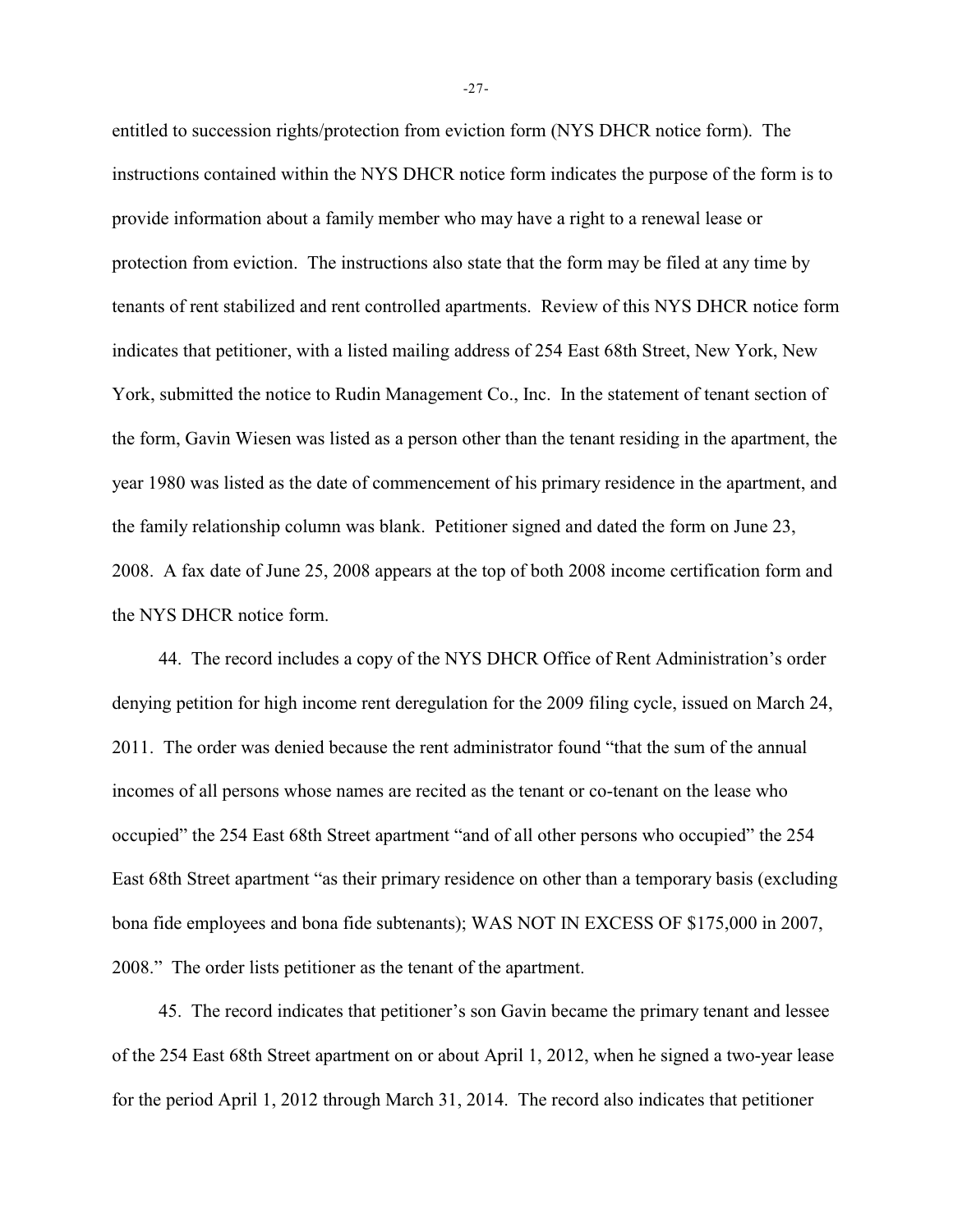entitled to succession rights/protection from eviction form (NYS DHCR notice form). The instructions contained within the NYS DHCR notice form indicates the purpose of the form is to provide information about a family member who may have a right to a renewal lease or protection from eviction. The instructions also state that the form may be filed at any time by tenants of rent stabilized and rent controlled apartments. Review of this NYS DHCR notice form indicates that petitioner, with a listed mailing address of 254 East 68th Street, New York, New York, submitted the notice to Rudin Management Co., Inc. In the statement of tenant section of the form, Gavin Wiesen was listed as a person other than the tenant residing in the apartment, the year 1980 was listed as the date of commencement of his primary residence in the apartment, and the family relationship column was blank. Petitioner signed and dated the form on June 23, 2008. A fax date of June 25, 2008 appears at the top of both 2008 income certification form and the NYS DHCR notice form.

44. The record includes a copy of the NYS DHCR Office of Rent Administration's order denying petition for high income rent deregulation for the 2009 filing cycle, issued on March 24, 2011. The order was denied because the rent administrator found "that the sum of the annual incomes of all persons whose names are recited as the tenant or co-tenant on the lease who occupied" the 254 East 68th Street apartment "and of all other persons who occupied" the 254 East 68th Street apartment "as their primary residence on other than a temporary basis (excluding bona fide employees and bona fide subtenants); WAS NOT IN EXCESS OF \$175,000 in 2007, 2008." The order lists petitioner as the tenant of the apartment.

45. The record indicates that petitioner's son Gavin became the primary tenant and lessee of the 254 East 68th Street apartment on or about April 1, 2012, when he signed a two-year lease for the period April 1, 2012 through March 31, 2014. The record also indicates that petitioner

-27-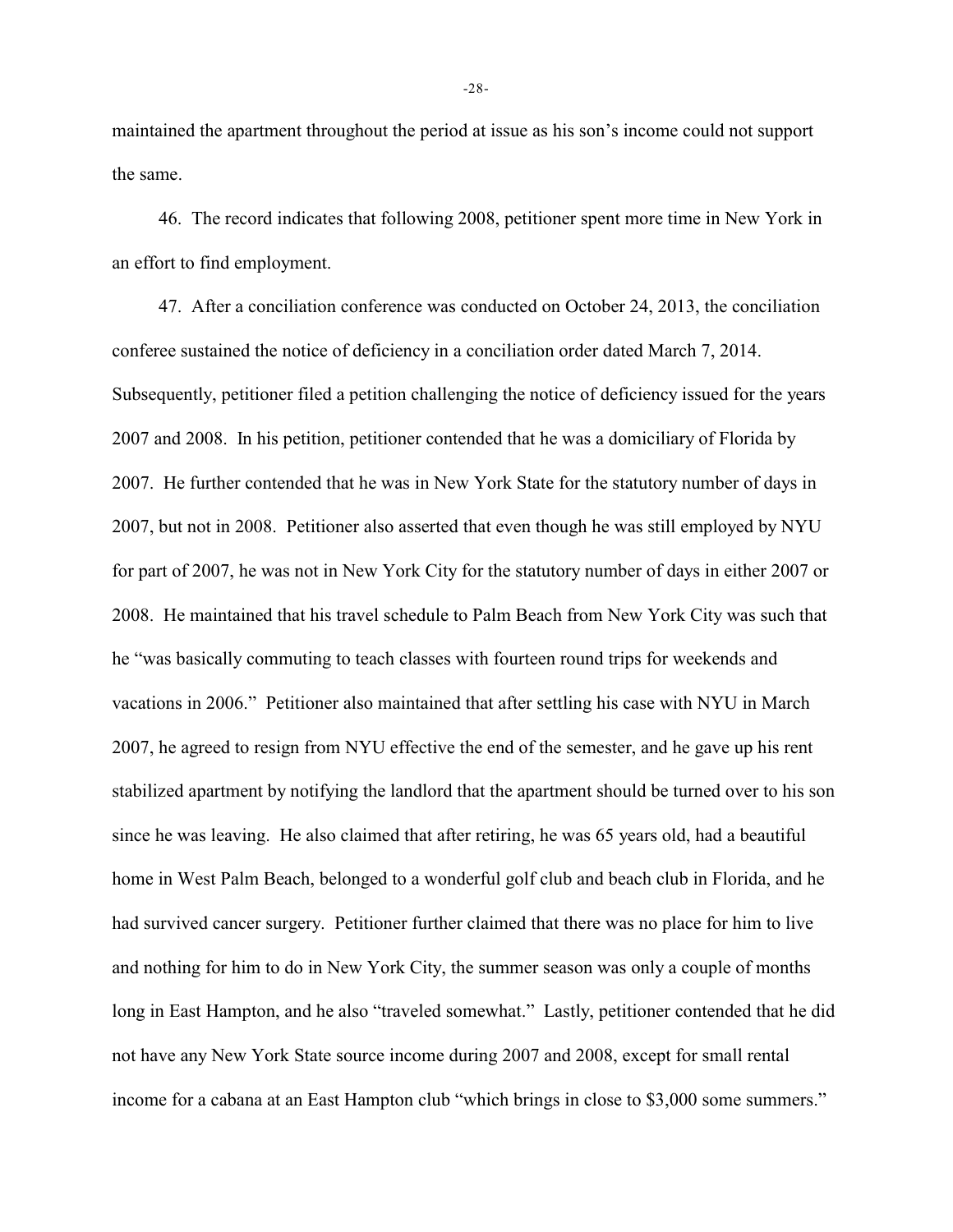maintained the apartment throughout the period at issue as his son's income could not support the same.

46. The record indicates that following 2008, petitioner spent more time in New York in an effort to find employment.

47. After a conciliation conference was conducted on October 24, 2013, the conciliation conferee sustained the notice of deficiency in a conciliation order dated March 7, 2014. Subsequently, petitioner filed a petition challenging the notice of deficiency issued for the years 2007 and 2008. In his petition, petitioner contended that he was a domiciliary of Florida by 2007. He further contended that he was in New York State for the statutory number of days in 2007, but not in 2008. Petitioner also asserted that even though he was still employed by NYU for part of 2007, he was not in New York City for the statutory number of days in either 2007 or 2008. He maintained that his travel schedule to Palm Beach from New York City was such that he "was basically commuting to teach classes with fourteen round trips for weekends and vacations in 2006." Petitioner also maintained that after settling his case with NYU in March 2007, he agreed to resign from NYU effective the end of the semester, and he gave up his rent stabilized apartment by notifying the landlord that the apartment should be turned over to his son since he was leaving. He also claimed that after retiring, he was 65 years old, had a beautiful home in West Palm Beach, belonged to a wonderful golf club and beach club in Florida, and he had survived cancer surgery. Petitioner further claimed that there was no place for him to live and nothing for him to do in New York City, the summer season was only a couple of months long in East Hampton, and he also "traveled somewhat." Lastly, petitioner contended that he did not have any New York State source income during 2007 and 2008, except for small rental income for a cabana at an East Hampton club "which brings in close to \$3,000 some summers."

-28-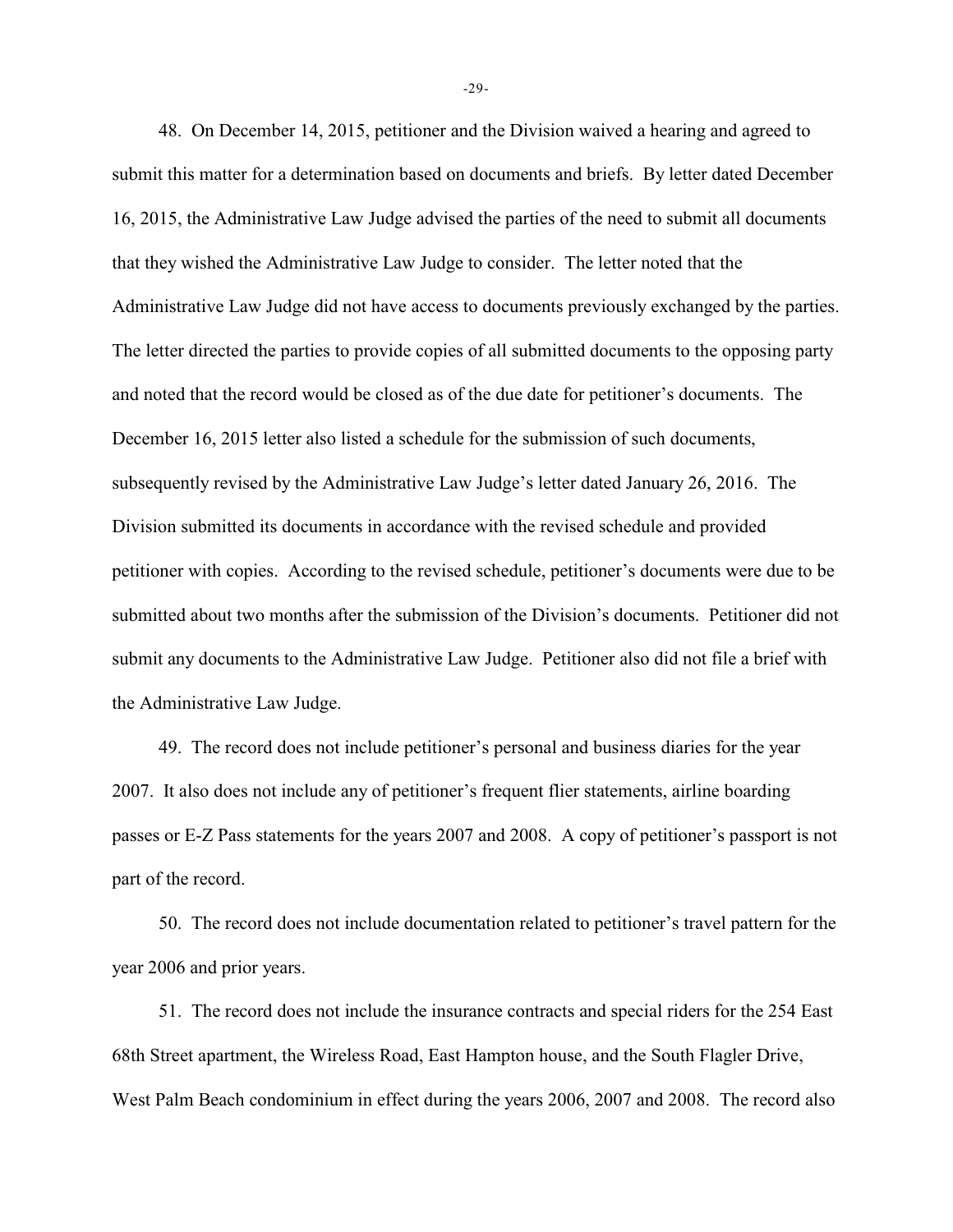48. On December 14, 2015, petitioner and the Division waived a hearing and agreed to submit this matter for a determination based on documents and briefs. By letter dated December 16, 2015, the Administrative Law Judge advised the parties of the need to submit all documents that they wished the Administrative Law Judge to consider. The letter noted that the Administrative Law Judge did not have access to documents previously exchanged by the parties. The letter directed the parties to provide copies of all submitted documents to the opposing party and noted that the record would be closed as of the due date for petitioner's documents. The December 16, 2015 letter also listed a schedule for the submission of such documents, subsequently revised by the Administrative Law Judge's letter dated January 26, 2016. The Division submitted its documents in accordance with the revised schedule and provided petitioner with copies. According to the revised schedule, petitioner's documents were due to be submitted about two months after the submission of the Division's documents. Petitioner did not submit any documents to the Administrative Law Judge. Petitioner also did not file a brief with the Administrative Law Judge.

49. The record does not include petitioner's personal and business diaries for the year 2007. It also does not include any of petitioner's frequent flier statements, airline boarding passes or E-Z Pass statements for the years 2007 and 2008. A copy of petitioner's passport is not part of the record.

50. The record does not include documentation related to petitioner's travel pattern for the year 2006 and prior years.

51. The record does not include the insurance contracts and special riders for the 254 East 68th Street apartment, the Wireless Road, East Hampton house, and the South Flagler Drive, West Palm Beach condominium in effect during the years 2006, 2007 and 2008. The record also

-29-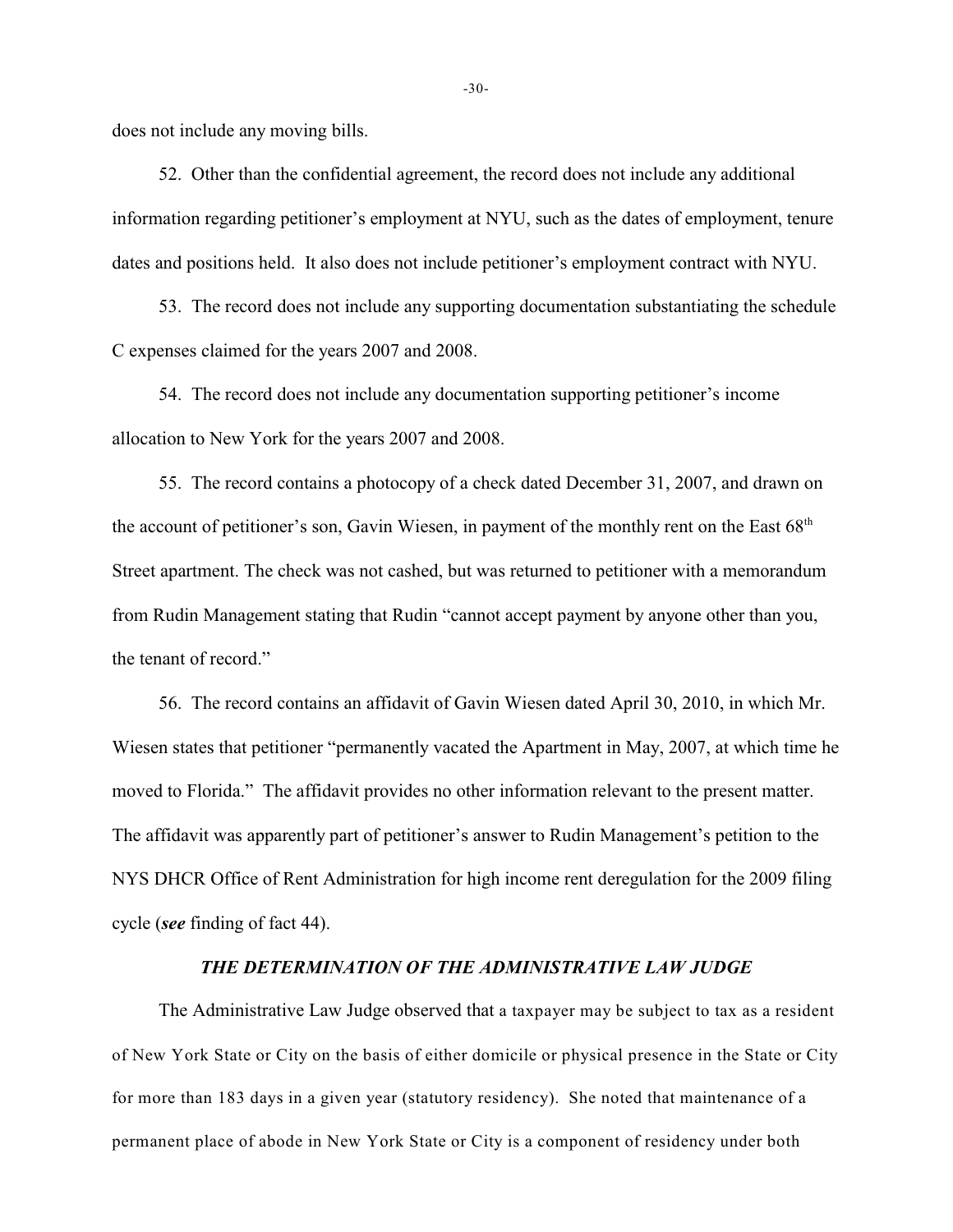does not include any moving bills.

52. Other than the confidential agreement, the record does not include any additional information regarding petitioner's employment at NYU, such as the dates of employment, tenure dates and positions held. It also does not include petitioner's employment contract with NYU.

53. The record does not include any supporting documentation substantiating the schedule C expenses claimed for the years 2007 and 2008.

54. The record does not include any documentation supporting petitioner's income allocation to New York for the years 2007 and 2008.

55. The record contains a photocopy of a check dated December 31, 2007, and drawn on the account of petitioner's son, Gavin Wiesen, in payment of the monthly rent on the East 68<sup>th</sup> Street apartment. The check was not cashed, but was returned to petitioner with a memorandum from Rudin Management stating that Rudin "cannot accept payment by anyone other than you, the tenant of record."

56. The record contains an affidavit of Gavin Wiesen dated April 30, 2010, in which Mr. Wiesen states that petitioner "permanently vacated the Apartment in May, 2007, at which time he moved to Florida." The affidavit provides no other information relevant to the present matter. The affidavit was apparently part of petitioner's answer to Rudin Management's petition to the NYS DHCR Office of Rent Administration for high income rent deregulation for the 2009 filing cycle (*see* finding of fact 44).

## *THE DETERMINATION OF THE ADMINISTRATIVE LAW JUDGE*

The Administrative Law Judge observed that a taxpayer may be subject to tax as a resident of New York State or City on the basis of either domicile or physical presence in the State or City for more than 183 days in a given year (statutory residency). She noted that maintenance of a permanent place of abode in New York State or City is a component of residency under both

-30-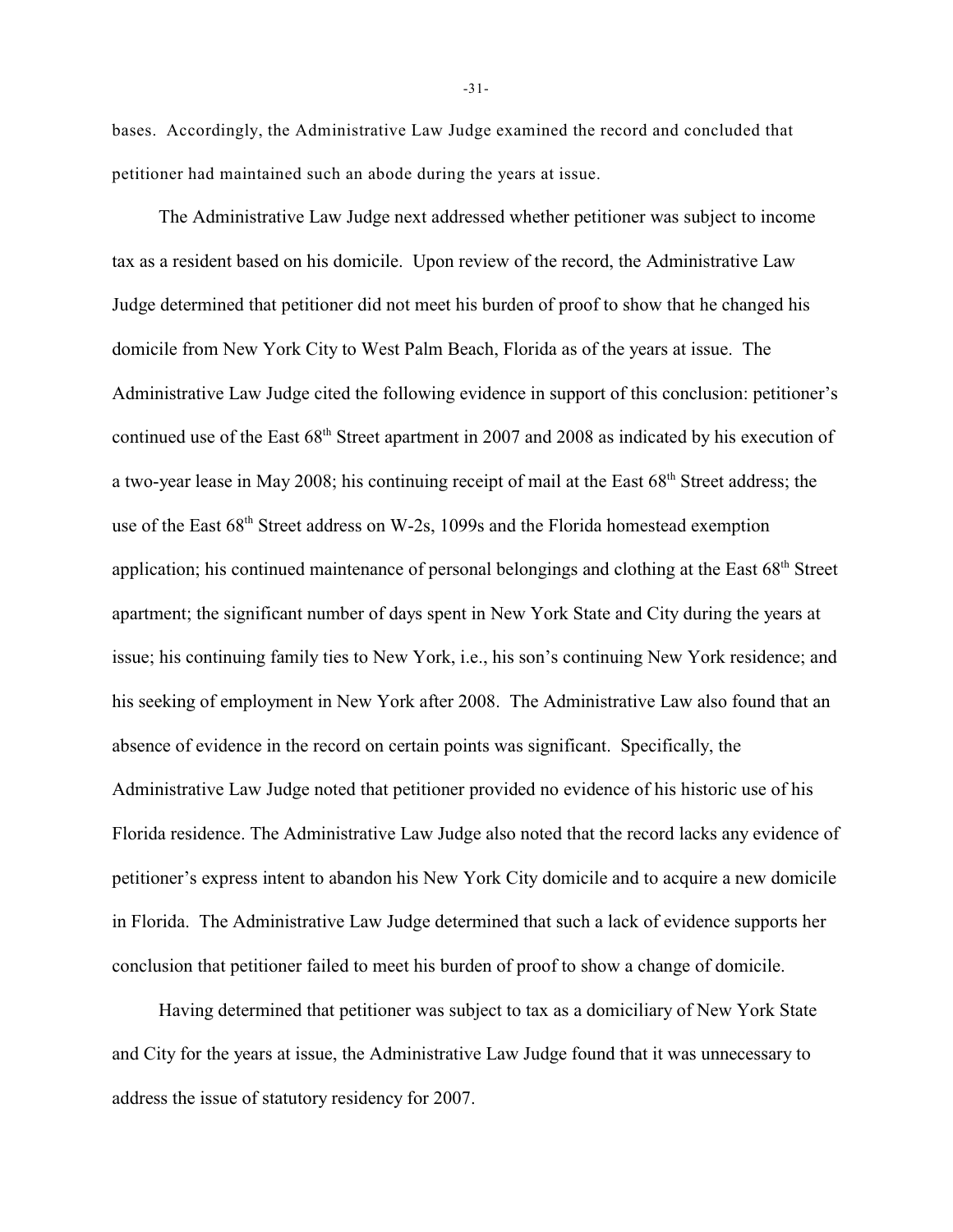bases. Accordingly, the Administrative Law Judge examined the record and concluded that petitioner had maintained such an abode during the years at issue.

The Administrative Law Judge next addressed whether petitioner was subject to income tax as a resident based on his domicile. Upon review of the record, the Administrative Law Judge determined that petitioner did not meet his burden of proof to show that he changed his domicile from New York City to West Palm Beach, Florida as of the years at issue. The Administrative Law Judge cited the following evidence in support of this conclusion: petitioner's continued use of the East  $68<sup>th</sup>$  Street apartment in 2007 and 2008 as indicated by his execution of a two-year lease in May 2008; his continuing receipt of mail at the East  $68<sup>th</sup>$  Street address; the use of the East 68<sup>th</sup> Street address on W-2s, 1099s and the Florida homestead exemption application; his continued maintenance of personal belongings and clothing at the East 68<sup>th</sup> Street apartment; the significant number of days spent in New York State and City during the years at issue; his continuing family ties to New York, i.e., his son's continuing New York residence; and his seeking of employment in New York after 2008. The Administrative Law also found that an absence of evidence in the record on certain points was significant. Specifically, the Administrative Law Judge noted that petitioner provided no evidence of his historic use of his Florida residence. The Administrative Law Judge also noted that the record lacks any evidence of petitioner's express intent to abandon his New York City domicile and to acquire a new domicile in Florida. The Administrative Law Judge determined that such a lack of evidence supports her conclusion that petitioner failed to meet his burden of proof to show a change of domicile.

Having determined that petitioner was subject to tax as a domiciliary of New York State and City for the years at issue, the Administrative Law Judge found that it was unnecessary to address the issue of statutory residency for 2007.

-31-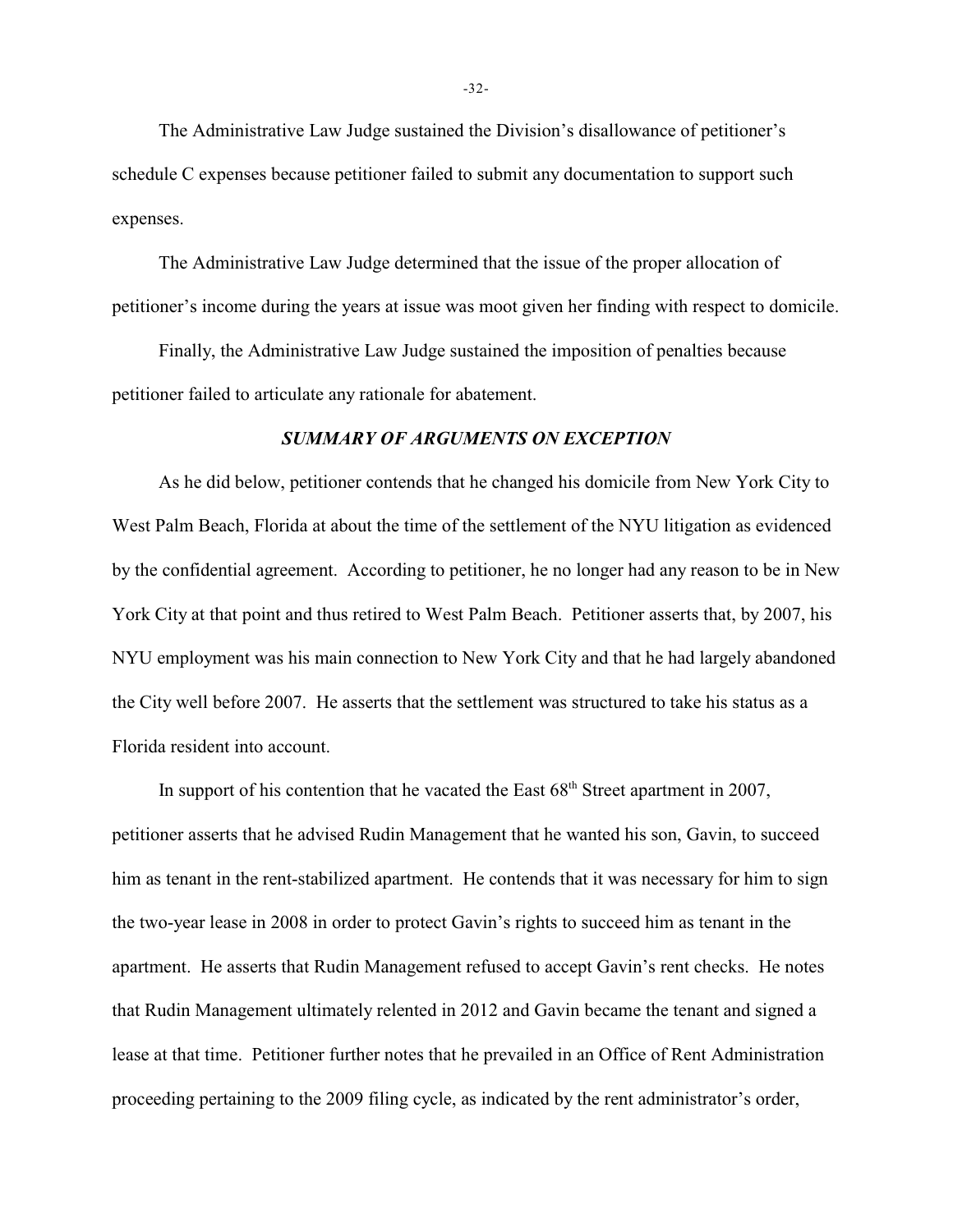The Administrative Law Judge sustained the Division's disallowance of petitioner's schedule C expenses because petitioner failed to submit any documentation to support such expenses.

The Administrative Law Judge determined that the issue of the proper allocation of petitioner's income during the years at issue was moot given her finding with respect to domicile.

Finally, the Administrative Law Judge sustained the imposition of penalties because petitioner failed to articulate any rationale for abatement.

### *SUMMARY OF ARGUMENTS ON EXCEPTION*

As he did below, petitioner contends that he changed his domicile from New York City to West Palm Beach, Florida at about the time of the settlement of the NYU litigation as evidenced by the confidential agreement. According to petitioner, he no longer had any reason to be in New York City at that point and thus retired to West Palm Beach. Petitioner asserts that, by 2007, his NYU employment was his main connection to New York City and that he had largely abandoned the City well before 2007. He asserts that the settlement was structured to take his status as a Florida resident into account.

In support of his contention that he vacated the East  $68<sup>th</sup>$  Street apartment in 2007, petitioner asserts that he advised Rudin Management that he wanted his son, Gavin, to succeed him as tenant in the rent-stabilized apartment. He contends that it was necessary for him to sign the two-year lease in 2008 in order to protect Gavin's rights to succeed him as tenant in the apartment. He asserts that Rudin Management refused to accept Gavin's rent checks. He notes that Rudin Management ultimately relented in 2012 and Gavin became the tenant and signed a lease at that time. Petitioner further notes that he prevailed in an Office of Rent Administration proceeding pertaining to the 2009 filing cycle, as indicated by the rent administrator's order,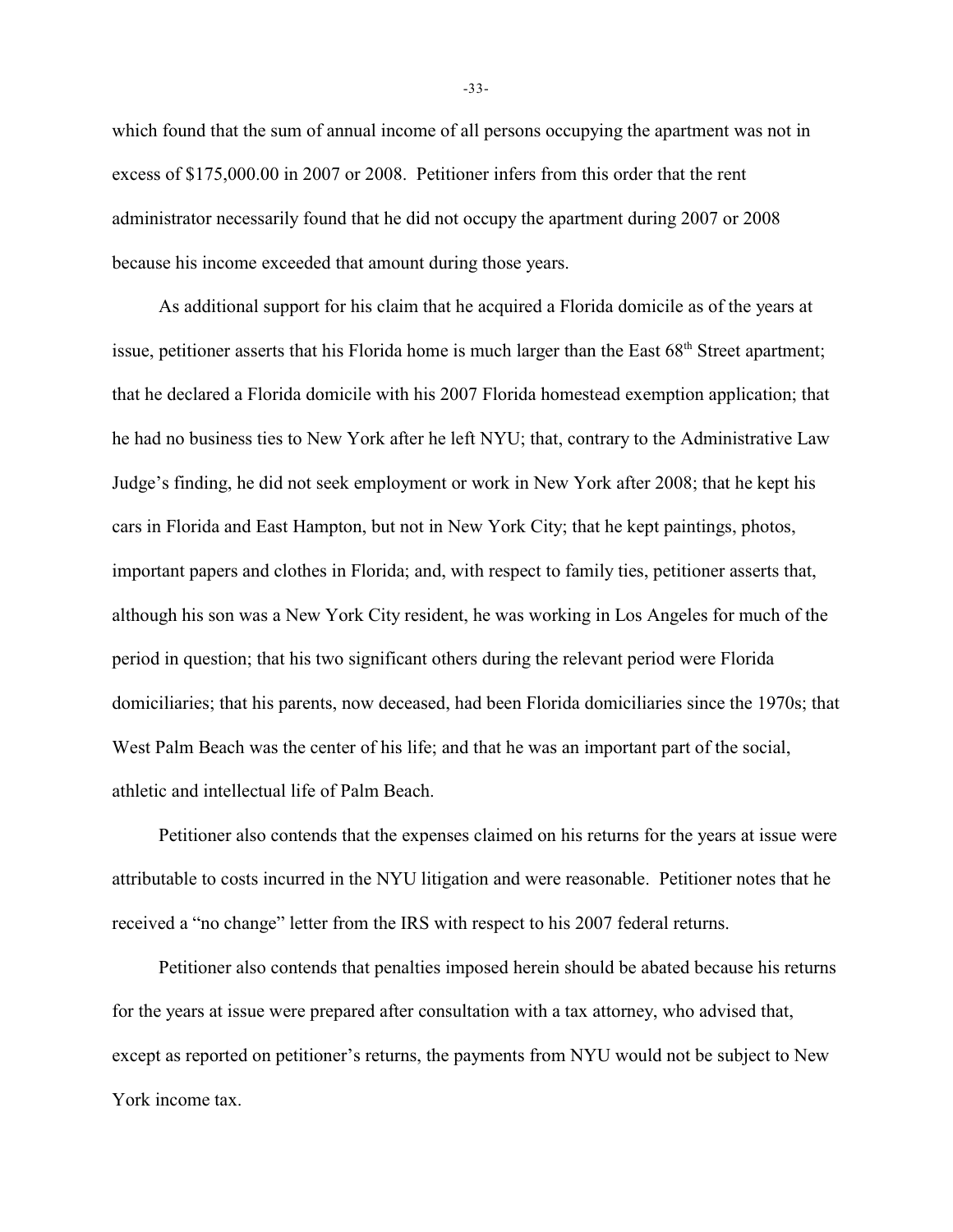which found that the sum of annual income of all persons occupying the apartment was not in excess of \$175,000.00 in 2007 or 2008. Petitioner infers from this order that the rent administrator necessarily found that he did not occupy the apartment during 2007 or 2008 because his income exceeded that amount during those years.

As additional support for his claim that he acquired a Florida domicile as of the years at issue, petitioner asserts that his Florida home is much larger than the East  $68<sup>th</sup>$  Street apartment; that he declared a Florida domicile with his 2007 Florida homestead exemption application; that he had no business ties to New York after he left NYU; that, contrary to the Administrative Law Judge's finding, he did not seek employment or work in New York after 2008; that he kept his cars in Florida and East Hampton, but not in New York City; that he kept paintings, photos, important papers and clothes in Florida; and, with respect to family ties, petitioner asserts that, although his son was a New York City resident, he was working in Los Angeles for much of the period in question; that his two significant others during the relevant period were Florida domiciliaries; that his parents, now deceased, had been Florida domiciliaries since the 1970s; that West Palm Beach was the center of his life; and that he was an important part of the social, athletic and intellectual life of Palm Beach.

Petitioner also contends that the expenses claimed on his returns for the years at issue were attributable to costs incurred in the NYU litigation and were reasonable. Petitioner notes that he received a "no change" letter from the IRS with respect to his 2007 federal returns.

Petitioner also contends that penalties imposed herein should be abated because his returns for the years at issue were prepared after consultation with a tax attorney, who advised that, except as reported on petitioner's returns, the payments from NYU would not be subject to New York income tax.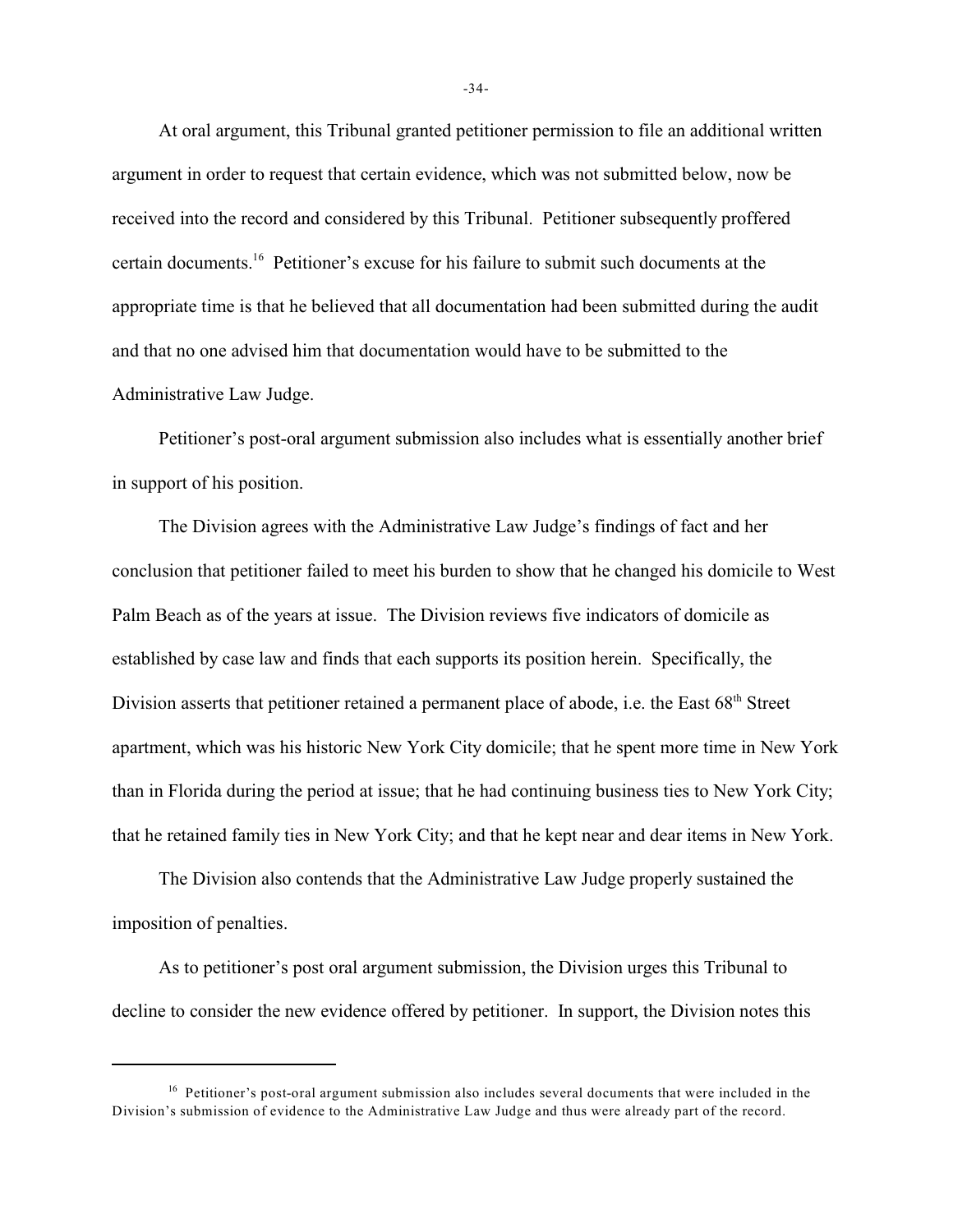At oral argument, this Tribunal granted petitioner permission to file an additional written argument in order to request that certain evidence, which was not submitted below, now be received into the record and considered by this Tribunal. Petitioner subsequently proffered certain documents.<sup>16</sup> Petitioner's excuse for his failure to submit such documents at the appropriate time is that he believed that all documentation had been submitted during the audit and that no one advised him that documentation would have to be submitted to the Administrative Law Judge.

Petitioner's post-oral argument submission also includes what is essentially another brief in support of his position.

The Division agrees with the Administrative Law Judge's findings of fact and her conclusion that petitioner failed to meet his burden to show that he changed his domicile to West Palm Beach as of the years at issue. The Division reviews five indicators of domicile as established by case law and finds that each supports its position herein. Specifically, the Division asserts that petitioner retained a permanent place of abode, i.e. the East 68<sup>th</sup> Street apartment, which was his historic New York City domicile; that he spent more time in New York than in Florida during the period at issue; that he had continuing business ties to New York City; that he retained family ties in New York City; and that he kept near and dear items in New York.

The Division also contends that the Administrative Law Judge properly sustained the imposition of penalties.

As to petitioner's post oral argument submission, the Division urges this Tribunal to decline to consider the new evidence offered by petitioner. In support, the Division notes this

-34-

 $16$  Petitioner's post-oral argument submission also includes several documents that were included in the Division's submission of evidence to the Administrative Law Judge and thus were already part of the record.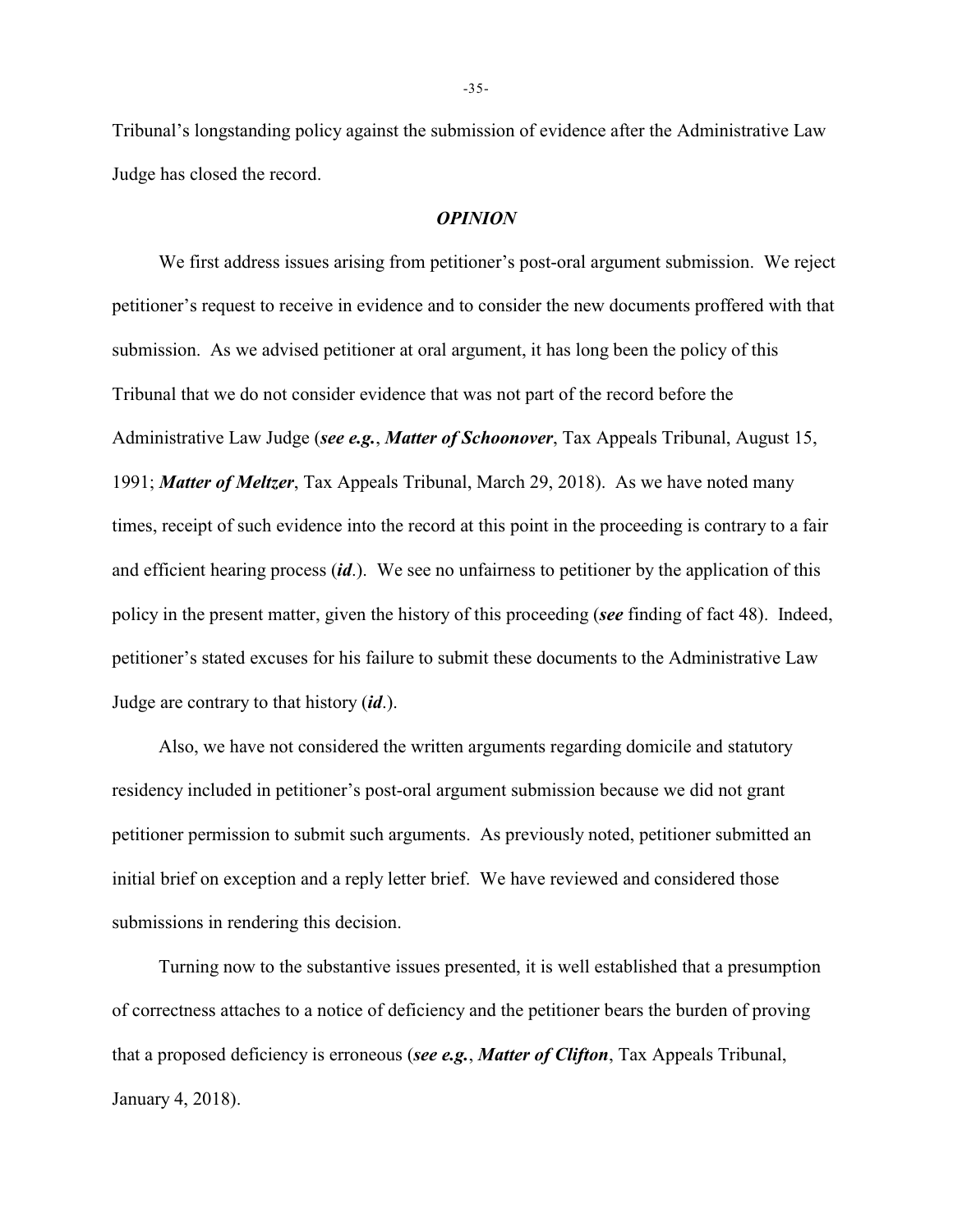Tribunal's longstanding policy against the submission of evidence after the Administrative Law Judge has closed the record.

#### *OPINION*

We first address issues arising from petitioner's post-oral argument submission. We reject petitioner's request to receive in evidence and to consider the new documents proffered with that submission. As we advised petitioner at oral argument, it has long been the policy of this Tribunal that we do not consider evidence that was not part of the record before the Administrative Law Judge (*see e.g.*, *Matter of Schoonover*, Tax Appeals Tribunal, August 15, 1991; *Matter of Meltzer*, Tax Appeals Tribunal, March 29, 2018). As we have noted many times, receipt of such evidence into the record at this point in the proceeding is contrary to a fair and efficient hearing process (*id*.). We see no unfairness to petitioner by the application of this policy in the present matter, given the history of this proceeding (*see* finding of fact 48). Indeed, petitioner's stated excuses for his failure to submit these documents to the Administrative Law Judge are contrary to that history (*id*.).

Also, we have not considered the written arguments regarding domicile and statutory residency included in petitioner's post-oral argument submission because we did not grant petitioner permission to submit such arguments. As previously noted, petitioner submitted an initial brief on exception and a reply letter brief. We have reviewed and considered those submissions in rendering this decision.

Turning now to the substantive issues presented, it is well established that a presumption of correctness attaches to a notice of deficiency and the petitioner bears the burden of proving that a proposed deficiency is erroneous (*see e.g.*, *Matter of Clifton*, Tax Appeals Tribunal, January 4, 2018).

-35-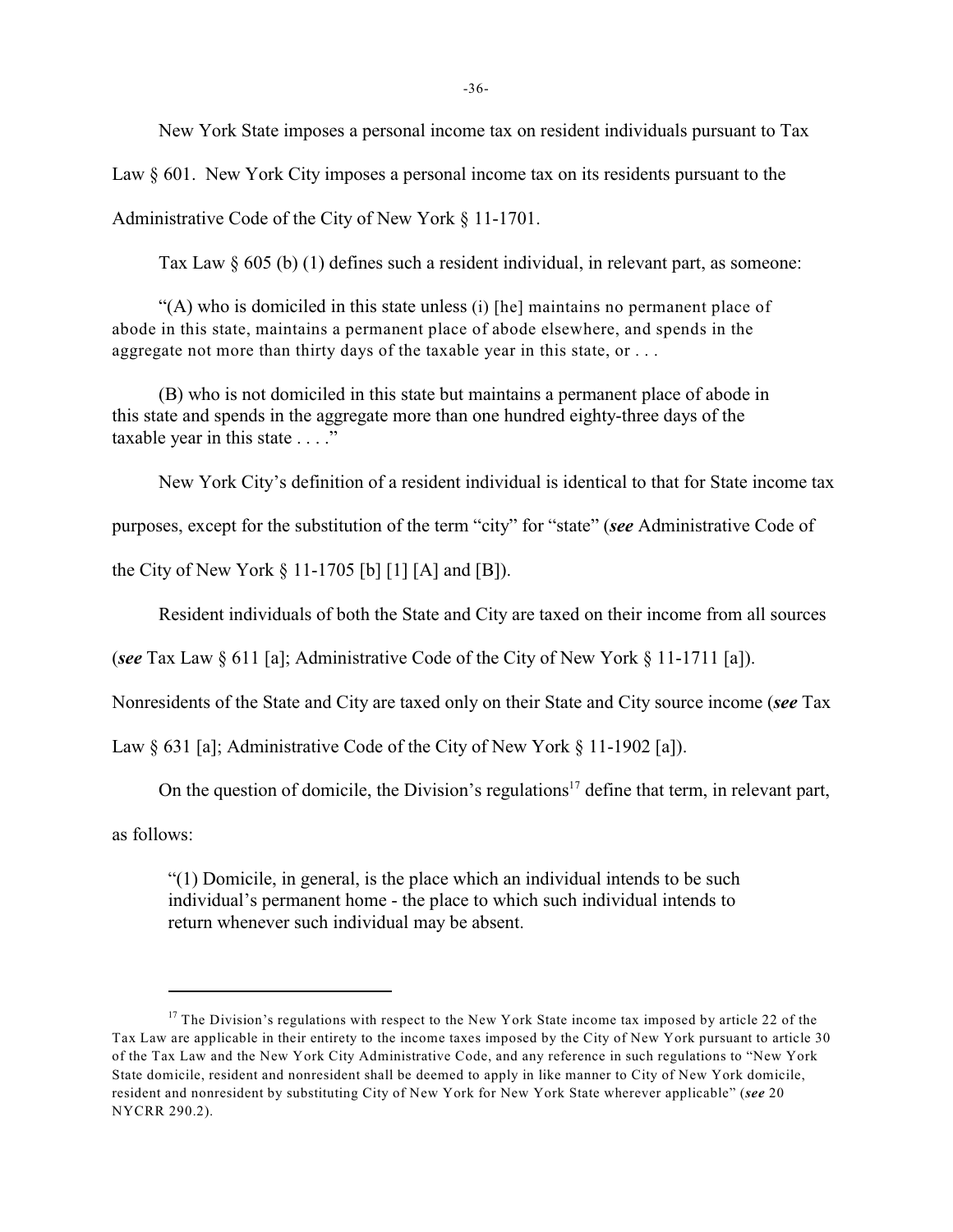New York State imposes a personal income tax on resident individuals pursuant to Tax

Law § 601. New York City imposes a personal income tax on its residents pursuant to the

Administrative Code of the City of New York § 11-1701.

Tax Law § 605 (b) (1) defines such a resident individual, in relevant part, as someone:

"(A) who is domiciled in this state unless (i) [he] maintains no permanent place of abode in this state, maintains a permanent place of abode elsewhere, and spends in the aggregate not more than thirty days of the taxable year in this state, or . . .

(B) who is not domiciled in this state but maintains a permanent place of abode in this state and spends in the aggregate more than one hundred eighty-three days of the taxable year in this state . . . ."

New York City's definition of a resident individual is identical to that for State income tax

purposes, except for the substitution of the term "city" for "state" (*see* Administrative Code of

the City of New York  $\S 11-1705$  [b] [1] [A] and [B]).

Resident individuals of both the State and City are taxed on their income from all sources

(*see* Tax Law § 611 [a]; Administrative Code of the City of New York § 11-1711 [a]).

Nonresidents of the State and City are taxed only on their State and City source income (*see* Tax

Law § 631 [a]; Administrative Code of the City of New York § 11-1902 [a]).

On the question of domicile, the Division's regulations<sup>17</sup> define that term, in relevant part,

as follows:

"(1) Domicile, in general, is the place which an individual intends to be such individual's permanent home - the place to which such individual intends to return whenever such individual may be absent.

 $17$  The Division's regulations with respect to the New York State income tax imposed by article 22 of the Tax Law are applicable in their entirety to the income taxes imposed by the City of New York pursuant to article 30 of the Tax Law and the New York City Administrative Code, and any reference in such regulations to "New York State domicile, resident and nonresident shall be deemed to apply in like manner to City of New York domicile, resident and nonresident by substituting City of New York for New York State wherever applicable" (*see* 20 NYCRR 290.2).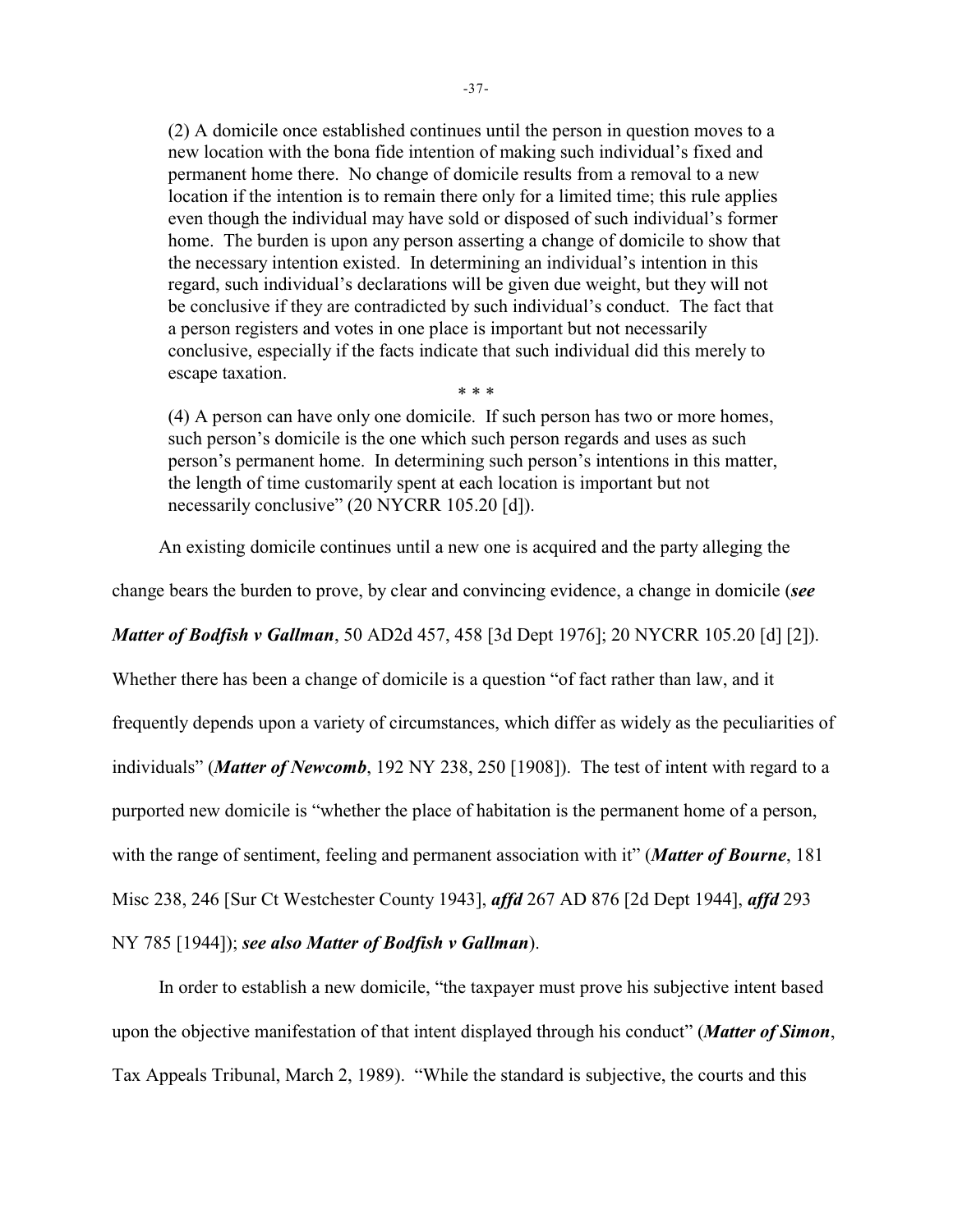(2) A domicile once established continues until the person in question moves to a new location with the bona fide intention of making such individual's fixed and permanent home there. No change of domicile results from a removal to a new location if the intention is to remain there only for a limited time; this rule applies even though the individual may have sold or disposed of such individual's former home. The burden is upon any person asserting a change of domicile to show that the necessary intention existed. In determining an individual's intention in this regard, such individual's declarations will be given due weight, but they will not be conclusive if they are contradicted by such individual's conduct. The fact that a person registers and votes in one place is important but not necessarily conclusive, especially if the facts indicate that such individual did this merely to escape taxation. \* \* \*

(4) A person can have only one domicile. If such person has two or more homes, such person's domicile is the one which such person regards and uses as such person's permanent home. In determining such person's intentions in this matter, the length of time customarily spent at each location is important but not necessarily conclusive" (20 NYCRR 105.20 [d]).

An existing domicile continues until a new one is acquired and the party alleging the

change bears the burden to prove, by clear and convincing evidence, a change in domicile (*see*

*Matter of Bodfish v Gallman*, 50 AD2d 457, 458 [3d Dept 1976]; 20 NYCRR 105.20 [d] [2]).

Whether there has been a change of domicile is a question "of fact rather than law, and it

frequently depends upon a variety of circumstances, which differ as widely as the peculiarities of

individuals" (*Matter of Newcomb*, 192 NY 238, 250 [1908]). The test of intent with regard to a

purported new domicile is "whether the place of habitation is the permanent home of a person,

with the range of sentiment, feeling and permanent association with it" (*Matter of Bourne*, 181

Misc 238, 246 [Sur Ct Westchester County 1943], *affd* 267 AD 876 [2d Dept 1944], *affd* 293

NY 785 [1944]); *see also Matter of Bodfish v Gallman*).

In order to establish a new domicile, "the taxpayer must prove his subjective intent based upon the objective manifestation of that intent displayed through his conduct" (*Matter of Simon*, Tax Appeals Tribunal, March 2, 1989). "While the standard is subjective, the courts and this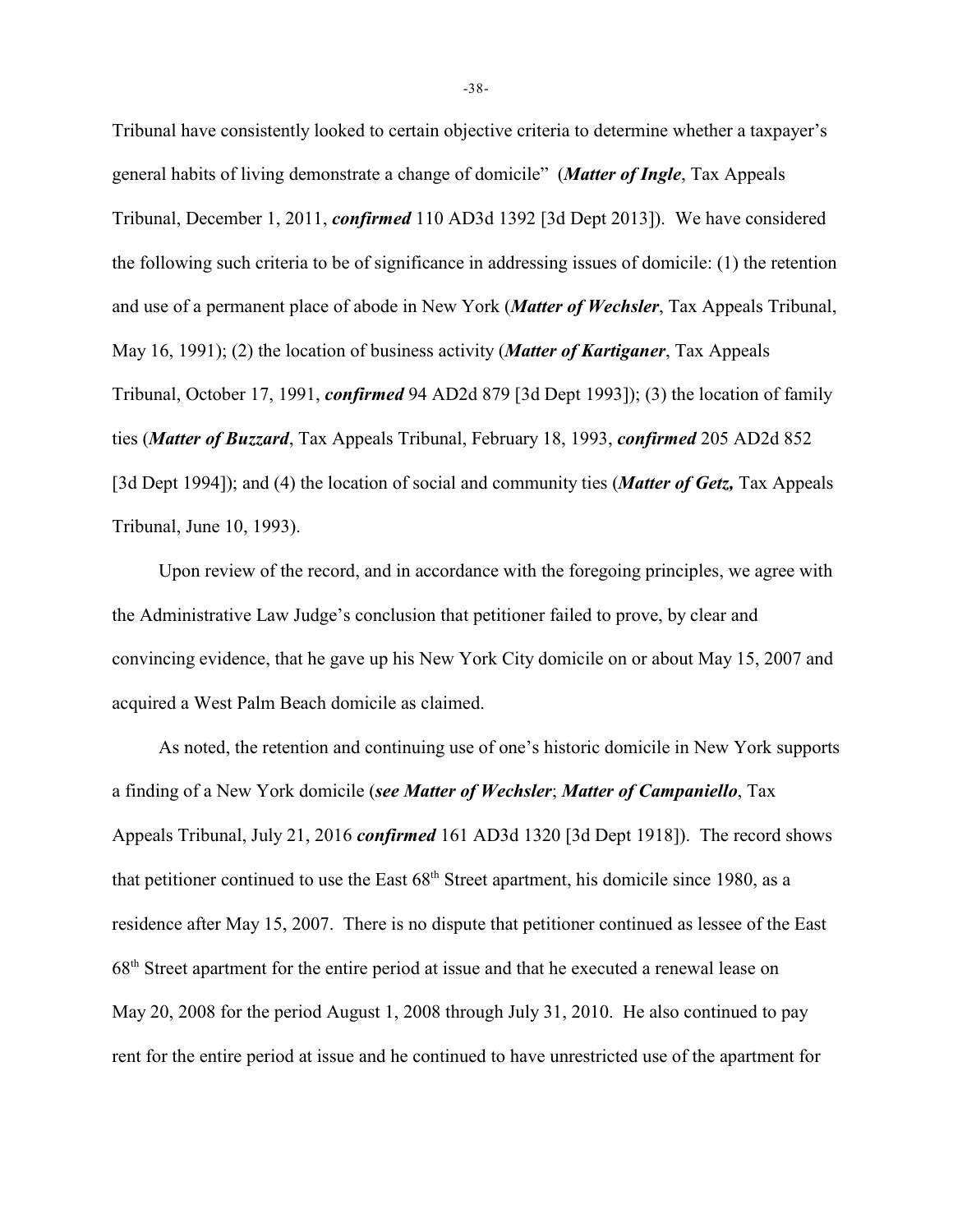Tribunal have consistently looked to certain objective criteria to determine whether a taxpayer's general habits of living demonstrate a change of domicile" (*Matter of Ingle*, Tax Appeals Tribunal, December 1, 2011, *confirmed* 110 AD3d 1392 [3d Dept 2013]). We have considered the following such criteria to be of significance in addressing issues of domicile: (1) the retention and use of a permanent place of abode in New York (*Matter of Wechsler*, Tax Appeals Tribunal, May 16, 1991); (2) the location of business activity (*Matter of Kartiganer*, Tax Appeals Tribunal, October 17, 1991, *confirmed* 94 AD2d 879 [3d Dept 1993]); (3) the location of family ties (*Matter of Buzzard*, Tax Appeals Tribunal, February 18, 1993, *confirmed* 205 AD2d 852 [3d Dept 1994]); and (4) the location of social and community ties (*Matter of Getz,* Tax Appeals Tribunal, June 10, 1993).

Upon review of the record, and in accordance with the foregoing principles, we agree with the Administrative Law Judge's conclusion that petitioner failed to prove, by clear and convincing evidence, that he gave up his New York City domicile on or about May 15, 2007 and acquired a West Palm Beach domicile as claimed.

As noted, the retention and continuing use of one's historic domicile in New York supports a finding of a New York domicile (*see Matter of Wechsler*; *Matter of Campaniello*, Tax Appeals Tribunal, July 21, 2016 *confirmed* 161 AD3d 1320 [3d Dept 1918]). The record shows that petitioner continued to use the East  $68<sup>th</sup>$  Street apartment, his domicile since 1980, as a residence after May 15, 2007. There is no dispute that petitioner continued as lessee of the East  $68<sup>th</sup>$  Street apartment for the entire period at issue and that he executed a renewal lease on May 20, 2008 for the period August 1, 2008 through July 31, 2010. He also continued to pay rent for the entire period at issue and he continued to have unrestricted use of the apartment for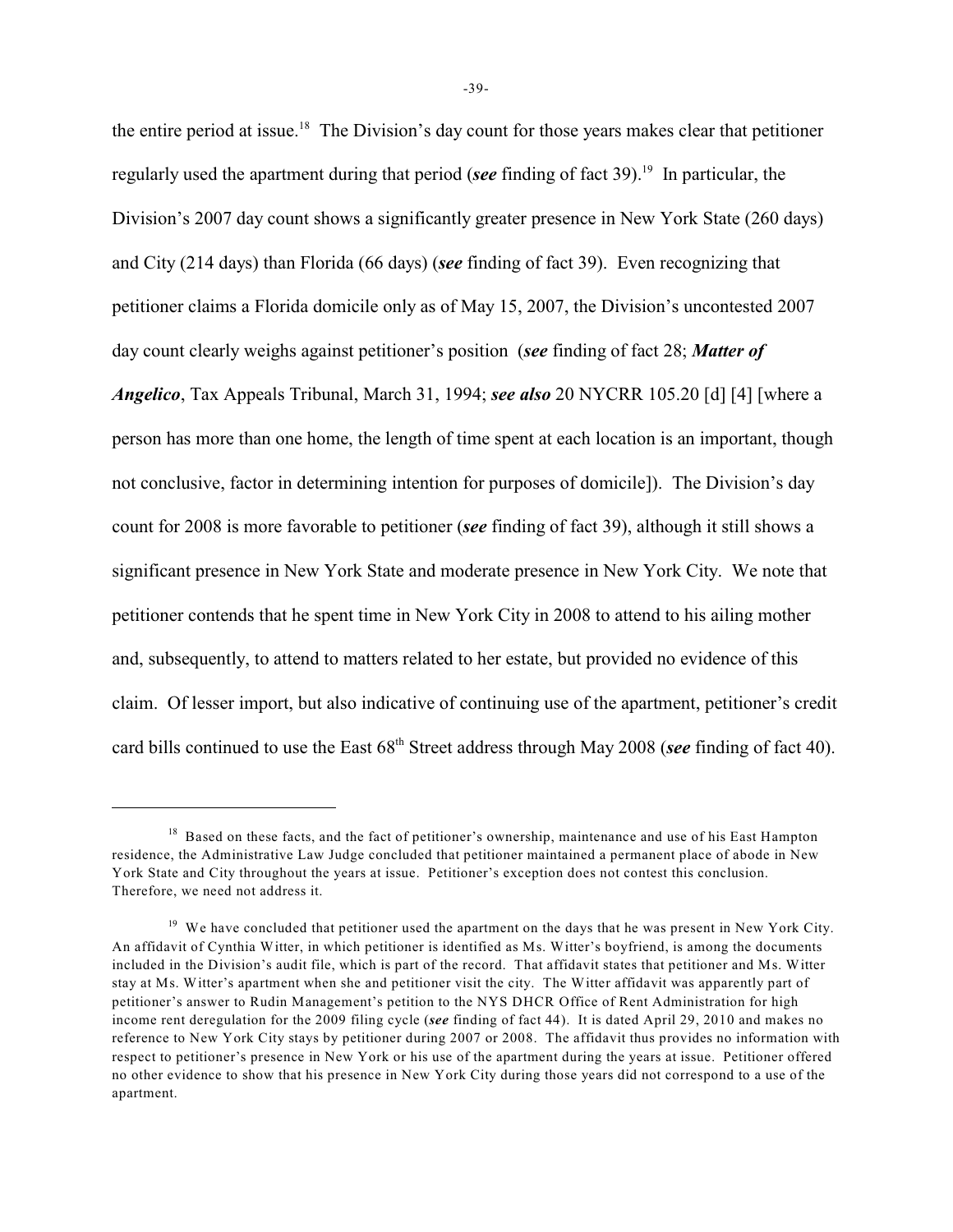the entire period at issue.<sup>18</sup> The Division's day count for those years makes clear that petitioner regularly used the apartment during that period (*see* finding of fact 39).<sup>19</sup> In particular, the Division's 2007 day count shows a significantly greater presence in New York State (260 days) and City (214 days) than Florida (66 days) (*see* finding of fact 39). Even recognizing that petitioner claims a Florida domicile only as of May 15, 2007, the Division's uncontested 2007 day count clearly weighs against petitioner's position (*see* finding of fact 28; *Matter of Angelico*, Tax Appeals Tribunal, March 31, 1994; *see also* 20 NYCRR 105.20 [d] [4] [where a person has more than one home, the length of time spent at each location is an important, though not conclusive, factor in determining intention for purposes of domicile]). The Division's day count for 2008 is more favorable to petitioner (*see* finding of fact 39), although it still shows a significant presence in New York State and moderate presence in New York City. We note that petitioner contends that he spent time in New York City in 2008 to attend to his ailing mother and, subsequently, to attend to matters related to her estate, but provided no evidence of this claim. Of lesser import, but also indicative of continuing use of the apartment, petitioner's credit card bills continued to use the East  $68<sup>th</sup>$  Street address through May 2008 (*see* finding of fact 40).

 $<sup>18</sup>$  Based on these facts, and the fact of petitioner's ownership, maintenance and use of his East Hampton</sup> residence, the Administrative Law Judge concluded that petitioner maintained a permanent place of abode in New York State and City throughout the years at issue. Petitioner's exception does not contest this conclusion. Therefore, we need not address it.

 $19$  We have concluded that petitioner used the apartment on the days that he was present in New York City. An affidavit of Cynthia Witter, in which petitioner is identified as Ms. Witter's boyfriend, is among the documents included in the Division's audit file, which is part of the record. That affidavit states that petitioner and Ms. Witter stay at Ms. Witter's apartment when she and petitioner visit the city. The Witter affidavit was apparently part of petitioner's answer to Rudin Management's petition to the NYS DHCR Office of Rent Administration for high income rent deregulation for the 2009 filing cycle (*see* finding of fact 44). It is dated April 29, 2010 and makes no reference to New York City stays by petitioner during 2007 or 2008. The affidavit thus provides no information with respect to petitioner's presence in New York or his use of the apartment during the years at issue. Petitioner offered no other evidence to show that his presence in New York City during those years did not correspond to a use of the apartment.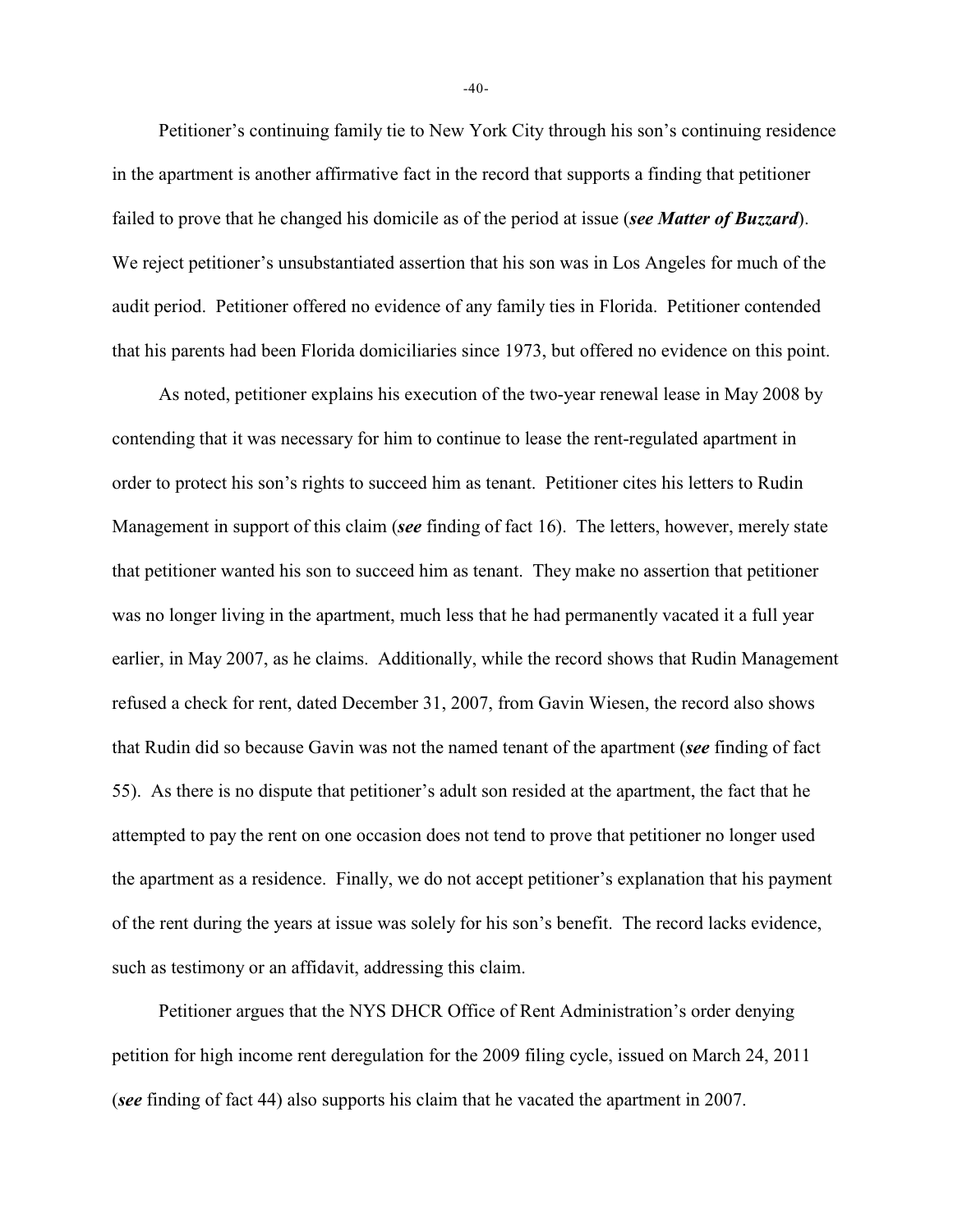Petitioner's continuing family tie to New York City through his son's continuing residence in the apartment is another affirmative fact in the record that supports a finding that petitioner failed to prove that he changed his domicile as of the period at issue (*see Matter of Buzzard*). We reject petitioner's unsubstantiated assertion that his son was in Los Angeles for much of the audit period. Petitioner offered no evidence of any family ties in Florida. Petitioner contended that his parents had been Florida domiciliaries since 1973, but offered no evidence on this point.

As noted, petitioner explains his execution of the two-year renewal lease in May 2008 by contending that it was necessary for him to continue to lease the rent-regulated apartment in order to protect his son's rights to succeed him as tenant. Petitioner cites his letters to Rudin Management in support of this claim (*see* finding of fact 16). The letters, however, merely state that petitioner wanted his son to succeed him as tenant. They make no assertion that petitioner was no longer living in the apartment, much less that he had permanently vacated it a full year earlier, in May 2007, as he claims. Additionally, while the record shows that Rudin Management refused a check for rent, dated December 31, 2007, from Gavin Wiesen, the record also shows that Rudin did so because Gavin was not the named tenant of the apartment (*see* finding of fact 55). As there is no dispute that petitioner's adult son resided at the apartment, the fact that he attempted to pay the rent on one occasion does not tend to prove that petitioner no longer used the apartment as a residence. Finally, we do not accept petitioner's explanation that his payment of the rent during the years at issue was solely for his son's benefit. The record lacks evidence, such as testimony or an affidavit, addressing this claim.

Petitioner argues that the NYS DHCR Office of Rent Administration's order denying petition for high income rent deregulation for the 2009 filing cycle, issued on March 24, 2011 (*see* finding of fact 44) also supports his claim that he vacated the apartment in 2007.

-40-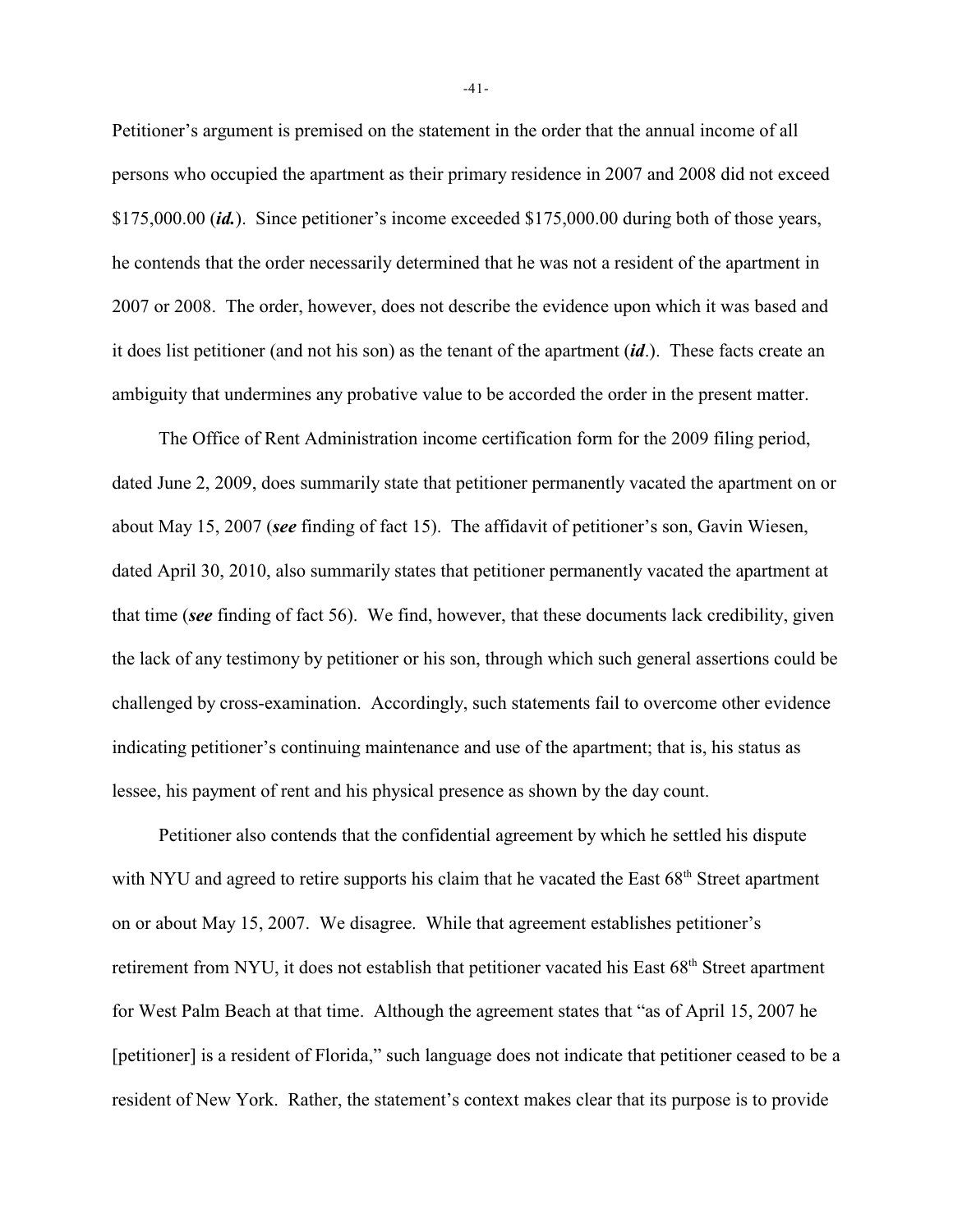Petitioner's argument is premised on the statement in the order that the annual income of all persons who occupied the apartment as their primary residence in 2007 and 2008 did not exceed \$175,000.00 (*id.*). Since petitioner's income exceeded \$175,000.00 during both of those years, he contends that the order necessarily determined that he was not a resident of the apartment in 2007 or 2008. The order, however, does not describe the evidence upon which it was based and it does list petitioner (and not his son) as the tenant of the apartment (*id*.). These facts create an ambiguity that undermines any probative value to be accorded the order in the present matter.

The Office of Rent Administration income certification form for the 2009 filing period, dated June 2, 2009, does summarily state that petitioner permanently vacated the apartment on or about May 15, 2007 (*see* finding of fact 15). The affidavit of petitioner's son, Gavin Wiesen, dated April 30, 2010, also summarily states that petitioner permanently vacated the apartment at that time (*see* finding of fact 56). We find, however, that these documents lack credibility, given the lack of any testimony by petitioner or his son, through which such general assertions could be challenged by cross-examination. Accordingly, such statements fail to overcome other evidence indicating petitioner's continuing maintenance and use of the apartment; that is, his status as lessee, his payment of rent and his physical presence as shown by the day count.

Petitioner also contends that the confidential agreement by which he settled his dispute with NYU and agreed to retire supports his claim that he vacated the East  $68<sup>th</sup>$  Street apartment on or about May 15, 2007. We disagree. While that agreement establishes petitioner's retirement from NYU, it does not establish that petitioner vacated his East 68<sup>th</sup> Street apartment for West Palm Beach at that time. Although the agreement states that "as of April 15, 2007 he [petitioner] is a resident of Florida," such language does not indicate that petitioner ceased to be a resident of New York. Rather, the statement's context makes clear that its purpose is to provide

-41-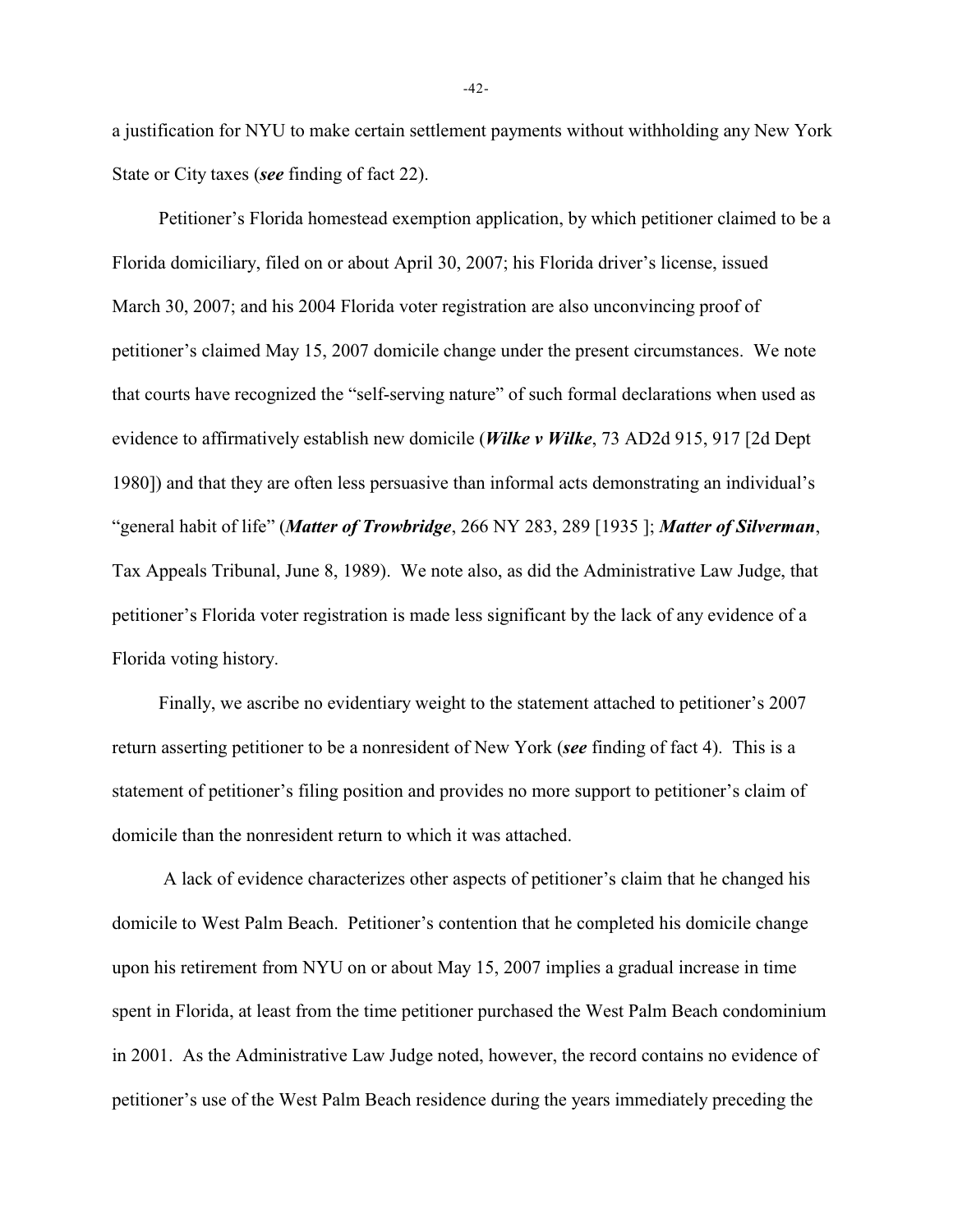a justification for NYU to make certain settlement payments without withholding any New York State or City taxes (*see* finding of fact 22).

Petitioner's Florida homestead exemption application, by which petitioner claimed to be a Florida domiciliary, filed on or about April 30, 2007; his Florida driver's license, issued March 30, 2007; and his 2004 Florida voter registration are also unconvincing proof of petitioner's claimed May 15, 2007 domicile change under the present circumstances. We note that courts have recognized the "self-serving nature" of such formal declarations when used as evidence to affirmatively establish new domicile (*Wilke v Wilke*, 73 AD2d 915, 917 [2d Dept 1980]) and that they are often less persuasive than informal acts demonstrating an individual's "general habit of life" (*Matter of Trowbridge*, 266 NY 283, 289 [1935 ]; *Matter of Silverman*, Tax Appeals Tribunal, June 8, 1989). We note also, as did the Administrative Law Judge, that petitioner's Florida voter registration is made less significant by the lack of any evidence of a Florida voting history.

Finally, we ascribe no evidentiary weight to the statement attached to petitioner's 2007 return asserting petitioner to be a nonresident of New York (*see* finding of fact 4). This is a statement of petitioner's filing position and provides no more support to petitioner's claim of domicile than the nonresident return to which it was attached.

 A lack of evidence characterizes other aspects of petitioner's claim that he changed his domicile to West Palm Beach. Petitioner's contention that he completed his domicile change upon his retirement from NYU on or about May 15, 2007 implies a gradual increase in time spent in Florida, at least from the time petitioner purchased the West Palm Beach condominium in 2001. As the Administrative Law Judge noted, however, the record contains no evidence of petitioner's use of the West Palm Beach residence during the years immediately preceding the

-42-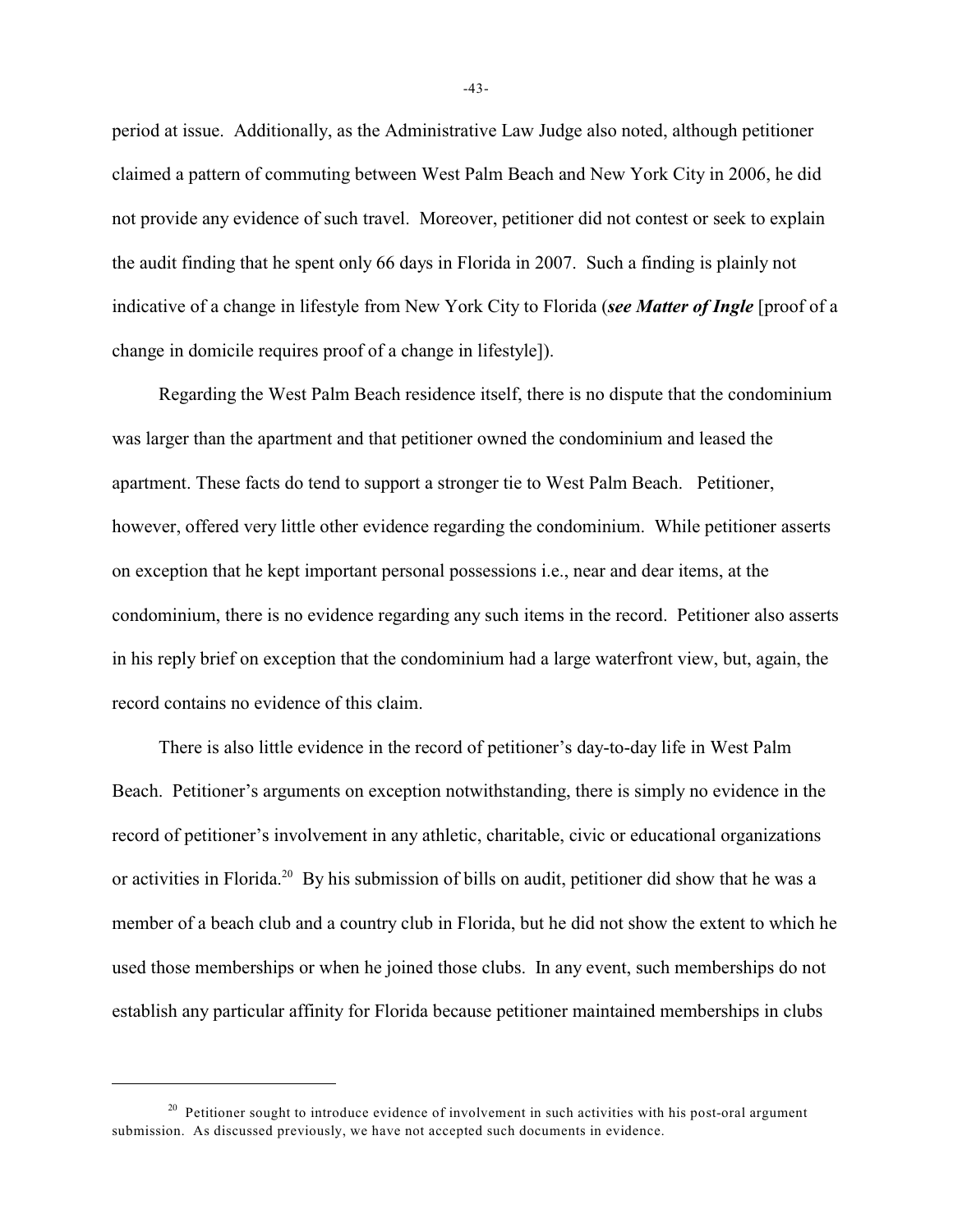period at issue. Additionally, as the Administrative Law Judge also noted, although petitioner claimed a pattern of commuting between West Palm Beach and New York City in 2006, he did not provide any evidence of such travel. Moreover, petitioner did not contest or seek to explain the audit finding that he spent only 66 days in Florida in 2007. Such a finding is plainly not indicative of a change in lifestyle from New York City to Florida (*see Matter of Ingle* [proof of a change in domicile requires proof of a change in lifestyle]).

Regarding the West Palm Beach residence itself, there is no dispute that the condominium was larger than the apartment and that petitioner owned the condominium and leased the apartment. These facts do tend to support a stronger tie to West Palm Beach. Petitioner, however, offered very little other evidence regarding the condominium. While petitioner asserts on exception that he kept important personal possessions i.e., near and dear items, at the condominium, there is no evidence regarding any such items in the record. Petitioner also asserts in his reply brief on exception that the condominium had a large waterfront view, but, again, the record contains no evidence of this claim.

There is also little evidence in the record of petitioner's day-to-day life in West Palm Beach. Petitioner's arguments on exception notwithstanding, there is simply no evidence in the record of petitioner's involvement in any athletic, charitable, civic or educational organizations or activities in Florida.<sup>20</sup> By his submission of bills on audit, petitioner did show that he was a member of a beach club and a country club in Florida, but he did not show the extent to which he used those memberships or when he joined those clubs. In any event, such memberships do not establish any particular affinity for Florida because petitioner maintained memberships in clubs

-43-

 $20$  Petitioner sought to introduce evidence of involvement in such activities with his post-oral argument submission. As discussed previously, we have not accepted such documents in evidence.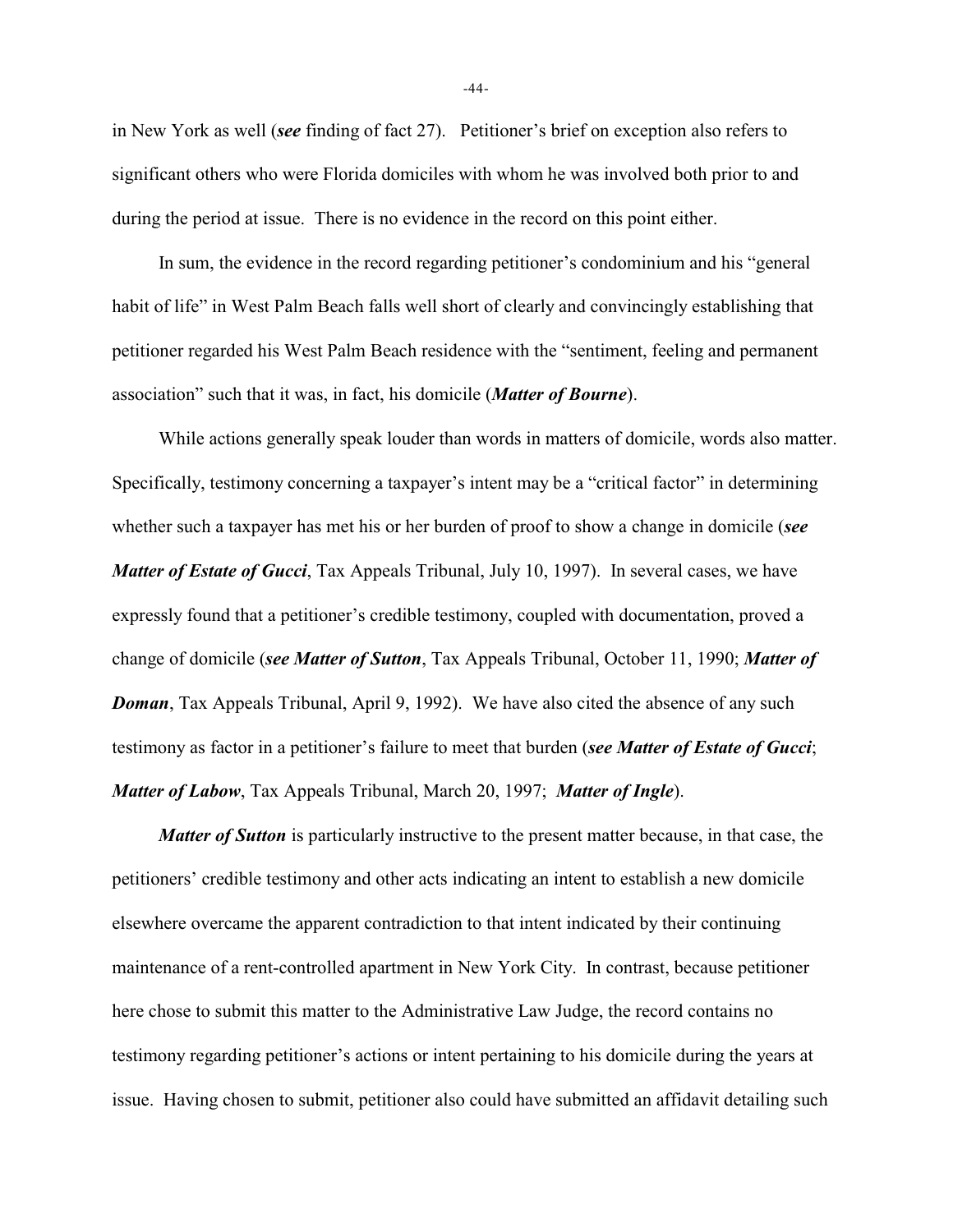in New York as well (*see* finding of fact 27). Petitioner's brief on exception also refers to significant others who were Florida domiciles with whom he was involved both prior to and during the period at issue. There is no evidence in the record on this point either.

In sum, the evidence in the record regarding petitioner's condominium and his "general habit of life" in West Palm Beach falls well short of clearly and convincingly establishing that petitioner regarded his West Palm Beach residence with the "sentiment, feeling and permanent association" such that it was, in fact, his domicile (*Matter of Bourne*).

While actions generally speak louder than words in matters of domicile, words also matter. Specifically, testimony concerning a taxpayer's intent may be a "critical factor" in determining whether such a taxpayer has met his or her burden of proof to show a change in domicile (*see Matter of Estate of Gucci*, Tax Appeals Tribunal, July 10, 1997). In several cases, we have expressly found that a petitioner's credible testimony, coupled with documentation, proved a change of domicile (*see Matter of Sutton*, Tax Appeals Tribunal, October 11, 1990; *Matter of Doman*, Tax Appeals Tribunal, April 9, 1992). We have also cited the absence of any such testimony as factor in a petitioner's failure to meet that burden (*see Matter of Estate of Gucci*; *Matter of Labow*, Tax Appeals Tribunal, March 20, 1997; *Matter of Ingle*).

*Matter of Sutton* is particularly instructive to the present matter because, in that case, the petitioners' credible testimony and other acts indicating an intent to establish a new domicile elsewhere overcame the apparent contradiction to that intent indicated by their continuing maintenance of a rent-controlled apartment in New York City. In contrast, because petitioner here chose to submit this matter to the Administrative Law Judge, the record contains no testimony regarding petitioner's actions or intent pertaining to his domicile during the years at issue. Having chosen to submit, petitioner also could have submitted an affidavit detailing such

-44-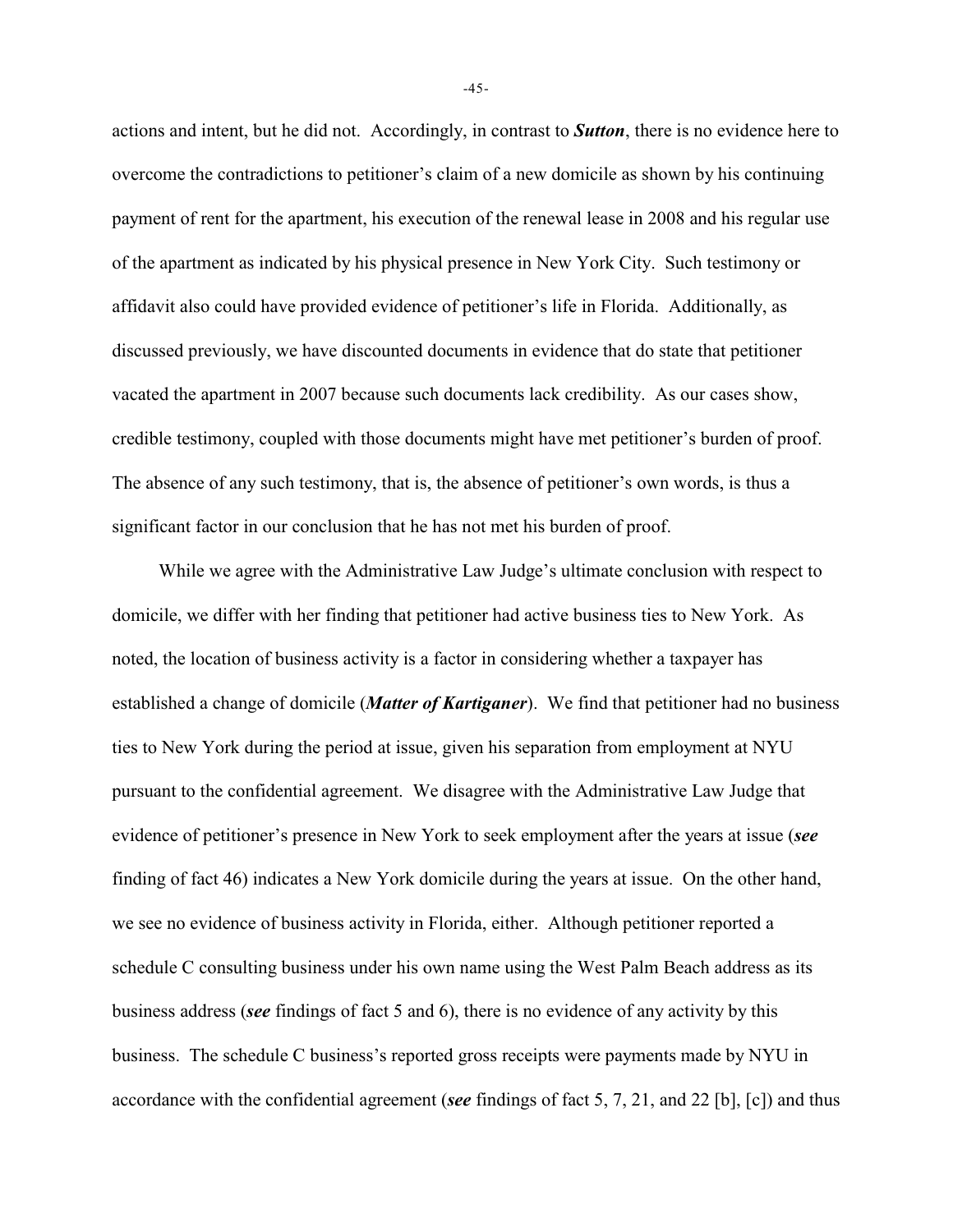actions and intent, but he did not. Accordingly, in contrast to *Sutton*, there is no evidence here to overcome the contradictions to petitioner's claim of a new domicile as shown by his continuing payment of rent for the apartment, his execution of the renewal lease in 2008 and his regular use of the apartment as indicated by his physical presence in New York City. Such testimony or affidavit also could have provided evidence of petitioner's life in Florida. Additionally, as discussed previously, we have discounted documents in evidence that do state that petitioner vacated the apartment in 2007 because such documents lack credibility. As our cases show, credible testimony, coupled with those documents might have met petitioner's burden of proof. The absence of any such testimony, that is, the absence of petitioner's own words, is thus a significant factor in our conclusion that he has not met his burden of proof.

While we agree with the Administrative Law Judge's ultimate conclusion with respect to domicile, we differ with her finding that petitioner had active business ties to New York. As noted, the location of business activity is a factor in considering whether a taxpayer has established a change of domicile (*Matter of Kartiganer*). We find that petitioner had no business ties to New York during the period at issue, given his separation from employment at NYU pursuant to the confidential agreement. We disagree with the Administrative Law Judge that evidence of petitioner's presence in New York to seek employment after the years at issue (*see* finding of fact 46) indicates a New York domicile during the years at issue. On the other hand, we see no evidence of business activity in Florida, either. Although petitioner reported a schedule C consulting business under his own name using the West Palm Beach address as its business address (*see* findings of fact 5 and 6), there is no evidence of any activity by this business. The schedule C business's reported gross receipts were payments made by NYU in accordance with the confidential agreement (*see* findings of fact 5, 7, 21, and 22 [b], [c]) and thus

-45-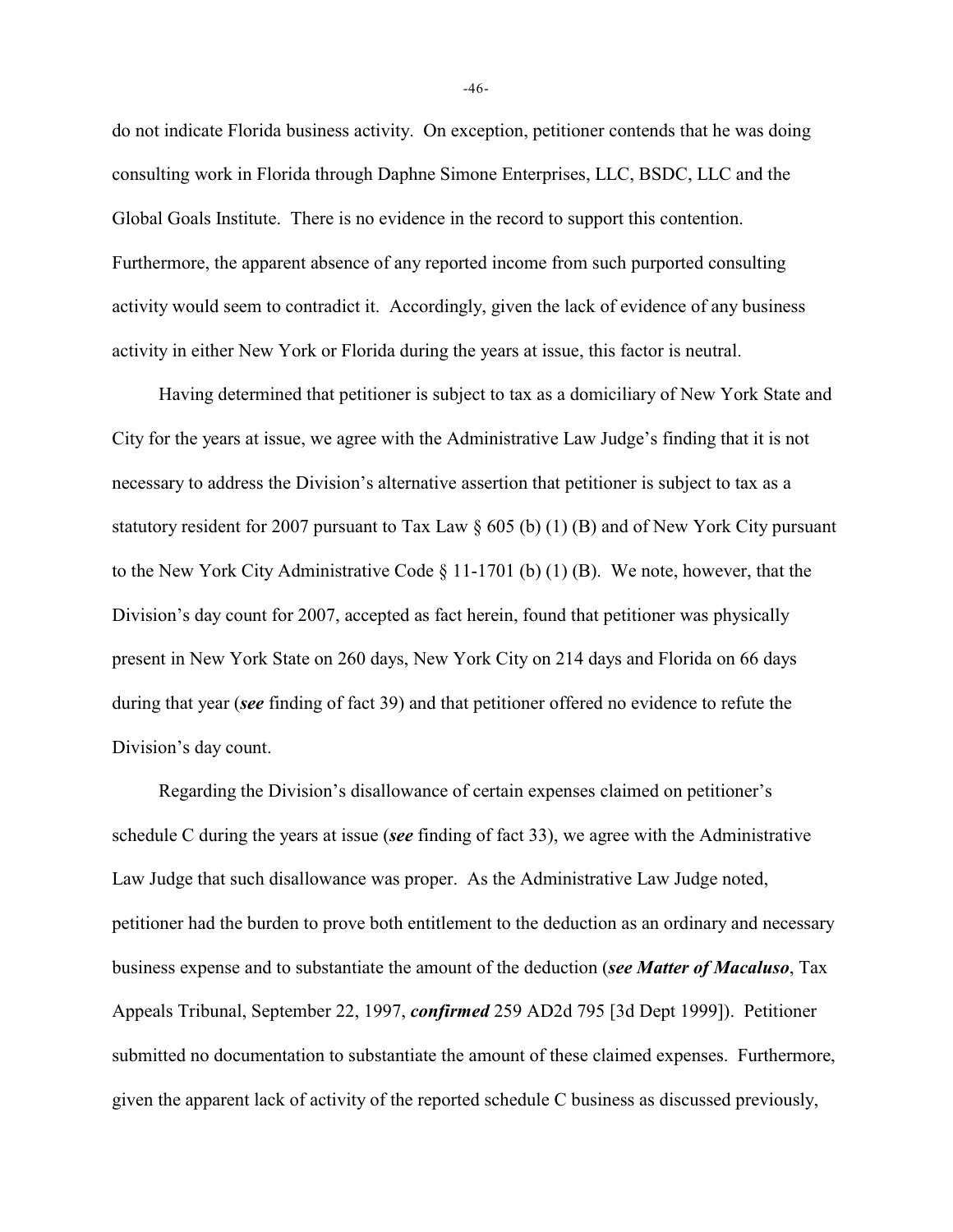do not indicate Florida business activity. On exception, petitioner contends that he was doing consulting work in Florida through Daphne Simone Enterprises, LLC, BSDC, LLC and the Global Goals Institute. There is no evidence in the record to support this contention. Furthermore, the apparent absence of any reported income from such purported consulting activity would seem to contradict it. Accordingly, given the lack of evidence of any business activity in either New York or Florida during the years at issue, this factor is neutral.

Having determined that petitioner is subject to tax as a domiciliary of New York State and City for the years at issue, we agree with the Administrative Law Judge's finding that it is not necessary to address the Division's alternative assertion that petitioner is subject to tax as a statutory resident for 2007 pursuant to Tax Law § 605 (b) (1) (B) and of New York City pursuant to the New York City Administrative Code  $\S$  11-1701 (b) (1) (B). We note, however, that the Division's day count for 2007, accepted as fact herein, found that petitioner was physically present in New York State on 260 days, New York City on 214 days and Florida on 66 days during that year (*see* finding of fact 39) and that petitioner offered no evidence to refute the Division's day count.

Regarding the Division's disallowance of certain expenses claimed on petitioner's schedule C during the years at issue (*see* finding of fact 33), we agree with the Administrative Law Judge that such disallowance was proper. As the Administrative Law Judge noted, petitioner had the burden to prove both entitlement to the deduction as an ordinary and necessary business expense and to substantiate the amount of the deduction (*see Matter of Macaluso*, Tax Appeals Tribunal, September 22, 1997, *confirmed* 259 AD2d 795 [3d Dept 1999]). Petitioner submitted no documentation to substantiate the amount of these claimed expenses. Furthermore, given the apparent lack of activity of the reported schedule C business as discussed previously,

-46-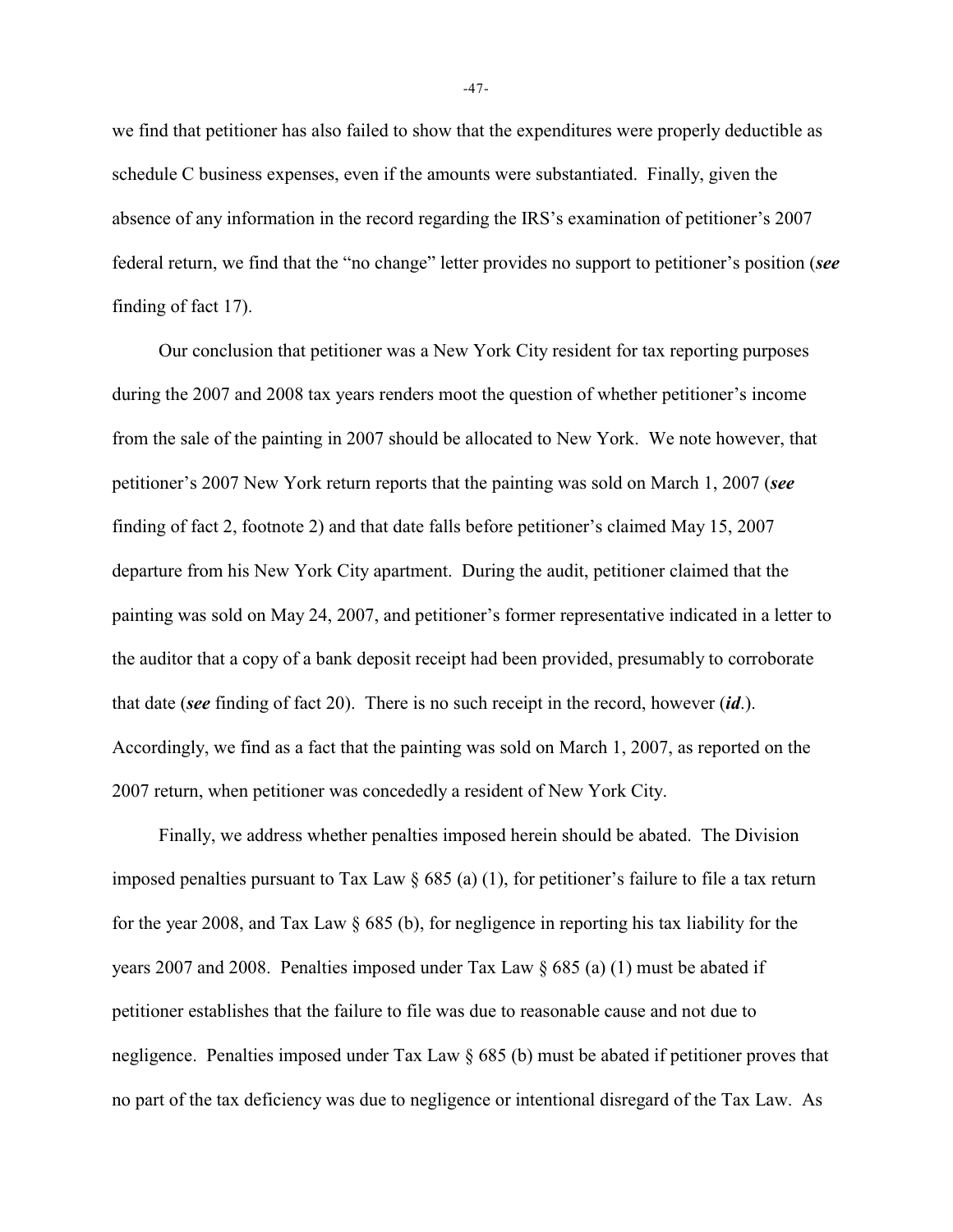we find that petitioner has also failed to show that the expenditures were properly deductible as schedule C business expenses, even if the amounts were substantiated. Finally, given the absence of any information in the record regarding the IRS's examination of petitioner's 2007 federal return, we find that the "no change" letter provides no support to petitioner's position (*see* finding of fact 17).

Our conclusion that petitioner was a New York City resident for tax reporting purposes during the 2007 and 2008 tax years renders moot the question of whether petitioner's income from the sale of the painting in 2007 should be allocated to New York. We note however, that petitioner's 2007 New York return reports that the painting was sold on March 1, 2007 (*see* finding of fact 2, footnote 2) and that date falls before petitioner's claimed May 15, 2007 departure from his New York City apartment. During the audit, petitioner claimed that the painting was sold on May 24, 2007, and petitioner's former representative indicated in a letter to the auditor that a copy of a bank deposit receipt had been provided, presumably to corroborate that date (*see* finding of fact 20). There is no such receipt in the record, however (*id*.). Accordingly, we find as a fact that the painting was sold on March 1, 2007, as reported on the 2007 return, when petitioner was concededly a resident of New York City.

Finally, we address whether penalties imposed herein should be abated. The Division imposed penalties pursuant to Tax Law  $\S$  685 (a) (1), for petitioner's failure to file a tax return for the year 2008, and Tax Law § 685 (b), for negligence in reporting his tax liability for the years 2007 and 2008. Penalties imposed under Tax Law § 685 (a) (1) must be abated if petitioner establishes that the failure to file was due to reasonable cause and not due to negligence. Penalties imposed under Tax Law § 685 (b) must be abated if petitioner proves that no part of the tax deficiency was due to negligence or intentional disregard of the Tax Law. As

-47-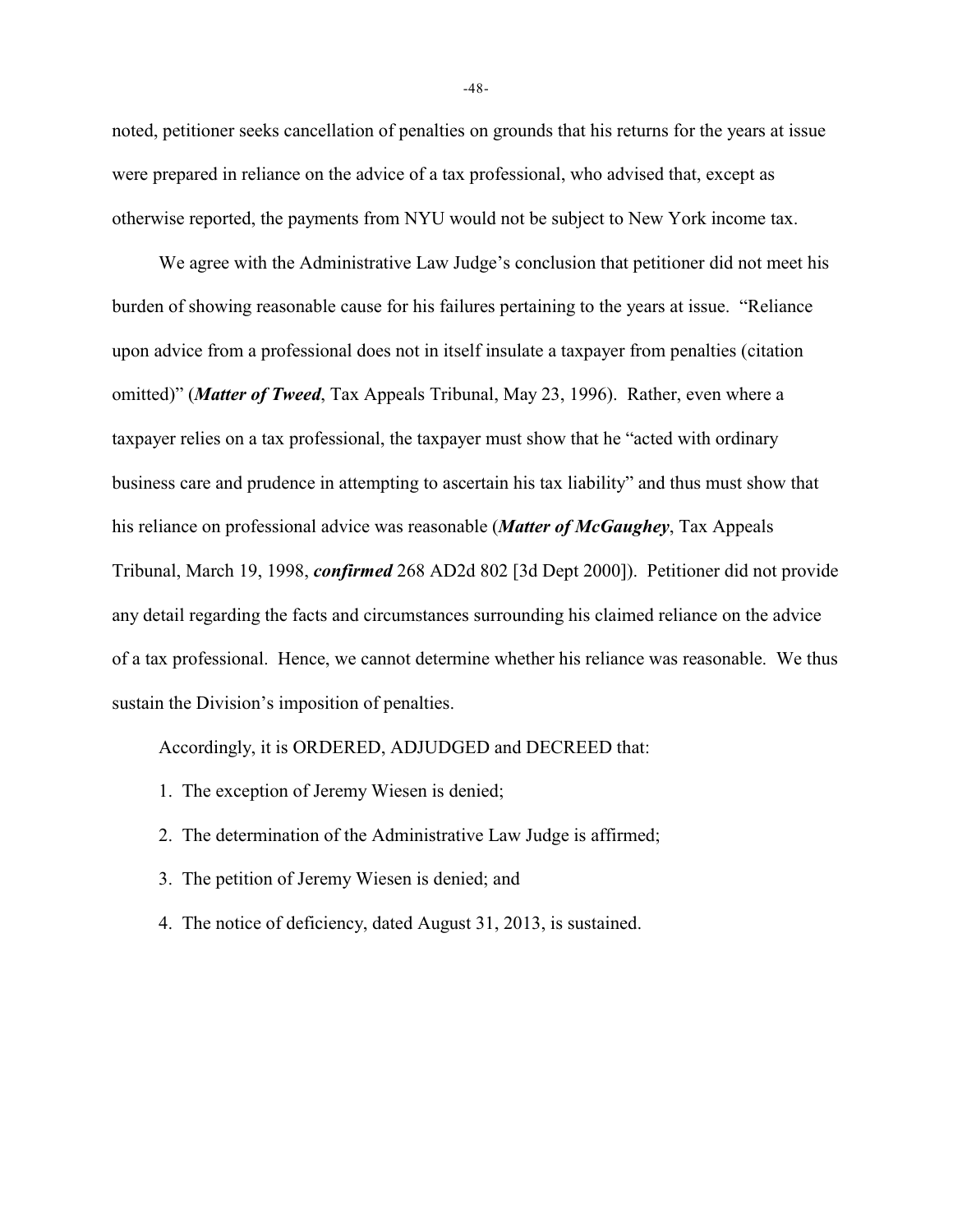noted, petitioner seeks cancellation of penalties on grounds that his returns for the years at issue were prepared in reliance on the advice of a tax professional, who advised that, except as otherwise reported, the payments from NYU would not be subject to New York income tax.

We agree with the Administrative Law Judge's conclusion that petitioner did not meet his burden of showing reasonable cause for his failures pertaining to the years at issue. "Reliance upon advice from a professional does not in itself insulate a taxpayer from penalties (citation omitted)" (*Matter of Tweed*, Tax Appeals Tribunal, May 23, 1996). Rather, even where a taxpayer relies on a tax professional, the taxpayer must show that he "acted with ordinary business care and prudence in attempting to ascertain his tax liability" and thus must show that his reliance on professional advice was reasonable (*Matter of McGaughey*, Tax Appeals Tribunal, March 19, 1998, *confirmed* 268 AD2d 802 [3d Dept 2000]). Petitioner did not provide any detail regarding the facts and circumstances surrounding his claimed reliance on the advice of a tax professional. Hence, we cannot determine whether his reliance was reasonable. We thus sustain the Division's imposition of penalties.

Accordingly, it is ORDERED, ADJUDGED and DECREED that:

- 1. The exception of Jeremy Wiesen is denied;
- 2. The determination of the Administrative Law Judge is affirmed;
- 3. The petition of Jeremy Wiesen is denied; and
- 4. The notice of deficiency, dated August 31, 2013, is sustained.